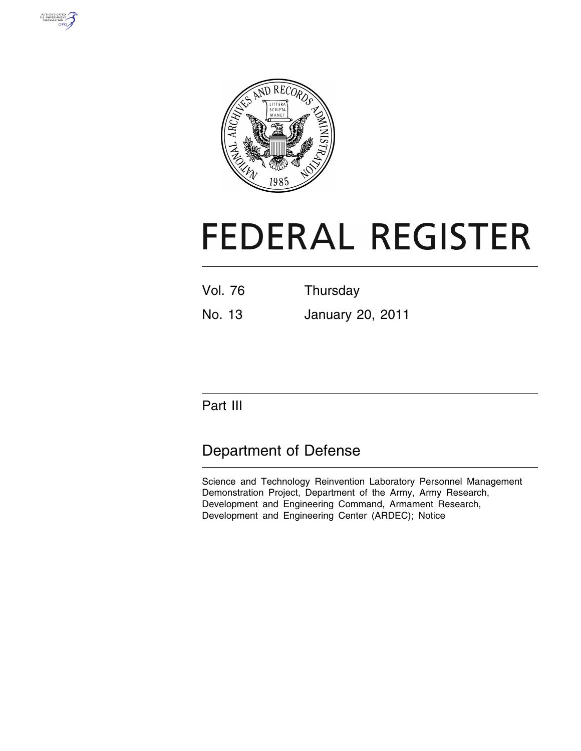



# **FEDERAL REGISTER**

| Vol. 76 | Thursday |
|---------|----------|
|         |          |

No. 13 January 20, 2011

Part III

# Department of Defense

Science and Technology Reinvention Laboratory Personnel Management Demonstration Project, Department of the Army, Army Research, Development and Engineering Command, Armament Research, Development and Engineering Center (ARDEC); Notice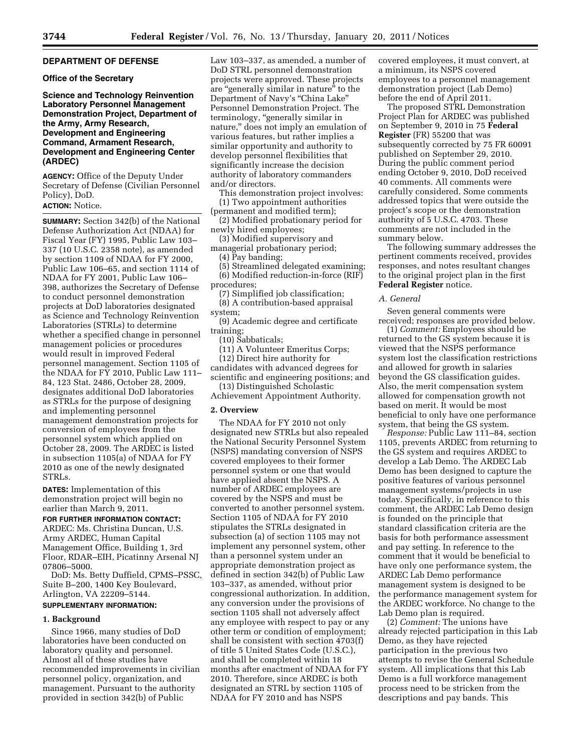# **DEPARTMENT OF DEFENSE**

#### **Office of the Secretary**

**Science and Technology Reinvention Laboratory Personnel Management Demonstration Project, Department of the Army, Army Research, Development and Engineering Command, Armament Research, Development and Engineering Center (ARDEC)** 

**AGENCY:** Office of the Deputy Under Secretary of Defense (Civilian Personnel Policy), DoD.

#### **ACTION:** Notice.

**SUMMARY:** Section 342(b) of the National Defense Authorization Act (NDAA) for Fiscal Year (FY) 1995, Public Law 103– 337 (10 U.S.C. 2358 note), as amended by section 1109 of NDAA for FY 2000, Public Law 106–65, and section 1114 of NDAA for FY 2001, Public Law 106– 398, authorizes the Secretary of Defense to conduct personnel demonstration projects at DoD laboratories designated as Science and Technology Reinvention Laboratories (STRLs) to determine whether a specified change in personnel management policies or procedures would result in improved Federal personnel management. Section 1105 of the NDAA for FY 2010, Public Law 111– 84, 123 Stat. 2486, October 28, 2009, designates additional DoD laboratories as STRLs for the purpose of designing and implementing personnel management demonstration projects for conversion of employees from the personnel system which applied on October 28, 2009. The ARDEC is listed in subsection 1105(a) of NDAA for FY 2010 as one of the newly designated STRLs.

**DATES:** Implementation of this demonstration project will begin no earlier than March 9, 2011.

**FOR FURTHER INFORMATION CONTACT:**  ARDEC: Ms. Christina Duncan, U.S. Army ARDEC, Human Capital Management Office, Building 1, 3rd Floor, RDAR–EIH, Picatinny Arsenal NJ

07806–5000. DoD: Ms. Betty Duffield, CPMS–PSSC, Suite B–200, 1400 Key Boulevard, Arlington, VA 22209–5144.

# **SUPPLEMENTARY INFORMATION:**

#### **1. Background**

Since 1966, many studies of DoD laboratories have been conducted on laboratory quality and personnel. Almost all of these studies have recommended improvements in civilian personnel policy, organization, and management. Pursuant to the authority provided in section 342(b) of Public

Law 103–337, as amended, a number of DoD STRL personnel demonstration projects were approved. These projects are "generally similar in nature" to the Department of Navy's ''China Lake'' Personnel Demonstration Project. The terminology, ''generally similar in nature," does not imply an emulation of various features, but rather implies a similar opportunity and authority to develop personnel flexibilities that significantly increase the decision authority of laboratory commanders and/or directors.

This demonstration project involves: (1) Two appointment authorities

(permanent and modified term); (2) Modified probationary period for

newly hired employees; (3) Modified supervisory and

managerial probationary period;

(4) Pay banding;

(5) Streamlined delegated examining; (6) Modified reduction-in-force (RIF) procedures;

(7) Simplified job classification;

(8) A contribution-based appraisal system;

(9) Academic degree and certificate training;

(10) Sabbaticals;

(11) A Volunteer Emeritus Corps;

(12) Direct hire authority for

candidates with advanced degrees for scientific and engineering positions; and (13) Distinguished Scholastic

Achievement Appointment Authority.

#### **2. Overview**

The NDAA for FY 2010 not only designated new STRLs but also repealed the National Security Personnel System (NSPS) mandating conversion of NSPS covered employees to their former personnel system or one that would have applied absent the NSPS. A number of ARDEC employees are covered by the NSPS and must be converted to another personnel system. Section 1105 of NDAA for FY 2010 stipulates the STRLs designated in subsection (a) of section 1105 may not implement any personnel system, other than a personnel system under an appropriate demonstration project as defined in section 342(b) of Public Law 103–337, as amended, without prior congressional authorization. In addition, any conversion under the provisions of section 1105 shall not adversely affect any employee with respect to pay or any other term or condition of employment; shall be consistent with section 4703(f) of title 5 United States Code (U.S.C.), and shall be completed within 18 months after enactment of NDAA for FY 2010. Therefore, since ARDEC is both designated an STRL by section 1105 of NDAA for FY 2010 and has NSPS

covered employees, it must convert, at a minimum, its NSPS covered employees to a personnel management demonstration project (Lab Demo) before the end of April 2011.

The proposed STRL Demonstration Project Plan for ARDEC was published on September 9, 2010 in 75 **Federal Register** (FR) 55200 that was subsequently corrected by 75 FR 60091 published on September 29, 2010. During the public comment period ending October 9, 2010, DoD received 40 comments. All comments were carefully considered. Some comments addressed topics that were outside the project's scope or the demonstration authority of 5 U.S.C. 4703. These comments are not included in the summary below.

The following summary addresses the pertinent comments received, provides responses, and notes resultant changes to the original project plan in the first **Federal Register** notice.

#### *A. General*

Seven general comments were received; responses are provided below.

(1) *Comment:* Employees should be returned to the GS system because it is viewed that the NSPS performance system lost the classification restrictions and allowed for growth in salaries beyond the GS classification guides. Also, the merit compensation system allowed for compensation growth not based on merit. It would be most beneficial to only have one performance system, that being the GS system.

*Response:* Public Law 111–84, section 1105, prevents ARDEC from returning to the GS system and requires ARDEC to develop a Lab Demo. The ARDEC Lab Demo has been designed to capture the positive features of various personnel management systems/projects in use today. Specifically, in reference to this comment, the ARDEC Lab Demo design is founded on the principle that standard classification criteria are the basis for both performance assessment and pay setting. In reference to the comment that it would be beneficial to have only one performance system, the ARDEC Lab Demo performance management system is designed to be the performance management system for the ARDEC workforce. No change to the Lab Demo plan is required.

(2) *Comment:* The unions have already rejected participation in this Lab Demo, as they have rejected participation in the previous two attempts to revise the General Schedule system. All implications that this Lab Demo is a full workforce management process need to be stricken from the descriptions and pay bands. This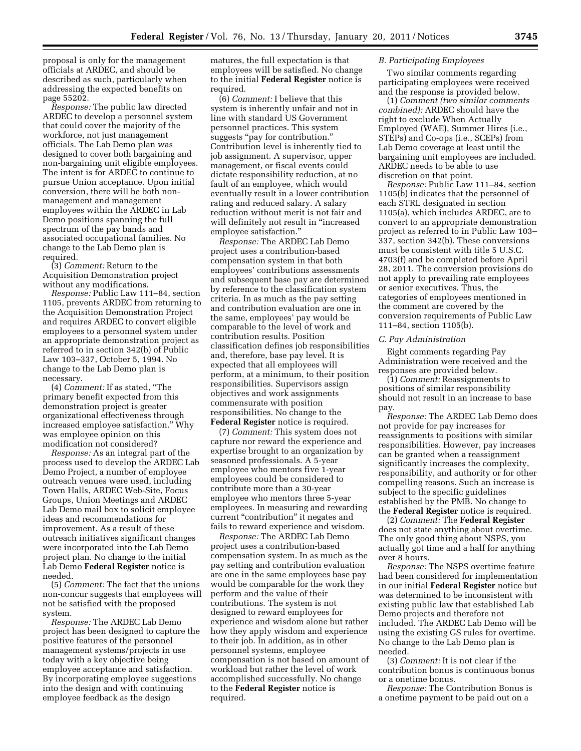proposal is only for the management officials at ARDEC, and should be described as such, particularly when addressing the expected benefits on page 55202.

*Response:* The public law directed ARDEC to develop a personnel system that could cover the majority of the workforce, not just management officials. The Lab Demo plan was designed to cover both bargaining and non-bargaining unit eligible employees. The intent is for ARDEC to continue to pursue Union acceptance. Upon initial conversion, there will be both nonmanagement and management employees within the ARDEC in Lab Demo positions spanning the full spectrum of the pay bands and associated occupational families. No change to the Lab Demo plan is required.

(3) *Comment:* Return to the Acquisition Demonstration project without any modifications.

*Response:* Public Law 111–84, section 1105, prevents ARDEC from returning to the Acquisition Demonstration Project and requires ARDEC to convert eligible employees to a personnel system under an appropriate demonstration project as referred to in section 342(b) of Public Law 103–337, October 5, 1994. No change to the Lab Demo plan is necessary.

(4) *Comment:* If as stated, ''The primary benefit expected from this demonstration project is greater organizational effectiveness through increased employee satisfaction.'' Why was employee opinion on this modification not considered?

*Response:* As an integral part of the process used to develop the ARDEC Lab Demo Project, a number of employee outreach venues were used, including Town Halls, ARDEC Web-Site, Focus Groups, Union Meetings and ARDEC Lab Demo mail box to solicit employee ideas and recommendations for improvement. As a result of these outreach initiatives significant changes were incorporated into the Lab Demo project plan. No change to the initial Lab Demo **Federal Register** notice is needed.

(5) *Comment:* The fact that the unions non-concur suggests that employees will not be satisfied with the proposed system.

*Response:* The ARDEC Lab Demo project has been designed to capture the positive features of the personnel management systems/projects in use today with a key objective being employee acceptance and satisfaction. By incorporating employee suggestions into the design and with continuing employee feedback as the design

matures, the full expectation is that employees will be satisfied. No change to the initial **Federal Register** notice is required.

(6) *Comment:* I believe that this system is inherently unfair and not in line with standard US Government personnel practices. This system suggests ''pay for contribution.'' Contribution level is inherently tied to job assignment. A supervisor, upper management, or fiscal events could dictate responsibility reduction, at no fault of an employee, which would eventually result in a lower contribution rating and reduced salary. A salary reduction without merit is not fair and will definitely not result in "increased employee satisfaction.''

*Response:* The ARDEC Lab Demo project uses a contribution-based compensation system in that both employees' contributions assessments and subsequent base pay are determined by reference to the classification system criteria. In as much as the pay setting and contribution evaluation are one in the same, employees' pay would be comparable to the level of work and contribution results. Position classification defines job responsibilities and, therefore, base pay level. It is expected that all employees will perform, at a minimum, to their position responsibilities. Supervisors assign objectives and work assignments commensurate with position responsibilities. No change to the **Federal Register** notice is required.

(7) *Comment:* This system does not capture nor reward the experience and expertise brought to an organization by seasoned professionals. A 5-year employee who mentors five 1-year employees could be considered to contribute more than a 30-year employee who mentors three 5-year employees. In measuring and rewarding current "contribution" it negates and fails to reward experience and wisdom.

*Response:* The ARDEC Lab Demo project uses a contribution-based compensation system. In as much as the pay setting and contribution evaluation are one in the same employees base pay would be comparable for the work they perform and the value of their contributions. The system is not designed to reward employees for experience and wisdom alone but rather how they apply wisdom and experience to their job. In addition, as in other personnel systems, employee compensation is not based on amount of workload but rather the level of work accomplished successfully. No change to the **Federal Register** notice is required.

# *B. Participating Employees*

Two similar comments regarding participating employees were received and the response is provided below.

(1) *Comment (two similar comments combined):* ARDEC should have the right to exclude When Actually Employed (WAE), Summer Hires (i.e., STEPs) and Co-ops (i.e., SCEPs) from Lab Demo coverage at least until the bargaining unit employees are included. ARDEC needs to be able to use discretion on that point.

*Response:* Public Law 111–84, section 1105(b) indicates that the personnel of each STRL designated in section 1105(a), which includes ARDEC, are to convert to an appropriate demonstration project as referred to in Public Law 103– 337, section 342(b). These conversions must be consistent with title 5 U.S.C. 4703(f) and be completed before April 28, 2011. The conversion provisions do not apply to prevailing rate employees or senior executives. Thus, the categories of employees mentioned in the comment are covered by the conversion requirements of Public Law 111–84, section 1105(b).

#### *C. Pay Administration*

Eight comments regarding Pay Administration were received and the responses are provided below.

(1) *Comment:* Reassignments to positions of similar responsibility should not result in an increase to base pay.

*Response:* The ARDEC Lab Demo does not provide for pay increases for reassignments to positions with similar responsibilities. However, pay increases can be granted when a reassignment significantly increases the complexity, responsibility, and authority or for other compelling reasons. Such an increase is subject to the specific guidelines established by the PMB. No change to the **Federal Register** notice is required.

(2) *Comment:* The **Federal Register**  does not state anything about overtime. The only good thing about NSPS, you actually got time and a half for anything over 8 hours.

*Response:* The NSPS overtime feature had been considered for implementation in our initial **Federal Register** notice but was determined to be inconsistent with existing public law that established Lab Demo projects and therefore not included. The ARDEC Lab Demo will be using the existing GS rules for overtime. No change to the Lab Demo plan is needed.

(3) *Comment:* It is not clear if the contribution bonus is continuous bonus or a onetime bonus.

*Response:* The Contribution Bonus is a onetime payment to be paid out on a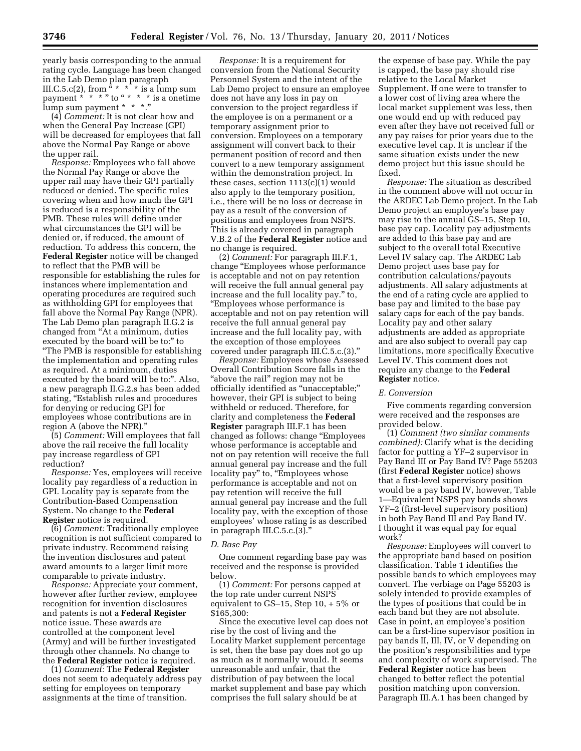yearly basis corresponding to the annual rating cycle. Language has been changed in the Lab Demo plan paragraph III.C.5.c(2), from "  $*$   $*$   $*$  is a lump sum payment \* \* \* " to " \* \* \* is a onetime lump sum payment \* \* \*.''

(4) *Comment:* It is not clear how and when the General Pay Increase (GPI) will be decreased for employees that fall above the Normal Pay Range or above the upper rail.

*Response:* Employees who fall above the Normal Pay Range or above the upper rail may have their GPI partially reduced or denied. The specific rules covering when and how much the GPI is reduced is a responsibility of the PMB. These rules will define under what circumstances the GPI will be denied or, if reduced, the amount of reduction. To address this concern, the **Federal Register** notice will be changed to reflect that the PMB will be responsible for establishing the rules for instances where implementation and operating procedures are required such as withholding GPI for employees that fall above the Normal Pay Range (NPR). The Lab Demo plan paragraph II.G.2 is changed from ''At a minimum, duties executed by the board will be to:" to ''The PMB is responsible for establishing the implementation and operating rules as required. At a minimum, duties executed by the board will be to:". Also, a new paragraph II.G.2.s has been added stating, "Establish rules and procedures" for denying or reducing GPI for employees whose contributions are in region A (above the NPR).''

(5) *Comment:* Will employees that fall above the rail receive the full locality pay increase regardless of GPI reduction?

*Response:* Yes, employees will receive locality pay regardless of a reduction in GPI. Locality pay is separate from the Contribution-Based Compensation System. No change to the **Federal Register** notice is required.

(6) *Comment:* Traditionally employee recognition is not sufficient compared to private industry. Recommend raising the invention disclosures and patent award amounts to a larger limit more comparable to private industry.

*Response:* Appreciate your comment, however after further review, employee recognition for invention disclosures and patents is not a **Federal Register**  notice issue. These awards are controlled at the component level (Army) and will be further investigated through other channels. No change to the **Federal Register** notice is required.

(1) *Comment:* The **Federal Register**  does not seem to adequately address pay setting for employees on temporary assignments at the time of transition.

*Response:* It is a requirement for conversion from the National Security Personnel System and the intent of the Lab Demo project to ensure an employee does not have any loss in pay on conversion to the project regardless if the employee is on a permanent or a temporary assignment prior to conversion. Employees on a temporary assignment will convert back to their permanent position of record and then convert to a new temporary assignment within the demonstration project. In these cases, section 1113(c)(1) would also apply to the temporary position, i.e., there will be no loss or decrease in pay as a result of the conversion of positions and employees from NSPS. This is already covered in paragraph V.B.2 of the **Federal Register** notice and no change is required.

(2) *Comment:* For paragraph III.F.1, change ''Employees whose performance is acceptable and not on pay retention will receive the full annual general pay increase and the full locality pay.'' to, ''Employees whose performance is acceptable and not on pay retention will receive the full annual general pay increase and the full locality pay, with the exception of those employees covered under paragraph III.C.5.c.(3).''

*Response:* Employees whose Assessed Overall Contribution Score falls in the ''above the rail'' region may not be officially identified as ''unacceptable;'' however, their GPI is subject to being withheld or reduced. Therefore, for clarity and completeness the **Federal Register** paragraph III.F.1 has been changed as follows: change ''Employees whose performance is acceptable and not on pay retention will receive the full annual general pay increase and the full locality pay" to, "Employees whose performance is acceptable and not on pay retention will receive the full annual general pay increase and the full locality pay, with the exception of those employees' whose rating is as described in paragraph III.C.5.c.(3).''

#### *D. Base Pay*

One comment regarding base pay was received and the response is provided below.

(1) *Comment:* For persons capped at the top rate under current NSPS equivalent to GS–15, Step 10, + 5% or \$165,300:

Since the executive level cap does not rise by the cost of living and the Locality Market supplement percentage is set, then the base pay does not go up as much as it normally would. It seems unreasonable and unfair, that the distribution of pay between the local market supplement and base pay which comprises the full salary should be at

the expense of base pay. While the pay is capped, the base pay should rise relative to the Local Market Supplement. If one were to transfer to a lower cost of living area where the local market supplement was less, then one would end up with reduced pay even after they have not received full or any pay raises for prior years due to the executive level cap. It is unclear if the same situation exists under the new demo project but this issue should be fixed.

*Response:* The situation as described in the comment above will not occur in the ARDEC Lab Demo project. In the Lab Demo project an employee's base pay may rise to the annual GS–15, Step 10, base pay cap. Locality pay adjustments are added to this base pay and are subject to the overall total Executive Level IV salary cap. The ARDEC Lab Demo project uses base pay for contribution calculations/payouts adjustments. All salary adjustments at the end of a rating cycle are applied to base pay and limited to the base pay salary caps for each of the pay bands. Locality pay and other salary adjustments are added as appropriate and are also subject to overall pay cap limitations, more specifically Executive Level IV. This comment does not require any change to the **Federal Register** notice.

#### *E. Conversion*

Five comments regarding conversion were received and the responses are provided below.

(1) *Comment (two similar comments combined):* Clarify what is the deciding factor for putting a YF–2 supervisor in Pay Band III or Pay Band IV? Page 55203 (first **Federal Register** notice) shows that a first-level supervisory position would be a pay band IV, however, Table 1—Equivalent NSPS pay bands shows YF–2 (first-level supervisory position) in both Pay Band III and Pay Band IV. I thought it was equal pay for equal work?

*Response:* Employees will convert to the appropriate band based on position classification. Table 1 identifies the possible bands to which employees may convert. The verbiage on Page 55203 is solely intended to provide examples of the types of positions that could be in each band but they are not absolute. Case in point, an employee's position can be a first-line supervisor position in pay bands II, III, IV, or V depending on the position's responsibilities and type and complexity of work supervised. The **Federal Register** notice has been changed to better reflect the potential position matching upon conversion. Paragraph III.A.1 has been changed by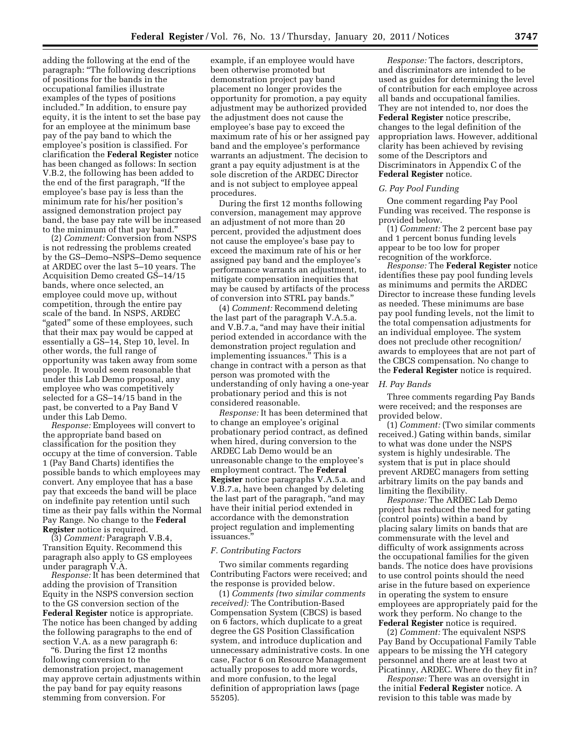adding the following at the end of the paragraph: ''The following descriptions of positions for the bands in the occupational families illustrate examples of the types of positions included.'' In addition, to ensure pay equity, it is the intent to set the base pay for an employee at the minimum base pay of the pay band to which the employee's position is classified. For clarification the **Federal Register** notice has been changed as follows: In section V.B.2, the following has been added to the end of the first paragraph, ''If the employee's base pay is less than the minimum rate for his/her position's assigned demonstration project pay band, the base pay rate will be increased to the minimum of that pay band.''

(2) *Comment:* Conversion from NSPS is not redressing the problems created by the GS–Demo–NSPS–Demo sequence at ARDEC over the last 5–10 years. The Acquisition Demo created GS–14/15 bands, where once selected, an employee could move up, without competition, through the entire pay scale of the band. In NSPS, ARDEC "gated" some of these employees, such that their max pay would be capped at essentially a GS–14, Step 10, level. In other words, the full range of opportunity was taken away from some people. It would seem reasonable that under this Lab Demo proposal, any employee who was competitively selected for a GS–14/15 band in the past, be converted to a Pay Band V under this Lab Demo.

*Response:* Employees will convert to the appropriate band based on classification for the position they occupy at the time of conversion. Table 1 (Pay Band Charts) identifies the possible bands to which employees may convert. Any employee that has a base pay that exceeds the band will be place on indefinite pay retention until such time as their pay falls within the Normal Pay Range. No change to the **Federal Register** notice is required.

(3) *Comment:* Paragraph V.B.4, Transition Equity. Recommend this paragraph also apply to GS employees under paragraph V.A.

*Response:* It has been determined that adding the provision of Transition Equity in the NSPS conversion section to the GS conversion section of the **Federal Register** notice is appropriate. The notice has been changed by adding the following paragraphs to the end of section V.A. as a new paragraph 6:

''6. During the first 12 months following conversion to the demonstration project, management may approve certain adjustments within the pay band for pay equity reasons stemming from conversion. For

example, if an employee would have been otherwise promoted but demonstration project pay band placement no longer provides the opportunity for promotion, a pay equity adjustment may be authorized provided the adjustment does not cause the employee's base pay to exceed the maximum rate of his or her assigned pay band and the employee's performance warrants an adjustment. The decision to grant a pay equity adjustment is at the sole discretion of the ARDEC Director and is not subject to employee appeal procedures.

During the first 12 months following conversion, management may approve an adjustment of not more than 20 percent, provided the adjustment does not cause the employee's base pay to exceed the maximum rate of his or her assigned pay band and the employee's performance warrants an adjustment, to mitigate compensation inequities that may be caused by artifacts of the process of conversion into STRL pay bands.''

(4) *Comment:* Recommend deleting the last part of the paragraph V.A.5.a. and V.B.7.a, "and may have their initial period extended in accordance with the demonstration project regulation and implementing issuances.'' This is a change in contract with a person as that person was promoted with the understanding of only having a one-year probationary period and this is not considered reasonable.

*Response:* It has been determined that to change an employee's original probationary period contract, as defined when hired, during conversion to the ARDEC Lab Demo would be an unreasonable change to the employee's employment contract. The **Federal Register** notice paragraphs V.A.5.a. and V.B.7.a, have been changed by deleting the last part of the paragraph, "and may have their initial period extended in accordance with the demonstration project regulation and implementing issuances.''

#### *F. Contributing Factors*

Two similar comments regarding Contributing Factors were received; and the response is provided below.

(1) *Comments (two similar comments received):* The Contribution-Based Compensation System (CBCS) is based on 6 factors, which duplicate to a great degree the GS Position Classification system, and introduce duplication and unnecessary administrative costs. In one case, Factor 6 on Resource Management actually proposes to add more words, and more confusion, to the legal definition of appropriation laws (page 55205).

*Response:* The factors, descriptors, and discriminators are intended to be used as guides for determining the level of contribution for each employee across all bands and occupational families. They are not intended to, nor does the **Federal Register** notice prescribe, changes to the legal definition of the appropriation laws. However, additional clarity has been achieved by revising some of the Descriptors and Discriminators in Appendix C of the **Federal Register** notice.

#### *G. Pay Pool Funding*

One comment regarding Pay Pool Funding was received. The response is provided below.

(1) *Comment:* The 2 percent base pay and 1 percent bonus funding levels appear to be too low for proper recognition of the workforce.

*Response:* The **Federal Register** notice identifies these pay pool funding levels as minimums and permits the ARDEC Director to increase these funding levels as needed. These minimums are base pay pool funding levels, not the limit to the total compensation adjustments for an individual employee. The system does not preclude other recognition/ awards to employees that are not part of the CBCS compensation. No change to the **Federal Register** notice is required.

#### *H. Pay Bands*

Three comments regarding Pay Bands were received; and the responses are provided below.

(1) *Comment:* (Two similar comments received.) Gating within bands, similar to what was done under the NSPS system is highly undesirable. The system that is put in place should prevent ARDEC managers from setting arbitrary limits on the pay bands and limiting the flexibility.

*Response:* The ARDEC Lab Demo project has reduced the need for gating (control points) within a band by placing salary limits on bands that are commensurate with the level and difficulty of work assignments across the occupational families for the given bands. The notice does have provisions to use control points should the need arise in the future based on experience in operating the system to ensure employees are appropriately paid for the work they perform. No change to the **Federal Register** notice is required.

(2) *Comment:* The equivalent NSPS Pay Band by Occupational Family Table appears to be missing the YH category personnel and there are at least two at Picatinny, ARDEC. Where do they fit in?

*Response:* There was an oversight in the initial **Federal Register** notice. A revision to this table was made by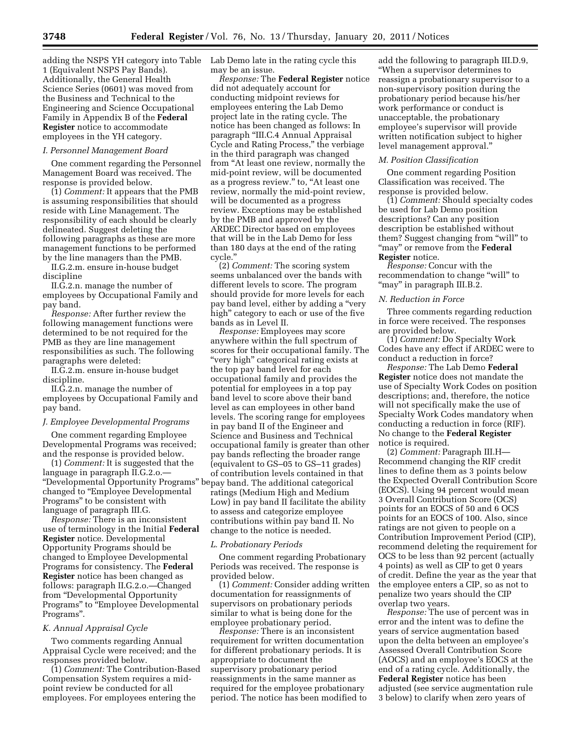adding the NSPS YH category into Table 1 (Equivalent NSPS Pay Bands). Additionally, the General Health Science Series (0601) was moved from the Business and Technical to the Engineering and Science Occupational Family in Appendix B of the **Federal Register** notice to accommodate employees in the YH category.

#### *I. Personnel Management Board*

One comment regarding the Personnel Management Board was received. The response is provided below.

(1) *Comment:* It appears that the PMB is assuming responsibilities that should reside with Line Management. The responsibility of each should be clearly delineated. Suggest deleting the following paragraphs as these are more management functions to be performed by the line managers than the PMB.

II.G.2.m. ensure in-house budget discipline

II.G.2.n. manage the number of employees by Occupational Family and pay band.

*Response:* After further review the following management functions were determined to be not required for the PMB as they are line management responsibilities as such. The following paragraphs were deleted:

II.G.2.m. ensure in-house budget discipline.

II.G.2.n. manage the number of employees by Occupational Family and pay band.

#### *J. Employee Developmental Programs*

One comment regarding Employee Developmental Programs was received; and the response is provided below.

(1) *Comment:* It is suggested that the language in paragraph II.G.2.o.— ''Developmental Opportunity Programs'' be pay band. The additional categorical changed to ''Employee Developmental Programs'' to be consistent with language of paragraph III.G.

*Response:* There is an inconsistent use of terminology in the Initial **Federal Register** notice. Developmental Opportunity Programs should be changed to Employee Developmental Programs for consistency. The **Federal Register** notice has been changed as follows: paragraph II.G.2.o.—Changed from "Developmental Opportunity Programs'' to ''Employee Developmental Programs''.

#### *K. Annual Appraisal Cycle*

Two comments regarding Annual Appraisal Cycle were received; and the responses provided below.

(1) *Comment:* The Contribution-Based Compensation System requires a midpoint review be conducted for all employees. For employees entering the

Lab Demo late in the rating cycle this may be an issue.

*Response:* The **Federal Register** notice did not adequately account for conducting midpoint reviews for employees entering the Lab Demo project late in the rating cycle. The notice has been changed as follows: In paragraph ''III.C.4 Annual Appraisal Cycle and Rating Process,'' the verbiage in the third paragraph was changed from "At least one review, normally the mid-point review, will be documented as a progress review." to, "At least one review, normally the mid-point review, will be documented as a progress review. Exceptions may be established by the PMB and approved by the ARDEC Director based on employees that will be in the Lab Demo for less than 180 days at the end of the rating cycle.''

(2) *Comment:* The scoring system seems unbalanced over the bands with different levels to score. The program should provide for more levels for each pay band level, either by adding a ''very high'' category to each or use of the five bands as in Level II.

*Response:* Employees may score anywhere within the full spectrum of scores for their occupational family. The ''very high'' categorical rating exists at the top pay band level for each occupational family and provides the potential for employees in a top pay band level to score above their band level as can employees in other band levels. The scoring range for employees in pay band II of the Engineer and Science and Business and Technical occupational family is greater than other pay bands reflecting the broader range (equivalent to GS–05 to GS–11 grades) of contribution levels contained in that ratings (Medium High and Medium Low) in pay band II facilitate the ability to assess and categorize employee contributions within pay band II. No change to the notice is needed.

#### *L. Probationary Periods*

One comment regarding Probationary Periods was received. The response is provided below.

(1) *Comment:* Consider adding written documentation for reassignments of supervisors on probationary periods similar to what is being done for the employee probationary period.

*Response:* There is an inconsistent requirement for written documentation for different probationary periods. It is appropriate to document the supervisory probationary period reassignments in the same manner as required for the employee probationary period. The notice has been modified to

add the following to paragraph III.D.9, ''When a supervisor determines to reassign a probationary supervisor to a non-supervisory position during the probationary period because his/her work performance or conduct is unacceptable, the probationary employee's supervisor will provide written notification subject to higher level management approval.''

#### *M. Position Classification*

One comment regarding Position Classification was received. The response is provided below.

(1) *Comment:* Should specialty codes be used for Lab Demo position descriptions? Can any position description be established without them? Suggest changing from "will" to ''may'' or remove from the **Federal** 

#### **Register** notice.

*Response:* Concur with the recommendation to change "will" to "may" in paragraph III.B.2.

#### *N. Reduction in Force*

Three comments regarding reduction in force were received. The responses are provided below.

(1) *Comment:* Do Specialty Work Codes have any effect if ARDEC were to conduct a reduction in force?

*Response:* The Lab Demo **Federal Register** notice does not mandate the use of Specialty Work Codes on position descriptions; and, therefore, the notice will not specifically make the use of Specialty Work Codes mandatory when conducting a reduction in force (RIF). No change to the **Federal Register**  notice is required.

(2) *Comment:* Paragraph III.H— Recommend changing the RIF credit lines to define them as 3 points below the Expected Overall Contribution Score (EOCS). Using 94 percent would mean 3 Overall Contribution Score (OCS) points for an EOCS of 50 and 6 OCS points for an EOCS of 100. Also, since ratings are not given to people on a Contribution Improvement Period (CIP), recommend deleting the requirement for OCS to be less than 92 percent (actually 4 points) as well as CIP to get 0 years of credit. Define the year as the year that the employee enters a CIP, so as not to penalize two years should the CIP overlap two years.

*Response:* The use of percent was in error and the intent was to define the years of service augmentation based upon the delta between an employee's Assessed Overall Contribution Score (AOCS) and an employee's EOCS at the end of a rating cycle. Additionally, the **Federal Register** notice has been adjusted (see service augmentation rule 3 below) to clarify when zero years of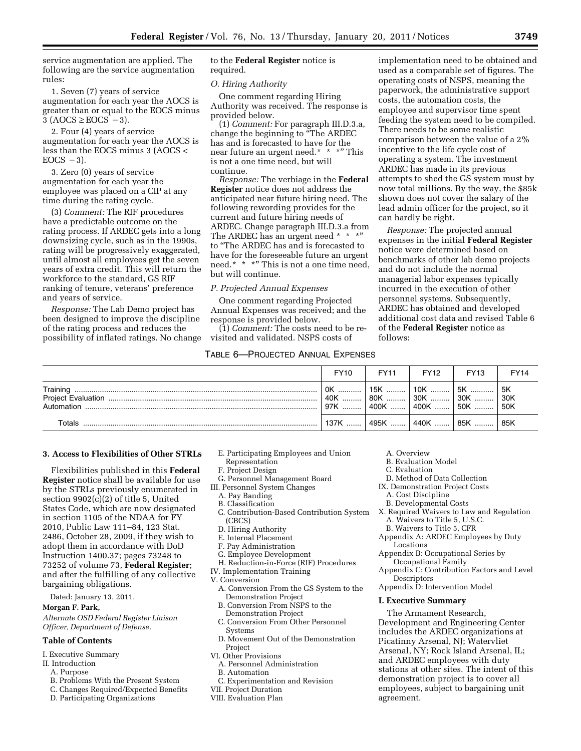service augmentation are applied. The following are the service augmentation rules:

1. Seven (7) years of service augmentation for each year the AOCS is greater than or equal to the EOCS minus  $3 (AOCS \ge EOCS - 3).$ 

2. Four (4) years of service augmentation for each year the AOCS is less than the EOCS minus 3 (AOCS <  $EOCS -3$ ).

3. Zero (0) years of service augmentation for each year the employee was placed on a CIP at any time during the rating cycle.

(3) *Comment:* The RIF procedures have a predictable outcome on the rating process. If ARDEC gets into a long downsizing cycle, such as in the 1990s, rating will be progressively exaggerated, until almost all employees get the seven years of extra credit. This will return the workforce to the standard, GS RIF ranking of tenure, veterans' preference and years of service.

*Response:* The Lab Demo project has been designed to improve the discipline of the rating process and reduces the possibility of inflated ratings. No change to the **Federal Register** notice is required.

#### *O. Hiring Authority*

One comment regarding Hiring Authority was received. The response is provided below.

(1) *Comment:* For paragraph III.D.3.a, change the beginning to ''The ARDEC has and is forecasted to have for the near future an urgent need.\* \* \*" This is not a one time need, but will continue.

*Response:* The verbiage in the **Federal Register** notice does not address the anticipated near future hiring need. The following rewording provides for the current and future hiring needs of ARDEC. Change paragraph III.D.3.a from The ARDEC has an urgent need \* \* \* to ''The ARDEC has and is forecasted to have for the foreseeable future an urgent need.\* \* \*" This is not a one time need, but will continue.

#### *P. Projected Annual Expenses*

One comment regarding Projected Annual Expenses was received; and the response is provided below.

(1) *Comment:* The costs need to be revisited and validated. NSPS costs of

#### TABLE 6—PROJECTED ANNUAL EXPENSES

implementation need to be obtained and used as a comparable set of figures. The operating costs of NSPS, meaning the paperwork, the administrative support costs, the automation costs, the employee and supervisor time spent feeding the system need to be compiled. There needs to be some realistic comparison between the value of a 2% incentive to the life cycle cost of operating a system. The investment ARDEC has made in its previous attempts to shed the GS system must by now total millions. By the way, the \$85k shown does not cover the salary of the lead admin officer for the project, so it can hardly be right.

*Response:* The projected annual expenses in the initial **Federal Register**  notice were determined based on benchmarks of other lab demo projects and do not include the normal managerial labor expenses typically incurred in the execution of other personnel systems. Subsequently, ARDEC has obtained and developed additional cost data and revised Table 6 of the **Federal Register** notice as follows:

|                        | FY <sub>10</sub> | <b>FY11</b>                             | <b>FY12</b> | <b>FY13</b>         | <b>FY14</b>           |
|------------------------|------------------|-----------------------------------------|-------------|---------------------|-----------------------|
| Training<br>Automation | 0K<br>40K<br>97K | 「15K ………「10K ………<br>  80K<br>∣ 400K ……. | $ 30K$      | 5K<br>$ 30K$<br>50K | 5K<br> 30K<br>$ $ 50K |
| Totals                 | 137K             | 495K                                    | 440K        | 85K                 | 85K                   |

#### **3. Access to Flexibilities of Other STRLs**

Flexibilities published in this **Federal Register** notice shall be available for use by the STRLs previously enumerated in section 9902(c)(2) of title 5, United States Code, which are now designated in section 1105 of the NDAA for FY 2010, Public Law 111–84, 123 Stat. 2486, October 28, 2009, if they wish to adopt them in accordance with DoD Instruction 1400.37; pages 73248 to 73252 of volume 73, **Federal Register**; and after the fulfilling of any collective bargaining obligations.

Dated: January 13, 2011.

#### **Morgan F. Park,**

*Alternate OSD Federal Register Liaison Officer, Department of Defense.* 

#### **Table of Contents**

- I. Executive Summary
- II. Introduction
	- A. Purpose
	- B. Problems With the Present System
	- C. Changes Required/Expected Benefits
	- D. Participating Organizations
- E. Participating Employees and Union
- Representation
- F. Project Design
- G. Personnel Management Board
- III. Personnel System Changes
	- A. Pay Banding
	- B. Classification
- C. Contribution-Based Contribution System (CBCS)
- D. Hiring Authority
- E. Internal Placement
- F. Pay Administration
- G. Employee Development
- H. Reduction-in-Force (RIF) Procedures
- IV. Implementation Training
- V. Conversion
	- A. Conversion From the GS System to the Demonstration Project
	- B. Conversion From NSPS to the Demonstration Project
	- C. Conversion From Other Personnel **Systems**
	- D. Movement Out of the Demonstration Project
- VI. Other Provisions
	- A. Personnel Administration
- B. Automation
- C. Experimentation and Revision
- VII. Project Duration
- VIII. Evaluation Plan
- A. Overview
- B. Evaluation Model
- C. Evaluation
- D. Method of Data Collection
- IX. Demonstration Project Costs A. Cost Discipline
	- B. Developmental Costs
- X. Required Waivers to Law and Regulation A. Waivers to Title 5, U.S.C.
	- B. Waivers to Title 5, CFR
- Appendix A: ARDEC Employees by Duty Locations
- Appendix B: Occupational Series by Occupational Family
- Appendix C: Contribution Factors and Level **Descriptors**
- Appendix D: Intervention Model

# **I. Executive Summary**

The Armament Research, Development and Engineering Center includes the ARDEC organizations at Picatinny Arsenal, NJ; Watervliet Arsenal, NY; Rock Island Arsenal, IL; and ARDEC employees with duty stations at other sites. The intent of this demonstration project is to cover all employees, subject to bargaining unit agreement.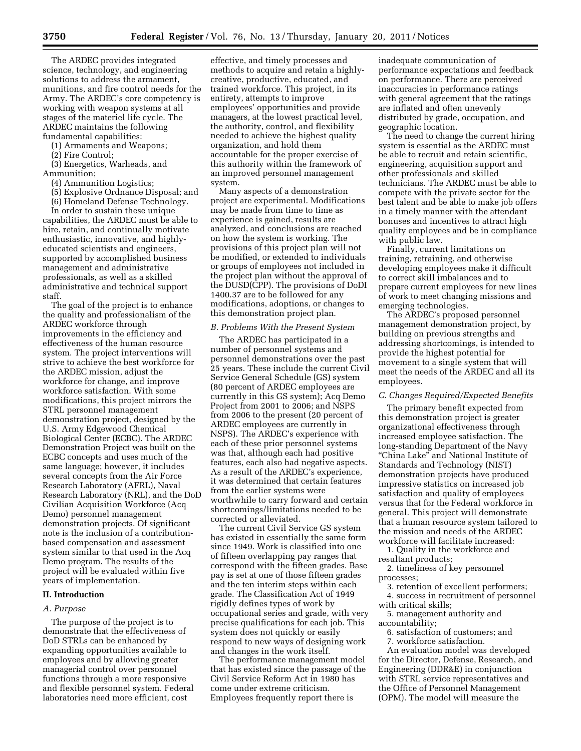The ARDEC provides integrated science, technology, and engineering solutions to address the armament, munitions, and fire control needs for the Army. The ARDEC's core competency is working with weapon systems at all stages of the materiel life cycle. The ARDEC maintains the following fundamental capabilities:

(1) Armaments and Weapons;

(2) Fire Control;

(3) Energetics, Warheads, and Ammunition;

(4) Ammunition Logistics;

(5) Explosive Ordnance Disposal; and

(6) Homeland Defense Technology.

In order to sustain these unique capabilities, the ARDEC must be able to hire, retain, and continually motivate enthusiastic, innovative, and highlyeducated scientists and engineers, supported by accomplished business management and administrative professionals, as well as a skilled administrative and technical support staff.

The goal of the project is to enhance the quality and professionalism of the ARDEC workforce through improvements in the efficiency and effectiveness of the human resource system. The project interventions will strive to achieve the best workforce for the ARDEC mission, adjust the workforce for change, and improve workforce satisfaction. With some modifications, this project mirrors the STRL personnel management demonstration project, designed by the U.S. Army Edgewood Chemical Biological Center (ECBC). The ARDEC Demonstration Project was built on the ECBC concepts and uses much of the same language; however, it includes several concepts from the Air Force Research Laboratory (AFRL), Naval Research Laboratory (NRL), and the DoD Civilian Acquisition Workforce (Acq Demo) personnel management demonstration projects. Of significant note is the inclusion of a contributionbased compensation and assessment system similar to that used in the Acq Demo program. The results of the project will be evaluated within five years of implementation.

#### **II. Introduction**

#### *A. Purpose*

The purpose of the project is to demonstrate that the effectiveness of DoD STRLs can be enhanced by expanding opportunities available to employees and by allowing greater managerial control over personnel functions through a more responsive and flexible personnel system. Federal laboratories need more efficient, cost

effective, and timely processes and methods to acquire and retain a highlycreative, productive, educated, and trained workforce. This project, in its entirety, attempts to improve employees' opportunities and provide managers, at the lowest practical level, the authority, control, and flexibility needed to achieve the highest quality organization, and hold them accountable for the proper exercise of this authority within the framework of an improved personnel management system.

Many aspects of a demonstration project are experimental. Modifications may be made from time to time as experience is gained, results are analyzed, and conclusions are reached on how the system is working. The provisions of this project plan will not be modified, or extended to individuals or groups of employees not included in the project plan without the approval of the DUSD(CPP). The provisions of DoDI 1400.37 are to be followed for any modifications, adoptions, or changes to this demonstration project plan.

#### *B. Problems With the Present System*

The ARDEC has participated in a number of personnel systems and personnel demonstrations over the past 25 years. These include the current Civil Service General Schedule (GS) system (80 percent of ARDEC employees are currently in this GS system); Acq Demo Project from 2001 to 2006; and NSPS from 2006 to the present (20 percent of ARDEC employees are currently in NSPS). The ARDEC's experience with each of these prior personnel systems was that, although each had positive features, each also had negative aspects. As a result of the ARDEC's experience, it was determined that certain features from the earlier systems were worthwhile to carry forward and certain shortcomings/limitations needed to be corrected or alleviated.

The current Civil Service GS system has existed in essentially the same form since 1949. Work is classified into one of fifteen overlapping pay ranges that correspond with the fifteen grades. Base pay is set at one of those fifteen grades and the ten interim steps within each grade. The Classification Act of 1949 rigidly defines types of work by occupational series and grade, with very precise qualifications for each job. This system does not quickly or easily respond to new ways of designing work and changes in the work itself.

The performance management model that has existed since the passage of the Civil Service Reform Act in 1980 has come under extreme criticism. Employees frequently report there is

inadequate communication of performance expectations and feedback on performance. There are perceived inaccuracies in performance ratings with general agreement that the ratings are inflated and often unevenly distributed by grade, occupation, and geographic location.

The need to change the current hiring system is essential as the ARDEC must be able to recruit and retain scientific, engineering, acquisition support and other professionals and skilled technicians. The ARDEC must be able to compete with the private sector for the best talent and be able to make job offers in a timely manner with the attendant bonuses and incentives to attract high quality employees and be in compliance with public law.

Finally, current limitations on training, retraining, and otherwise developing employees make it difficult to correct skill imbalances and to prepare current employees for new lines of work to meet changing missions and emerging technologies.

The ARDEC's proposed personnel management demonstration project, by building on previous strengths and addressing shortcomings, is intended to provide the highest potential for movement to a single system that will meet the needs of the ARDEC and all its employees.

#### *C. Changes Required/Expected Benefits*

The primary benefit expected from this demonstration project is greater organizational effectiveness through increased employee satisfaction. The long-standing Department of the Navy ''China Lake'' and National Institute of Standards and Technology (NIST) demonstration projects have produced impressive statistics on increased job satisfaction and quality of employees versus that for the Federal workforce in general. This project will demonstrate that a human resource system tailored to the mission and needs of the ARDEC workforce will facilitate increased:

1. Quality in the workforce and resultant products;

2. timeliness of key personnel processes;

3. retention of excellent performers; 4. success in recruitment of personnel with critical skills;

5. management authority and accountability;

6. satisfaction of customers; and

7. workforce satisfaction.

An evaluation model was developed for the Director, Defense, Research, and Engineering (DDR&E) in conjunction with STRL service representatives and the Office of Personnel Management (OPM). The model will measure the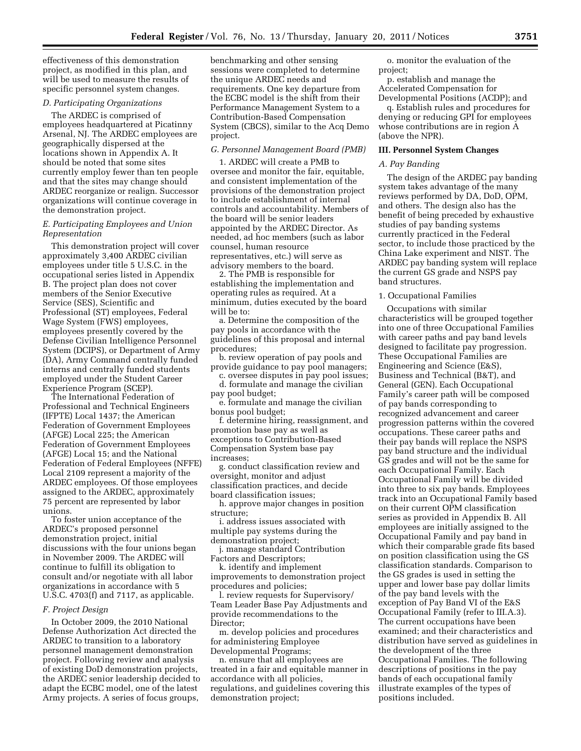effectiveness of this demonstration project, as modified in this plan, and will be used to measure the results of specific personnel system changes.

# *D. Participating Organizations*

The ARDEC is comprised of employees headquartered at Picatinny Arsenal, NJ. The ARDEC employees are geographically dispersed at the locations shown in Appendix A. It should be noted that some sites currently employ fewer than ten people and that the sites may change should ARDEC reorganize or realign. Successor organizations will continue coverage in the demonstration project.

#### *E. Participating Employees and Union Representation*

This demonstration project will cover approximately 3,400 ARDEC civilian employees under title 5 U.S.C. in the occupational series listed in Appendix B. The project plan does not cover members of the Senior Executive Service (SES), Scientific and Professional (ST) employees, Federal Wage System (FWS) employees, employees presently covered by the Defense Civilian Intelligence Personnel System (DCIPS), or Department of Army (DA), Army Command centrally funded interns and centrally funded students employed under the Student Career Experience Program (SCEP).

The International Federation of Professional and Technical Engineers (IFPTE) Local 1437; the American Federation of Government Employees (AFGE) Local 225; the American Federation of Government Employees (AFGE) Local 15; and the National Federation of Federal Employees (NFFE) Local 2109 represent a majority of the ARDEC employees. Of those employees assigned to the ARDEC, approximately 75 percent are represented by labor unions.

To foster union acceptance of the ARDEC's proposed personnel demonstration project, initial discussions with the four unions began in November 2009. The ARDEC will continue to fulfill its obligation to consult and/or negotiate with all labor organizations in accordance with 5 U.S.C. 4703(f) and 7117, as applicable.

#### *F. Project Design*

In October 2009, the 2010 National Defense Authorization Act directed the ARDEC to transition to a laboratory personnel management demonstration project. Following review and analysis of existing DoD demonstration projects, the ARDEC senior leadership decided to adapt the ECBC model, one of the latest Army projects. A series of focus groups,

benchmarking and other sensing sessions were completed to determine the unique ARDEC needs and requirements. One key departure from the ECBC model is the shift from their Performance Management System to a Contribution-Based Compensation System (CBCS), similar to the Acq Demo project.

#### *G. Personnel Management Board (PMB)*

1. ARDEC will create a PMB to oversee and monitor the fair, equitable, and consistent implementation of the provisions of the demonstration project to include establishment of internal controls and accountability. Members of the board will be senior leaders appointed by the ARDEC Director. As needed, ad hoc members (such as labor counsel, human resource representatives, etc.) will serve as advisory members to the board.

2. The PMB is responsible for establishing the implementation and operating rules as required. At a minimum, duties executed by the board will be to:

a. Determine the composition of the pay pools in accordance with the guidelines of this proposal and internal procedures;

b. review operation of pay pools and provide guidance to pay pool managers;

c. oversee disputes in pay pool issues; d. formulate and manage the civilian

pay pool budget;

e. formulate and manage the civilian bonus pool budget;

f. determine hiring, reassignment, and promotion base pay as well as exceptions to Contribution-Based Compensation System base pay increases;

g. conduct classification review and oversight, monitor and adjust classification practices, and decide board classification issues;

h. approve major changes in position structure;

i. address issues associated with multiple pay systems during the demonstration project;

j. manage standard Contribution Factors and Descriptors;

k. identify and implement improvements to demonstration project procedures and policies;

l. review requests for Supervisory/ Team Leader Base Pay Adjustments and provide recommendations to the Director;

m. develop policies and procedures for administering Employee Developmental Programs;

n. ensure that all employees are treated in a fair and equitable manner in accordance with all policies, regulations, and guidelines covering this demonstration project;

o. monitor the evaluation of the project;

p. establish and manage the Accelerated Compensation for Developmental Positions (ACDP); and

q. Establish rules and procedures for denying or reducing GPI for employees whose contributions are in region A (above the NPR).

#### **III. Personnel System Changes**

#### *A. Pay Banding*

The design of the ARDEC pay banding system takes advantage of the many reviews performed by DA, DoD, OPM, and others. The design also has the benefit of being preceded by exhaustive studies of pay banding systems currently practiced in the Federal sector, to include those practiced by the China Lake experiment and NIST. The ARDEC pay banding system will replace the current GS grade and NSPS pay band structures.

# 1. Occupational Families

Occupations with similar characteristics will be grouped together into one of three Occupational Families with career paths and pay band levels designed to facilitate pay progression. These Occupational Families are Engineering and Science (E&S), Business and Technical (B&T), and General (GEN). Each Occupational Family's career path will be composed of pay bands corresponding to recognized advancement and career progression patterns within the covered occupations. These career paths and their pay bands will replace the NSPS pay band structure and the individual GS grades and will not be the same for each Occupational Family. Each Occupational Family will be divided into three to six pay bands. Employees track into an Occupational Family based on their current OPM classification series as provided in Appendix B. All employees are initially assigned to the Occupational Family and pay band in which their comparable grade fits based on position classification using the GS classification standards. Comparison to the GS grades is used in setting the upper and lower base pay dollar limits of the pay band levels with the exception of Pay Band VI of the E&S Occupational Family (refer to III.A.3). The current occupations have been examined; and their characteristics and distribution have served as guidelines in the development of the three Occupational Families. The following descriptions of positions in the pay bands of each occupational family illustrate examples of the types of positions included.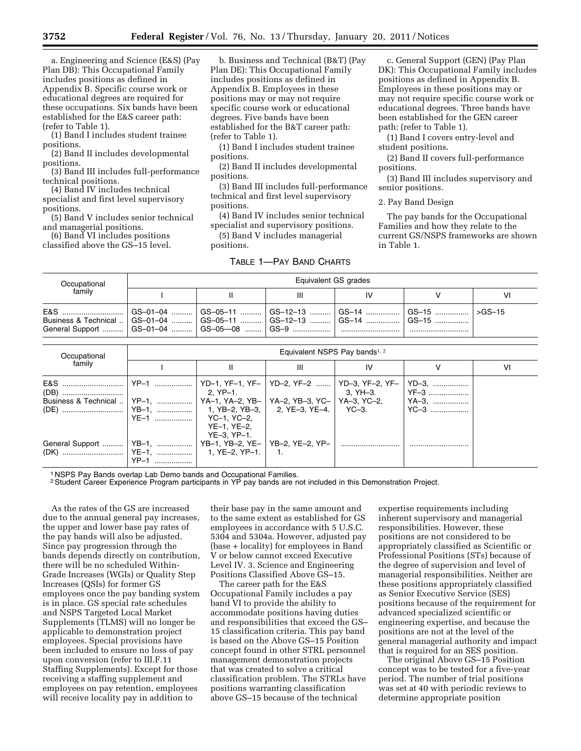a. Engineering and Science (E&S) (Pay Plan DB): This Occupational Family includes positions as defined in Appendix B. Specific course work or educational degrees are required for these occupations. Six bands have been established for the E&S career path: (refer to Table 1).

(1) Band I includes student trainee positions.

(2) Band II includes developmental positions.

(3) Band III includes full-performance technical positions.

(4) Band IV includes technical specialist and first level supervisory positions.

(5) Band V includes senior technical and managerial positions.

(6) Band VI includes positions classified above the GS–15 level.

b. Business and Technical (B&T) (Pay Plan DE): This Occupational Family includes positions as defined in Appendix B. Employees in these positions may or may not require specific course work or educational degrees. Five bands have been established for the B&T career path: (refer to Table 1).

(1) Band I includes student trainee positions.

(2) Band II includes developmental positions.

(3) Band III includes full-performance technical and first level supervisory positions.

(4) Band IV includes senior technical specialist and supervisory positions.

(5) Band V includes managerial positions.

#### TABLE 1—PAY BAND CHARTS

c. General Support (GEN) (Pay Plan DK): This Occupational Family includes positions as defined in Appendix B. Employees in these positions may or may not require specific course work or educational degrees. Three bands have been established for the GEN career path: (refer to Table 1).

(1) Band I covers entry-level and student positions.

(2) Band II covers full-performance positions.

(3) Band III includes supervisory and senior positions.

The pay bands for the Occupational Families and how they relate to the current GS/NSPS frameworks are shown in Table 1.

| Occupational                                                                                                                                                                                                                              | Equivalent GS grades |  |  |  |  |    |  |  |  |
|-------------------------------------------------------------------------------------------------------------------------------------------------------------------------------------------------------------------------------------------|----------------------|--|--|--|--|----|--|--|--|
| family                                                                                                                                                                                                                                    |                      |  |  |  |  | VI |  |  |  |
| E&S …………………………   GS–01–04 …………   GS–05–11 …………   GS–12–13 …………   GS–14 ………………   GS–15 ………………   >GS–15<br>Business & Technical    GS-01-04    GS-05-11    GS-12-13    GS-14    GS-15   <br>General Support    GS-01-04    GS-05-08    GS-9 |                      |  |  |  |  |    |  |  |  |

| Occupational                                                  | Equivalent NSPS Pay bands <sup>1, 2</sup> |                              |   |                               |      |    |  |  |  |
|---------------------------------------------------------------|-------------------------------------------|------------------------------|---|-------------------------------|------|----|--|--|--|
| family                                                        |                                           | Ш                            | Ш | ΙV                            |      | ۷ı |  |  |  |
|                                                               |                                           |                              |   | $\vert$ 3, YH-3. $\vert$ YF-3 |      |    |  |  |  |
|                                                               | YE-1    YC-1, YC-2,                       | $YE-1. YE-2.$<br>YE-3. YP-1. |   |                               | YC–3 |    |  |  |  |
| General Support    YB-1,    YB-1, YB-2, YE-   YB-2, YE-2, YP- | $YP-1$                                    |                              |   |                               |      |    |  |  |  |

1 NSPS Pay Bands overlap Lab Demo bands and Occupational Families.

2Student Career Experience Program participants in YP pay bands are not included in this Demonstration Project.

As the rates of the GS are increased due to the annual general pay increases, the upper and lower base pay rates of the pay bands will also be adjusted. Since pay progression through the bands depends directly on contribution, there will be no scheduled Within-Grade Increases (WGIs) or Quality Step Increases (QSIs) for former GS employees once the pay banding system is in place. GS special rate schedules and NSPS Targeted Local Market Supplements (TLMS) will no longer be applicable to demonstration project employees. Special provisions have been included to ensure no loss of pay upon conversion (refer to III.F.11 Staffing Supplements). Except for those receiving a staffing supplement and employees on pay retention, employees will receive locality pay in addition to

their base pay in the same amount and to the same extent as established for GS employees in accordance with 5 U.S.C. 5304 and 5304a. However, adjusted pay (base + locality) for employees in Band V or below cannot exceed Executive Level IV. 3. Science and Engineering Positions Classified Above GS–15.

The career path for the E&S Occupational Family includes a pay band VI to provide the ability to accommodate positions having duties and responsibilities that exceed the GS– 15 classification criteria. This pay band is based on the Above GS–15 Position concept found in other STRL personnel management demonstration projects that was created to solve a critical classification problem. The STRLs have positions warranting classification above GS–15 because of the technical

expertise requirements including inherent supervisory and managerial responsibilities. However, these positions are not considered to be appropriately classified as Scientific or Professional Positions (STs) because of the degree of supervision and level of managerial responsibilities. Neither are these positions appropriately classified as Senior Executive Service (SES) positions because of the requirement for advanced specialized scientific or engineering expertise, and because the positions are not at the level of the general managerial authority and impact that is required for an SES position.

The original Above GS–15 Position concept was to be tested for a five-year period. The number of trial positions was set at 40 with periodic reviews to determine appropriate position

<sup>2.</sup> Pay Band Design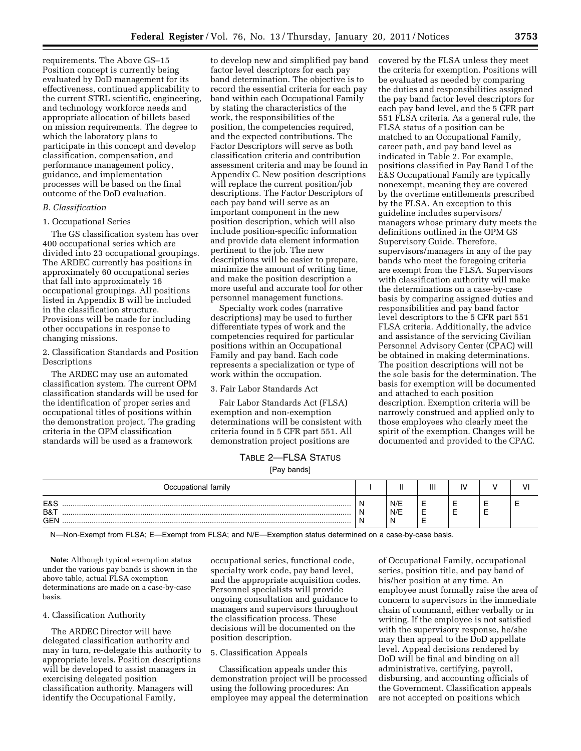requirements. The Above GS–15 Position concept is currently being evaluated by DoD management for its effectiveness, continued applicability to the current STRL scientific, engineering, and technology workforce needs and appropriate allocation of billets based on mission requirements. The degree to which the laboratory plans to participate in this concept and develop classification, compensation, and performance management policy, guidance, and implementation processes will be based on the final outcome of the DoD evaluation.

#### *B. Classification*

#### 1. Occupational Series

The GS classification system has over 400 occupational series which are divided into 23 occupational groupings. The ARDEC currently has positions in approximately 60 occupational series that fall into approximately 16 occupational groupings. All positions listed in Appendix B will be included in the classification structure. Provisions will be made for including other occupations in response to changing missions.

2. Classification Standards and Position Descriptions

The ARDEC may use an automated classification system. The current OPM classification standards will be used for the identification of proper series and occupational titles of positions within the demonstration project. The grading criteria in the OPM classification standards will be used as a framework

to develop new and simplified pay band factor level descriptors for each pay band determination. The objective is to record the essential criteria for each pay band within each Occupational Family by stating the characteristics of the work, the responsibilities of the position, the competencies required, and the expected contributions. The Factor Descriptors will serve as both classification criteria and contribution assessment criteria and may be found in Appendix C. New position descriptions will replace the current position/job descriptions. The Factor Descriptors of each pay band will serve as an important component in the new position description, which will also include position-specific information and provide data element information pertinent to the job. The new descriptions will be easier to prepare, minimize the amount of writing time, and make the position description a more useful and accurate tool for other personnel management functions.

Specialty work codes (narrative descriptions) may be used to further differentiate types of work and the competencies required for particular positions within an Occupational Family and pay band. Each code represents a specialization or type of work within the occupation.

#### 3. Fair Labor Standards Act

Fair Labor Standards Act (FLSA) exemption and non-exemption determinations will be consistent with criteria found in 5 CFR part 551. All demonstration project positions are

covered by the FLSA unless they meet the criteria for exemption. Positions will be evaluated as needed by comparing the duties and responsibilities assigned the pay band factor level descriptors for each pay band level, and the 5 CFR part 551 FLSA criteria. As a general rule, the FLSA status of a position can be matched to an Occupational Family, career path, and pay band level as indicated in Table 2. For example, positions classified in Pay Band I of the E&S Occupational Family are typically nonexempt, meaning they are covered by the overtime entitlements prescribed by the FLSA. An exception to this guideline includes supervisors/ managers whose primary duty meets the definitions outlined in the OPM GS Supervisory Guide. Therefore, supervisors/managers in any of the pay bands who meet the foregoing criteria are exempt from the FLSA. Supervisors with classification authority will make the determinations on a case-by-case basis by comparing assigned duties and responsibilities and pay band factor level descriptors to the 5 CFR part 551 FLSA criteria. Additionally, the advice and assistance of the servicing Civilian Personnel Advisory Center (CPAC) will be obtained in making determinations. The position descriptions will not be the sole basis for the determination. The basis for exemption will be documented and attached to each position description. Exemption criteria will be narrowly construed and applied only to those employees who clearly meet the spirit of the exemption. Changes will be documented and provided to the CPAC.

# TABLE 2—FLSA STATUS [Pay bands]

| Occupational family      |             | ш          | Ш                | $\mathbf{u}$ |   | w |
|--------------------------|-------------|------------|------------------|--------------|---|---|
| E&S<br>B&T<br><b>GEN</b> | N<br>N<br>N | N/E<br>N/E | -<br>-<br>-<br>- | --<br>--     | - |   |

N—Non-Exempt from FLSA; E—Exempt from FLSA; and N/E—Exemption status determined on a case-by-case basis.

**Note:** Although typical exemption status under the various pay bands is shown in the above table, actual FLSA exemption determinations are made on a case-by-case basis.

#### 4. Classification Authority

The ARDEC Director will have delegated classification authority and may in turn, re-delegate this authority to appropriate levels. Position descriptions will be developed to assist managers in exercising delegated position classification authority. Managers will identify the Occupational Family,

occupational series, functional code, specialty work code, pay band level, and the appropriate acquisition codes. Personnel specialists will provide ongoing consultation and guidance to managers and supervisors throughout the classification process. These decisions will be documented on the position description.

#### 5. Classification Appeals

Classification appeals under this demonstration project will be processed using the following procedures: An employee may appeal the determination of Occupational Family, occupational series, position title, and pay band of his/her position at any time. An employee must formally raise the area of concern to supervisors in the immediate chain of command, either verbally or in writing. If the employee is not satisfied with the supervisory response, he/she may then appeal to the DoD appellate level. Appeal decisions rendered by DoD will be final and binding on all administrative, certifying, payroll, disbursing, and accounting officials of the Government. Classification appeals are not accepted on positions which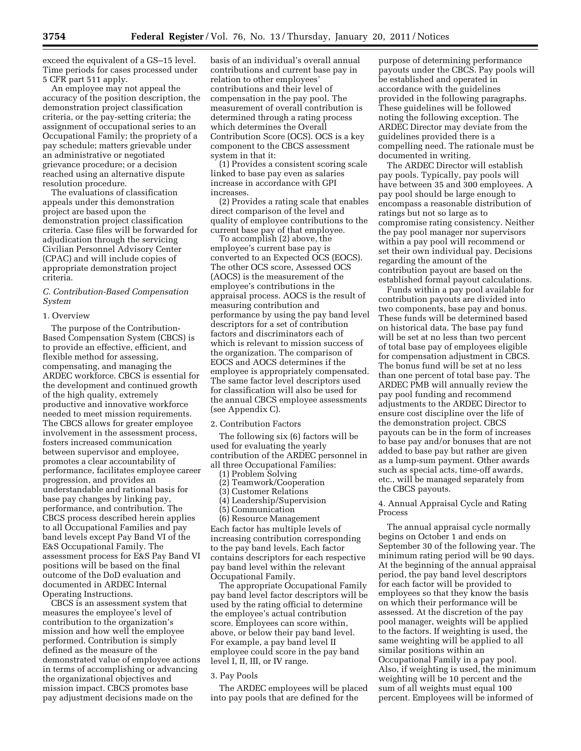exceed the equivalent of a GS–15 level. Time periods for cases processed under 5 CFR part 511 apply.

An employee may not appeal the accuracy of the position description, the demonstration project classification criteria, or the pay-setting criteria; the assignment of occupational series to an Occupational Family; the propriety of a pay schedule; matters grievable under an administrative or negotiated grievance procedure; or a decision reached using an alternative dispute resolution procedure.

The evaluations of classification appeals under this demonstration project are based upon the demonstration project classification criteria. Case files will be forwarded for adjudication through the servicing Civilian Personnel Advisory Center (CPAC) and will include copies of appropriate demonstration project criteria.

## *C. Contribution-Based Compensation System*

#### 1. Overview

The purpose of the Contribution-Based Compensation System (CBCS) is to provide an effective, efficient, and flexible method for assessing, compensating, and managing the ARDEC workforce. CBCS is essential for the development and continued growth of the high quality, extremely productive and innovative workforce needed to meet mission requirements. The CBCS allows for greater employee involvement in the assessment process, fosters increased communication between supervisor and employee, promotes a clear accountability of performance, facilitates employee career progression, and provides an understandable and rational basis for base pay changes by linking pay, performance, and contribution. The CBCS process described herein applies to all Occupational Families and pay band levels except Pay Band VI of the E&S Occupational Family. The assessment process for E&S Pay Band VI positions will be based on the final outcome of the DoD evaluation and documented in ARDEC Internal Operating Instructions.

CBCS is an assessment system that measures the employee's level of contribution to the organization's mission and how well the employee performed. Contribution is simply defined as the measure of the demonstrated value of employee actions in terms of accomplishing or advancing the organizational objectives and mission impact. CBCS promotes base pay adjustment decisions made on the

basis of an individual's overall annual contributions and current base pay in relation to other employees' contributions and their level of compensation in the pay pool. The measurement of overall contribution is determined through a rating process which determines the Overall Contribution Score (OCS). OCS is a key component to the CBCS assessment system in that it:

(1) Provides a consistent scoring scale linked to base pay even as salaries increase in accordance with GPI increases.

(2) Provides a rating scale that enables direct comparison of the level and quality of employee contributions to the current base pay of that employee.

To accomplish (2) above, the employee's current base pay is converted to an Expected OCS (EOCS). The other OCS score, Assessed OCS (AOCS) is the measurement of the employee's contributions in the appraisal process. AOCS is the result of measuring contribution and performance by using the pay band level descriptors for a set of contribution factors and discriminators each of which is relevant to mission success of the organization. The comparison of EOCS and AOCS determines if the employee is appropriately compensated. The same factor level descriptors used for classification will also be used for the annual CBCS employee assessments (see Appendix C).

#### 2. Contribution Factors

The following six (6) factors will be used for evaluating the yearly contribution of the ARDEC personnel in all three Occupational Families:

- (1) Problem Solving
- (2) Teamwork/Cooperation
- (3) Customer Relations
- (4) Leadership/Supervision
- (5) Communication
- (6) Resource Management Each factor has multiple levels of increasing contribution corresponding to the pay band levels. Each factor contains descriptors for each respective pay band level within the relevant Occupational Family.

The appropriate Occupational Family pay band level factor descriptors will be used by the rating official to determine the employee's actual contribution score. Employees can score within, above, or below their pay band level. For example, a pay band level II employee could score in the pay band level I, II, III, or IV range.

#### 3. Pay Pools

The ARDEC employees will be placed into pay pools that are defined for the

purpose of determining performance payouts under the CBCS. Pay pools will be established and operated in accordance with the guidelines provided in the following paragraphs. These guidelines will be followed noting the following exception. The ARDEC Director may deviate from the guidelines provided there is a compelling need. The rationale must be documented in writing.

The ARDEC Director will establish pay pools. Typically, pay pools will have between 35 and 300 employees. A pay pool should be large enough to encompass a reasonable distribution of ratings but not so large as to compromise rating consistency. Neither the pay pool manager nor supervisors within a pay pool will recommend or set their own individual pay. Decisions regarding the amount of the contribution payout are based on the established formal payout calculations.

Funds within a pay pool available for contribution payouts are divided into two components, base pay and bonus. These funds will be determined based on historical data. The base pay fund will be set at no less than two percent of total base pay of employees eligible for compensation adjustment in CBCS. The bonus fund will be set at no less than one percent of total base pay. The ARDEC PMB will annually review the pay pool funding and recommend adjustments to the ARDEC Director to ensure cost discipline over the life of the demonstration project. CBCS payouts can be in the form of increases to base pay and/or bonuses that are not added to base pay but rather are given as a lump-sum payment. Other awards such as special acts, time-off awards, etc., will be managed separately from the CBCS payouts.

#### 4. Annual Appraisal Cycle and Rating Process

The annual appraisal cycle normally begins on October 1 and ends on September 30 of the following year. The minimum rating period will be 90 days. At the beginning of the annual appraisal period, the pay band level descriptors for each factor will be provided to employees so that they know the basis on which their performance will be assessed. At the discretion of the pay pool manager, weights will be applied to the factors. If weighting is used, the same weighting will be applied to all similar positions within an Occupational Family in a pay pool. Also, if weighting is used, the minimum weighting will be 10 percent and the sum of all weights must equal 100 percent. Employees will be informed of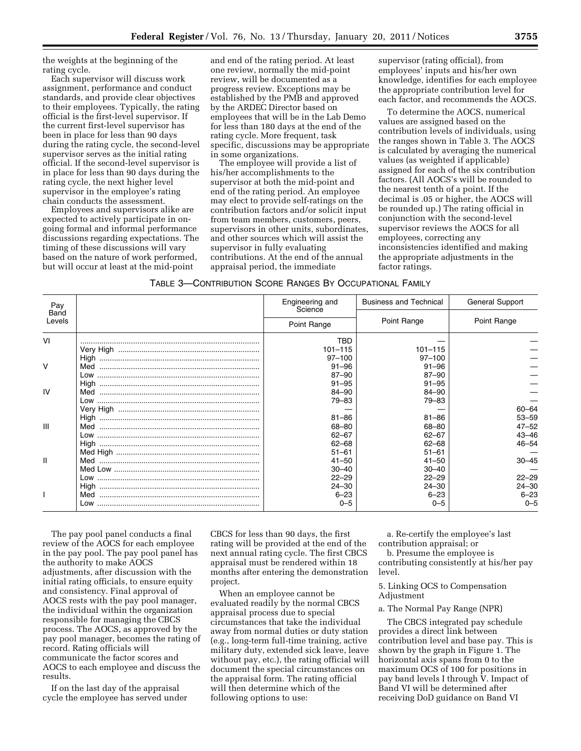the weights at the beginning of the rating cycle.

Each supervisor will discuss work assignment, performance and conduct standards, and provide clear objectives to their employees. Typically, the rating official is the first-level supervisor. If the current first-level supervisor has been in place for less than 90 days during the rating cycle, the second-level supervisor serves as the initial rating official. If the second-level supervisor is in place for less than 90 days during the rating cycle, the next higher level supervisor in the employee's rating chain conducts the assessment.

Employees and supervisors alike are expected to actively participate in ongoing formal and informal performance discussions regarding expectations. The timing of these discussions will vary based on the nature of work performed, but will occur at least at the mid-point

and end of the rating period. At least one review, normally the mid-point review, will be documented as a progress review. Exceptions may be established by the PMB and approved by the ARDEC Director based on employees that will be in the Lab Demo for less than 180 days at the end of the rating cycle. More frequent, task specific, discussions may be appropriate in some organizations.

The employee will provide a list of his/her accomplishments to the supervisor at both the mid-point and end of the rating period. An employee may elect to provide self-ratings on the contribution factors and/or solicit input from team members, customers, peers, supervisors in other units, subordinates, and other sources which will assist the supervisor in fully evaluating contributions. At the end of the annual appraisal period, the immediate

supervisor (rating official), from employees' inputs and his/her own knowledge, identifies for each employee the appropriate contribution level for each factor, and recommends the AOCS.

To determine the AOCS, numerical values are assigned based on the contribution levels of individuals, using the ranges shown in Table 3. The AOCS is calculated by averaging the numerical values (as weighted if applicable) assigned for each of the six contribution factors. (All AOCS's will be rounded to the nearest tenth of a point. If the decimal is .05 or higher, the AOCS will be rounded up.) The rating official in conjunction with the second-level supervisor reviews the AOCS for all employees, correcting any inconsistencies identified and making the appropriate adjustments in the factor ratings.

| TABLE 3—CONTRIBUTION SCORE RANGES BY OCCUPATIONAL FAMILY |  |
|----------------------------------------------------------|--|
|----------------------------------------------------------|--|

| Pay            | Engineering and<br>Science | <b>Business and Technical</b> | <b>General Support</b> |
|----------------|----------------------------|-------------------------------|------------------------|
| Band<br>Levels | Point Range                | Point Range                   | Point Range            |
| VI             | TBD                        |                               |                        |
|                | $101 - 115$                | $101 - 115$                   |                        |
|                | $97 - 100$                 | $97 - 100$                    |                        |
| $\vee$         | $91 - 96$                  | $91 - 96$                     |                        |
|                | 87-90                      | $87 - 90$                     |                        |
|                | $91 - 95$                  | $91 - 95$                     |                        |
| IV             | 84-90                      | 84-90                         |                        |
|                | 79-83                      | 79-83                         |                        |
|                |                            |                               | $60 - 64$              |
|                | $81 - 86$                  | $81 - 86$                     | $53 - 59$              |
| $\mathbf{III}$ | 68-80                      | 68-80                         | $47 - 52$              |
|                | $62 - 67$                  | $62 - 67$                     | $43 - 46$              |
|                | $62 - 68$                  | $62 - 68$                     | $46 - 54$              |
|                | $51 - 61$                  | $51 - 61$                     |                        |
| $\mathbf{I}$   | $41 - 50$                  | $41 - 50$                     | $30 - 45$              |
|                | $30 - 40$                  | $30 - 40$                     |                        |
|                | $22 - 29$                  | $22 - 29$                     | $22 - 29$              |
|                | $24 - 30$                  | $24 - 30$                     | $24 - 30$              |
|                | $6 - 23$                   | $6 - 23$                      | $6 - 23$               |
|                | $0 - 5$                    | $0 - 5$                       | $0 - 5$                |

The pay pool panel conducts a final review of the AOCS for each employee in the pay pool. The pay pool panel has the authority to make AOCS adjustments, after discussion with the initial rating officials, to ensure equity and consistency. Final approval of AOCS rests with the pay pool manager, the individual within the organization responsible for managing the CBCS process. The AOCS, as approved by the pay pool manager, becomes the rating of record. Rating officials will communicate the factor scores and AOCS to each employee and discuss the results.

If on the last day of the appraisal cycle the employee has served under

CBCS for less than 90 days, the first rating will be provided at the end of the next annual rating cycle. The first CBCS appraisal must be rendered within 18 months after entering the demonstration project.

When an employee cannot be evaluated readily by the normal CBCS appraisal process due to special circumstances that take the individual away from normal duties or duty station (e.g., long-term full-time training, active military duty, extended sick leave, leave without pay, etc.), the rating official will document the special circumstances on the appraisal form. The rating official will then determine which of the following options to use:

a. Re-certify the employee's last contribution appraisal; or

b. Presume the employee is contributing consistently at his/her pay level.

5. Linking OCS to Compensation Adjustment

# a. The Normal Pay Range (NPR)

The CBCS integrated pay schedule provides a direct link between contribution level and base pay. This is shown by the graph in Figure 1. The horizontal axis spans from 0 to the maximum OCS of 100 for positions in pay band levels I through V. Impact of Band VI will be determined after receiving DoD guidance on Band VI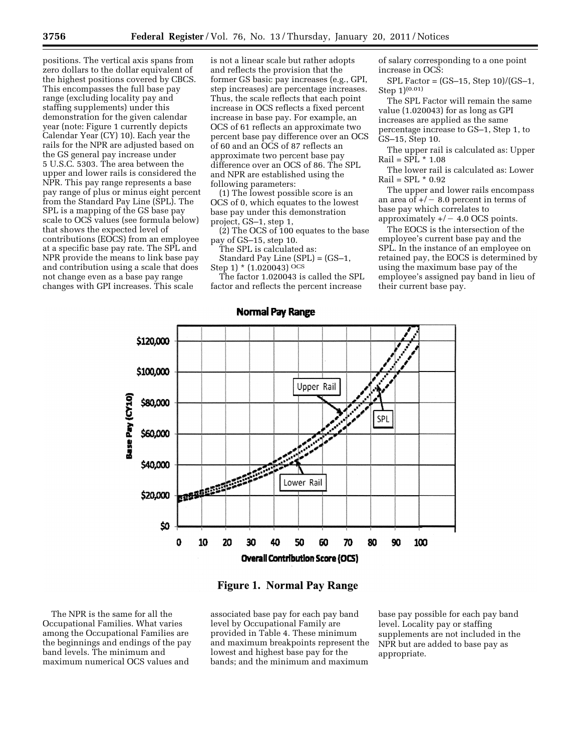positions. The vertical axis spans from zero dollars to the dollar equivalent of the highest positions covered by CBCS. This encompasses the full base pay range (excluding locality pay and staffing supplements) under this demonstration for the given calendar year (note: Figure 1 currently depicts Calendar Year (CY) 10). Each year the rails for the NPR are adjusted based on the GS general pay increase under 5 U.S.C. 5303. The area between the upper and lower rails is considered the NPR. This pay range represents a base pay range of plus or minus eight percent from the Standard Pay Line (SPL). The SPL is a mapping of the GS base pay scale to OCS values (see formula below) that shows the expected level of contributions (EOCS) from an employee at a specific base pay rate. The SPL and NPR provide the means to link base pay and contribution using a scale that does not change even as a base pay range changes with GPI increases. This scale

is not a linear scale but rather adopts and reflects the provision that the former GS basic pay increases (e.g., GPI, step increases) are percentage increases. Thus, the scale reflects that each point increase in OCS reflects a fixed percent increase in base pay. For example, an OCS of 61 reflects an approximate two percent base pay difference over an OCS of 60 and an OCS of 87 reflects an approximate two percent base pay difference over an OCS of 86. The SPL and NPR are established using the following parameters:

(1) The lowest possible score is an OCS of 0, which equates to the lowest base pay under this demonstration project, GS–1, step 1,

(2) The OCS of 100 equates to the base pay of GS–15, step 10.

The SPL is calculated as: Standard Pay Line (SPL) = (GS–1, Step 1) \* (1.020043) OCS

The factor 1.020043 is called the SPL factor and reflects the percent increase

of salary corresponding to a one point increase in OCS:

SPL Factor = (GS–15, Step 10)/(GS–1, Step 1)(0.01)

The SPL Factor will remain the same value (1.020043) for as long as GPI increases are applied as the same percentage increase to GS–1, Step 1, to GS–15, Step 10.

The upper rail is calculated as: Upper  $Rail = SPIL * 1.08$ 

The lower rail is calculated as: Lower Rail = SPL \* 0.92

The upper and lower rails encompass an area of  $+/-$  8.0 percent in terms of base pay which correlates to approximately  $+/-$  4.0 OCS points.

The EOCS is the intersection of the employee's current base pay and the SPL. In the instance of an employee on retained pay, the EOCS is determined by using the maximum base pay of the employee's assigned pay band in lieu of their current base pay.



# **Figure 1. Normal Pay Range**

The NPR is the same for all the Occupational Families. What varies among the Occupational Families are the beginnings and endings of the pay band levels. The minimum and maximum numerical OCS values and

associated base pay for each pay band level by Occupational Family are provided in Table 4. These minimum and maximum breakpoints represent the lowest and highest base pay for the bands; and the minimum and maximum

base pay possible for each pay band level. Locality pay or staffing supplements are not included in the NPR but are added to base pay as appropriate.

**Normal Pay Range**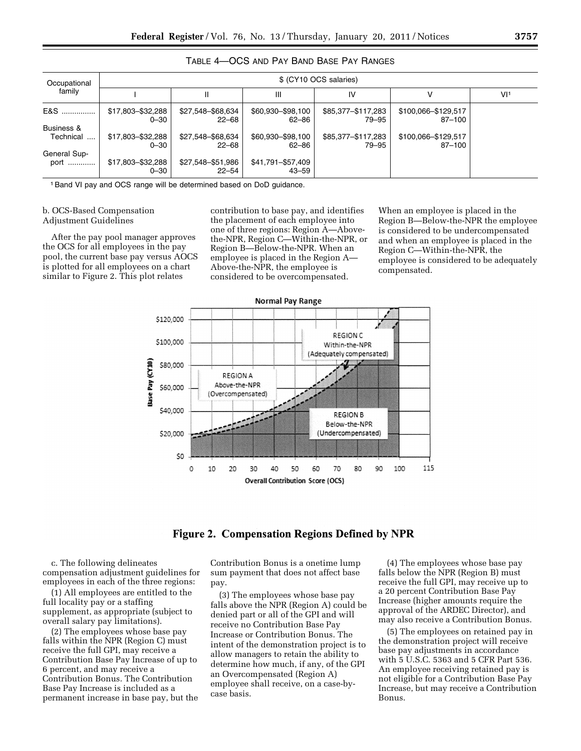| Occupational            | \$ (CY10 OCS salaries)        |                            |                              |                             |                               |                 |  |  |  |
|-------------------------|-------------------------------|----------------------------|------------------------------|-----------------------------|-------------------------------|-----------------|--|--|--|
| family                  |                               | Ш                          | Ш                            | IV                          | ν                             | VI <sup>1</sup> |  |  |  |
| E&S                     | \$17,803-\$32,288<br>$0 - 30$ | \$27,548-\$68,634<br>22-68 | \$60,930 - \$98,100<br>62-86 | \$85,377-\$117,283<br>79–95 | \$100,066-\$129,517<br>87-100 |                 |  |  |  |
| Business &<br>Technical | \$17,803-\$32,288<br>$0 - 30$ | \$27,548-\$68,634<br>22-68 | \$60,930 - \$98,100<br>62-86 | \$85,377-\$117,283<br>79–95 | \$100,066-\$129,517<br>87-100 |                 |  |  |  |
| General Sup-<br>port    | \$17,803-\$32,288<br>$0 - 30$ | \$27,548-\$51,986<br>22–54 | \$41,791-\$57,409<br>43–59   |                             |                               |                 |  |  |  |

# TABLE 4—OCS AND PAY BAND BASE PAY RANGES

<sup>1</sup> Band VI pay and OCS range will be determined based on DoD guidance.

#### b. OCS-Based Compensation Adjustment Guidelines

After the pay pool manager approves the OCS for all employees in the pay pool, the current base pay versus AOCS is plotted for all employees on a chart similar to Figure 2. This plot relates

contribution to base pay, and identifies the placement of each employee into one of three regions: Region A—Abovethe-NPR, Region C—Within-the-NPR, or Region B—Below-the-NPR. When an employee is placed in the Region A— Above-the-NPR, the employee is considered to be overcompensated.

When an employee is placed in the Region B—Below-the-NPR the employee is considered to be undercompensated and when an employee is placed in the Region C—Within-the-NPR, the employee is considered to be adequately compensated.



# **Figure 2. Compensation Regions Defined by NPR**

c. The following delineates compensation adjustment guidelines for employees in each of the three regions:

(1) All employees are entitled to the full locality pay or a staffing supplement, as appropriate (subject to overall salary pay limitations).

(2) The employees whose base pay falls within the NPR (Region C) must receive the full GPI, may receive a Contribution Base Pay Increase of up to 6 percent, and may receive a Contribution Bonus. The Contribution Base Pay Increase is included as a permanent increase in base pay, but the Contribution Bonus is a onetime lump sum payment that does not affect base pay.

(3) The employees whose base pay falls above the NPR (Region A) could be denied part or all of the GPI and will receive no Contribution Base Pay Increase or Contribution Bonus. The intent of the demonstration project is to allow managers to retain the ability to determine how much, if any, of the GPI an Overcompensated (Region A) employee shall receive, on a case-bycase basis.

(4) The employees whose base pay falls below the NPR (Region B) must receive the full GPI, may receive up to a 20 percent Contribution Base Pay Increase (higher amounts require the approval of the ARDEC Director), and may also receive a Contribution Bonus.

(5) The employees on retained pay in the demonstration project will receive base pay adjustments in accordance with 5 U.S.C. 5363 and 5 CFR Part 536. An employee receiving retained pay is not eligible for a Contribution Base Pay Increase, but may receive a Contribution Bonus.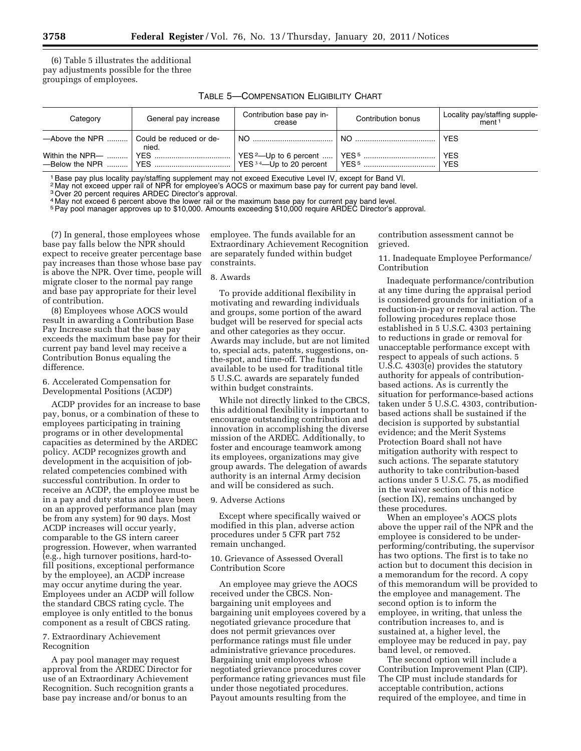(6) Table 5 illustrates the additional pay adjustments possible for the three groupings of employees.

| TABLE 5—COMPENSATION ELIGIBILITY CHART |  |
|----------------------------------------|--|
|----------------------------------------|--|

| Category                | General pay increase             | Contribution base pay in-<br>crease | Contribution bonus | Locality pay/staffing supple-<br>ment <sup>1</sup> |
|-------------------------|----------------------------------|-------------------------------------|--------------------|----------------------------------------------------|
| $-\lambda$ bove the NPR | Could be reduced or de-<br>nied. | $NO$                                | $NO$               | <b>YES</b>                                         |
| Within the NPR—         |                                  |                                     |                    | <b>YES</b><br><b>YES</b>                           |

<sup>1</sup> Base pay plus locality pay/staffing supplement may not exceed Executive Level IV, except for Band VI.<br><sup>2</sup> May not exceed upper rail of NPR for employee's AOCS or maximum base pay for current pay band level.

3Over 20 percent requires ARDEC Director's approval.

4 May not exceed 6 percent above the lower rail or the maximum base pay for current pay band level.

<sup>5</sup>Pay pool manager approves up to \$10,000. Amounts exceeding \$10,000 require ARDEC Director's approval.

(7) In general, those employees whose base pay falls below the NPR should expect to receive greater percentage base pay increases than those whose base pay is above the NPR. Over time, people will migrate closer to the normal pay range and base pay appropriate for their level of contribution.

(8) Employees whose AOCS would result in awarding a Contribution Base Pay Increase such that the base pay exceeds the maximum base pay for their current pay band level may receive a Contribution Bonus equaling the difference.

#### 6. Accelerated Compensation for Developmental Positions (ACDP)

ACDP provides for an increase to base pay, bonus, or a combination of these to employees participating in training programs or in other developmental capacities as determined by the ARDEC policy. ACDP recognizes growth and development in the acquisition of jobrelated competencies combined with successful contribution. In order to receive an ACDP, the employee must be in a pay and duty status and have been on an approved performance plan (may be from any system) for 90 days. Most ACDP increases will occur yearly, comparable to the GS intern career progression. However, when warranted (e.g., high turnover positions, hard-tofill positions, exceptional performance by the employee), an ACDP increase may occur anytime during the year. Employees under an ACDP will follow the standard CBCS rating cycle. The employee is only entitled to the bonus component as a result of CBCS rating.

#### 7. Extraordinary Achievement Recognition

A pay pool manager may request approval from the ARDEC Director for use of an Extraordinary Achievement Recognition. Such recognition grants a base pay increase and/or bonus to an

employee. The funds available for an Extraordinary Achievement Recognition are separately funded within budget constraints.

#### 8. Awards

To provide additional flexibility in motivating and rewarding individuals and groups, some portion of the award budget will be reserved for special acts and other categories as they occur. Awards may include, but are not limited to, special acts, patents, suggestions, onthe-spot, and time-off. The funds available to be used for traditional title 5 U.S.C. awards are separately funded within budget constraints.

While not directly linked to the CBCS, this additional flexibility is important to encourage outstanding contribution and innovation in accomplishing the diverse mission of the ARDEC. Additionally, to foster and encourage teamwork among its employees, organizations may give group awards. The delegation of awards authority is an internal Army decision and will be considered as such.

#### 9. Adverse Actions

Except where specifically waived or modified in this plan, adverse action procedures under 5 CFR part 752 remain unchanged.

#### 10. Grievance of Assessed Overall Contribution Score

An employee may grieve the AOCS received under the CBCS. Nonbargaining unit employees and bargaining unit employees covered by a negotiated grievance procedure that does not permit grievances over performance ratings must file under administrative grievance procedures. Bargaining unit employees whose negotiated grievance procedures cover performance rating grievances must file under those negotiated procedures. Payout amounts resulting from the

contribution assessment cannot be grieved.

#### 11. Inadequate Employee Performance/ Contribution

Inadequate performance/contribution at any time during the appraisal period is considered grounds for initiation of a reduction-in-pay or removal action. The following procedures replace those established in 5 U.S.C. 4303 pertaining to reductions in grade or removal for unacceptable performance except with respect to appeals of such actions. 5 U.S.C. 4303(e) provides the statutory authority for appeals of contributionbased actions. As is currently the situation for performance-based actions taken under 5 U.S.C. 4303, contributionbased actions shall be sustained if the decision is supported by substantial evidence; and the Merit Systems Protection Board shall not have mitigation authority with respect to such actions. The separate statutory authority to take contribution-based actions under 5 U.S.C. 75, as modified in the waiver section of this notice (section IX), remains unchanged by these procedures.

When an employee's AOCS plots above the upper rail of the NPR and the employee is considered to be underperforming/contributing, the supervisor has two options. The first is to take no action but to document this decision in a memorandum for the record. A copy of this memorandum will be provided to the employee and management. The second option is to inform the employee, in writing, that unless the contribution increases to, and is sustained at, a higher level, the employee may be reduced in pay, pay band level, or removed.

The second option will include a Contribution Improvement Plan (CIP). The CIP must include standards for acceptable contribution, actions required of the employee, and time in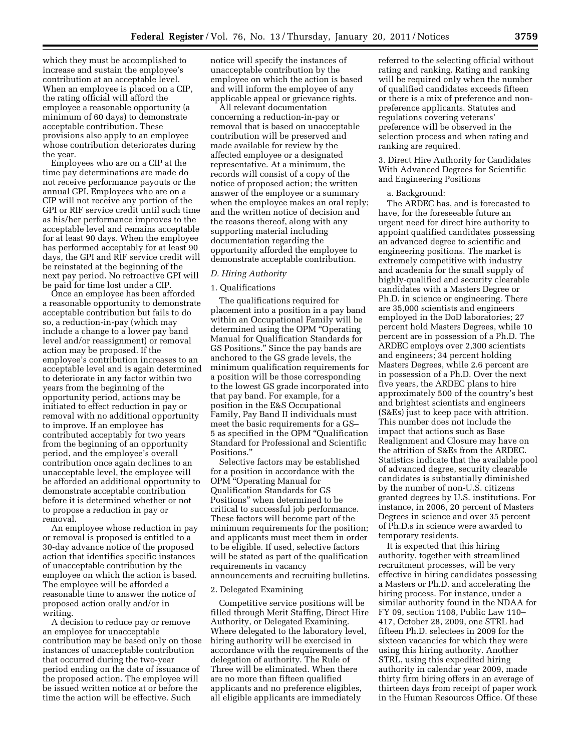which they must be accomplished to increase and sustain the employee's contribution at an acceptable level. When an employee is placed on a CIP, the rating official will afford the employee a reasonable opportunity (a minimum of 60 days) to demonstrate acceptable contribution. These provisions also apply to an employee whose contribution deteriorates during the year.

Employees who are on a CIP at the time pay determinations are made do not receive performance payouts or the annual GPI. Employees who are on a CIP will not receive any portion of the GPI or RIF service credit until such time as his/her performance improves to the acceptable level and remains acceptable for at least 90 days. When the employee has performed acceptably for at least 90 days, the GPI and RIF service credit will be reinstated at the beginning of the next pay period. No retroactive GPI will be paid for time lost under a CIP.

Once an employee has been afforded a reasonable opportunity to demonstrate acceptable contribution but fails to do so, a reduction-in-pay (which may include a change to a lower pay band level and/or reassignment) or removal action may be proposed. If the employee's contribution increases to an acceptable level and is again determined to deteriorate in any factor within two years from the beginning of the opportunity period, actions may be initiated to effect reduction in pay or removal with no additional opportunity to improve. If an employee has contributed acceptably for two years from the beginning of an opportunity period, and the employee's overall contribution once again declines to an unacceptable level, the employee will be afforded an additional opportunity to demonstrate acceptable contribution before it is determined whether or not to propose a reduction in pay or removal.

An employee whose reduction in pay or removal is proposed is entitled to a 30-day advance notice of the proposed action that identifies specific instances of unacceptable contribution by the employee on which the action is based. The employee will be afforded a reasonable time to answer the notice of proposed action orally and/or in writing.

A decision to reduce pay or remove an employee for unacceptable contribution may be based only on those instances of unacceptable contribution that occurred during the two-year period ending on the date of issuance of the proposed action. The employee will be issued written notice at or before the time the action will be effective. Such

notice will specify the instances of unacceptable contribution by the employee on which the action is based and will inform the employee of any applicable appeal or grievance rights.

All relevant documentation concerning a reduction-in-pay or removal that is based on unacceptable contribution will be preserved and made available for review by the affected employee or a designated representative. At a minimum, the records will consist of a copy of the notice of proposed action; the written answer of the employee or a summary when the employee makes an oral reply; and the written notice of decision and the reasons thereof, along with any supporting material including documentation regarding the opportunity afforded the employee to demonstrate acceptable contribution.

#### *D. Hiring Authority*

#### 1. Qualifications

The qualifications required for placement into a position in a pay band within an Occupational Family will be determined using the OPM ''Operating Manual for Qualification Standards for GS Positions.'' Since the pay bands are anchored to the GS grade levels, the minimum qualification requirements for a position will be those corresponding to the lowest GS grade incorporated into that pay band. For example, for a position in the E&S Occupational Family, Pay Band II individuals must meet the basic requirements for a GS– 5 as specified in the OPM ''Qualification Standard for Professional and Scientific Positions.''

Selective factors may be established for a position in accordance with the OPM ''Operating Manual for Qualification Standards for GS Positions'' when determined to be critical to successful job performance. These factors will become part of the minimum requirements for the position; and applicants must meet them in order to be eligible. If used, selective factors will be stated as part of the qualification requirements in vacancy announcements and recruiting bulletins.

#### 2. Delegated Examining

Competitive service positions will be filled through Merit Staffing, Direct Hire Authority, or Delegated Examining. Where delegated to the laboratory level, hiring authority will be exercised in accordance with the requirements of the delegation of authority. The Rule of Three will be eliminated. When there are no more than fifteen qualified applicants and no preference eligibles, all eligible applicants are immediately

referred to the selecting official without rating and ranking. Rating and ranking will be required only when the number of qualified candidates exceeds fifteen or there is a mix of preference and nonpreference applicants. Statutes and regulations covering veterans' preference will be observed in the selection process and when rating and ranking are required.

3. Direct Hire Authority for Candidates With Advanced Degrees for Scientific and Engineering Positions

#### a. Background:

The ARDEC has, and is forecasted to have, for the foreseeable future an urgent need for direct hire authority to appoint qualified candidates possessing an advanced degree to scientific and engineering positions. The market is extremely competitive with industry and academia for the small supply of highly-qualified and security clearable candidates with a Masters Degree or Ph.D. in science or engineering. There are 35,000 scientists and engineers employed in the DoD laboratories; 27 percent hold Masters Degrees, while 10 percent are in possession of a Ph.D. The ARDEC employs over 2,300 scientists and engineers; 34 percent holding Masters Degrees, while 2.6 percent are in possession of a Ph.D. Over the next five years, the ARDEC plans to hire approximately 500 of the country's best and brightest scientists and engineers (S&Es) just to keep pace with attrition. This number does not include the impact that actions such as Base Realignment and Closure may have on the attrition of S&Es from the ARDEC. Statistics indicate that the available pool of advanced degree, security clearable candidates is substantially diminished by the number of non-U.S. citizens granted degrees by U.S. institutions. For instance, in 2006, 20 percent of Masters Degrees in science and over 35 percent of Ph.D.s in science were awarded to temporary residents.

It is expected that this hiring authority, together with streamlined recruitment processes, will be very effective in hiring candidates possessing a Masters or Ph.D. and accelerating the hiring process. For instance, under a similar authority found in the NDAA for FY 09, section 1108, Public Law 110– 417, October 28, 2009, one STRL had fifteen Ph.D. selectees in 2009 for the sixteen vacancies for which they were using this hiring authority. Another STRL, using this expedited hiring authority in calendar year 2009, made thirty firm hiring offers in an average of thirteen days from receipt of paper work in the Human Resources Office. Of these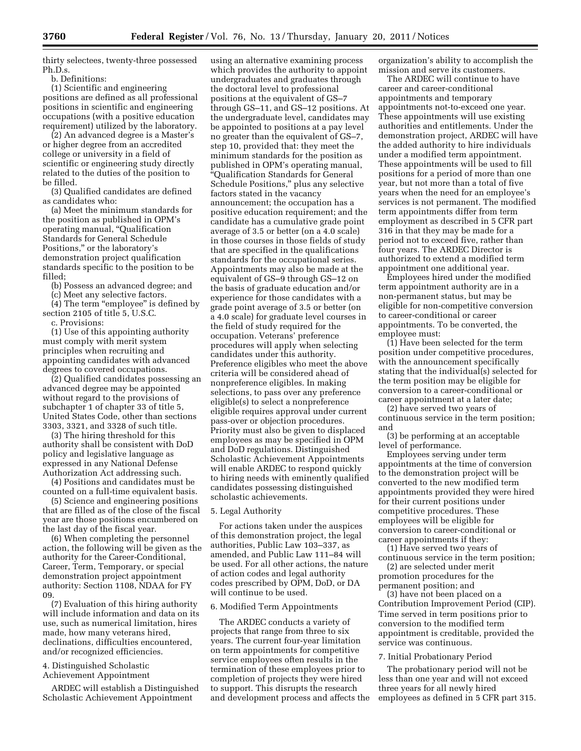thirty selectees, twenty-three possessed Ph.D.s.

b. Definitions:

(1) Scientific and engineering positions are defined as all professional positions in scientific and engineering occupations (with a positive education requirement) utilized by the laboratory.

(2) An advanced degree is a Master's or higher degree from an accredited college or university in a field of scientific or engineering study directly related to the duties of the position to be filled.

(3) Qualified candidates are defined as candidates who:

(a) Meet the minimum standards for the position as published in OPM's operating manual, ''Qualification Standards for General Schedule Positions,'' or the laboratory's demonstration project qualification standards specific to the position to be filled;

(b) Possess an advanced degree; and

(c) Meet any selective factors.  $(4)$  The term "employee" is defined by section 2105 of title 5, U.S.C.

c. Provisions:

(1) Use of this appointing authority must comply with merit system principles when recruiting and appointing candidates with advanced degrees to covered occupations.

(2) Qualified candidates possessing an advanced degree may be appointed without regard to the provisions of subchapter 1 of chapter 33 of title 5, United States Code, other than sections 3303, 3321, and 3328 of such title.

(3) The hiring threshold for this authority shall be consistent with DoD policy and legislative language as expressed in any National Defense Authorization Act addressing such.

(4) Positions and candidates must be counted on a full-time equivalent basis.

(5) Science and engineering positions that are filled as of the close of the fiscal year are those positions encumbered on the last day of the fiscal year.

(6) When completing the personnel action, the following will be given as the authority for the Career-Conditional, Career, Term, Temporary, or special demonstration project appointment authority: Section 1108, NDAA for FY 09.

(7) Evaluation of this hiring authority will include information and data on its use, such as numerical limitation, hires made, how many veterans hired, declinations, difficulties encountered, and/or recognized efficiencies.

#### 4. Distinguished Scholastic Achievement Appointment

ARDEC will establish a Distinguished Scholastic Achievement Appointment

using an alternative examining process which provides the authority to appoint undergraduates and graduates through the doctoral level to professional positions at the equivalent of GS–7 through GS–11, and GS–12 positions. At the undergraduate level, candidates may be appointed to positions at a pay level no greater than the equivalent of GS–7, step 10, provided that: they meet the minimum standards for the position as published in OPM's operating manual, ''Qualification Standards for General Schedule Positions,'' plus any selective factors stated in the vacancy announcement; the occupation has a positive education requirement; and the candidate has a cumulative grade point average of 3.5 or better (on a 4.0 scale) in those courses in those fields of study that are specified in the qualifications standards for the occupational series. Appointments may also be made at the equivalent of GS–9 through GS–12 on the basis of graduate education and/or experience for those candidates with a grade point average of 3.5 or better (on a 4.0 scale) for graduate level courses in the field of study required for the occupation. Veterans' preference procedures will apply when selecting candidates under this authority. Preference eligibles who meet the above criteria will be considered ahead of nonpreference eligibles. In making selections, to pass over any preference eligible(s) to select a nonpreference eligible requires approval under current pass-over or objection procedures. Priority must also be given to displaced employees as may be specified in OPM and DoD regulations. Distinguished Scholastic Achievement Appointments will enable ARDEC to respond quickly to hiring needs with eminently qualified candidates possessing distinguished scholastic achievements.

#### 5. Legal Authority

For actions taken under the auspices of this demonstration project, the legal authorities, Public Law 103–337, as amended, and Public Law 111–84 will be used. For all other actions, the nature of action codes and legal authority codes prescribed by OPM, DoD, or DA will continue to be used.

#### 6. Modified Term Appointments

The ARDEC conducts a variety of projects that range from three to six years. The current four-year limitation on term appointments for competitive service employees often results in the termination of these employees prior to completion of projects they were hired to support. This disrupts the research and development process and affects the

organization's ability to accomplish the mission and serve its customers.

The ARDEC will continue to have career and career-conditional appointments and temporary appointments not-to-exceed one year. These appointments will use existing authorities and entitlements. Under the demonstration project, ARDEC will have the added authority to hire individuals under a modified term appointment. These appointments will be used to fill positions for a period of more than one year, but not more than a total of five years when the need for an employee's services is not permanent. The modified term appointments differ from term employment as described in 5 CFR part 316 in that they may be made for a period not to exceed five, rather than four years. The ARDEC Director is authorized to extend a modified term appointment one additional year.

Employees hired under the modified term appointment authority are in a non-permanent status, but may be eligible for non-competitive conversion to career-conditional or career appointments. To be converted, the employee must:

(1) Have been selected for the term position under competitive procedures, with the announcement specifically stating that the individual(s) selected for the term position may be eligible for conversion to a career-conditional or career appointment at a later date;

(2) have served two years of continuous service in the term position; and

(3) be performing at an acceptable level of performance.

Employees serving under term appointments at the time of conversion to the demonstration project will be converted to the new modified term appointments provided they were hired for their current positions under competitive procedures. These employees will be eligible for conversion to career-conditional or career appointments if they:

(1) Have served two years of continuous service in the term position;

(2) are selected under merit promotion procedures for the permanent position; and

(3) have not been placed on a Contribution Improvement Period (CIP). Time served in term positions prior to conversion to the modified term appointment is creditable, provided the service was continuous.

#### 7. Initial Probationary Period

The probationary period will not be less than one year and will not exceed three years for all newly hired employees as defined in 5 CFR part 315.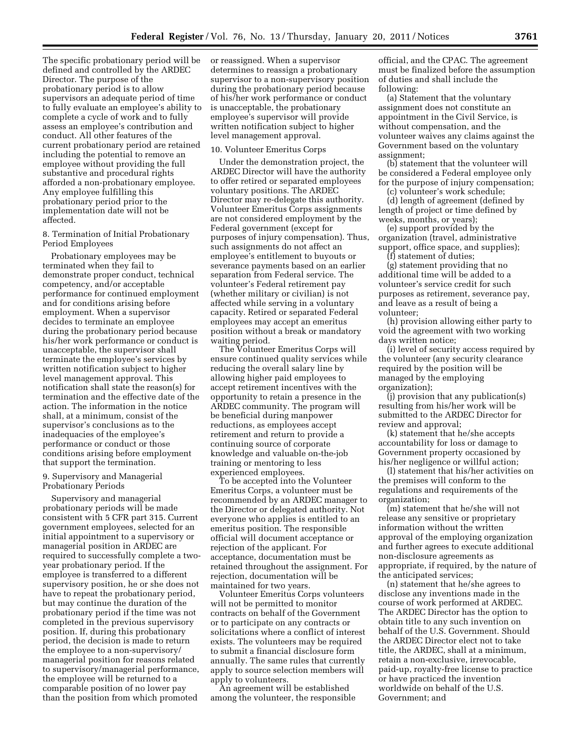The specific probationary period will be defined and controlled by the ARDEC Director. The purpose of the probationary period is to allow supervisors an adequate period of time to fully evaluate an employee's ability to complete a cycle of work and to fully assess an employee's contribution and conduct. All other features of the current probationary period are retained including the potential to remove an employee without providing the full substantive and procedural rights afforded a non-probationary employee. Any employee fulfilling this probationary period prior to the implementation date will not be affected.

8. Termination of Initial Probationary Period Employees

Probationary employees may be terminated when they fail to demonstrate proper conduct, technical competency, and/or acceptable performance for continued employment and for conditions arising before employment. When a supervisor decides to terminate an employee during the probationary period because his/her work performance or conduct is unacceptable, the supervisor shall terminate the employee's services by written notification subject to higher level management approval. This notification shall state the reason(s) for termination and the effective date of the action. The information in the notice shall, at a minimum, consist of the supervisor's conclusions as to the inadequacies of the employee's performance or conduct or those conditions arising before employment that support the termination.

#### 9. Supervisory and Managerial Probationary Periods

Supervisory and managerial probationary periods will be made consistent with 5 CFR part 315. Current government employees, selected for an initial appointment to a supervisory or managerial position in ARDEC are required to successfully complete a twoyear probationary period. If the employee is transferred to a different supervisory position, he or she does not have to repeat the probationary period, but may continue the duration of the probationary period if the time was not completed in the previous supervisory position. If, during this probationary period, the decision is made to return the employee to a non-supervisory/ managerial position for reasons related to supervisory/managerial performance, the employee will be returned to a comparable position of no lower pay than the position from which promoted

or reassigned. When a supervisor determines to reassign a probationary supervisor to a non-supervisory position during the probationary period because of his/her work performance or conduct is unacceptable, the probationary employee's supervisor will provide written notification subject to higher level management approval.

#### 10. Volunteer Emeritus Corps

Under the demonstration project, the ARDEC Director will have the authority to offer retired or separated employees voluntary positions. The ARDEC Director may re-delegate this authority. Volunteer Emeritus Corps assignments are not considered employment by the Federal government (except for purposes of injury compensation). Thus, such assignments do not affect an employee's entitlement to buyouts or severance payments based on an earlier separation from Federal service. The volunteer's Federal retirement pay (whether military or civilian) is not affected while serving in a voluntary capacity. Retired or separated Federal employees may accept an emeritus position without a break or mandatory waiting period.

The Volunteer Emeritus Corps will ensure continued quality services while reducing the overall salary line by allowing higher paid employees to accept retirement incentives with the opportunity to retain a presence in the ARDEC community. The program will be beneficial during manpower reductions, as employees accept retirement and return to provide a continuing source of corporate knowledge and valuable on-the-job training or mentoring to less experienced employees.

To be accepted into the Volunteer Emeritus Corps, a volunteer must be recommended by an ARDEC manager to the Director or delegated authority. Not everyone who applies is entitled to an emeritus position. The responsible official will document acceptance or rejection of the applicant. For acceptance, documentation must be retained throughout the assignment. For rejection, documentation will be maintained for two years.

Volunteer Emeritus Corps volunteers will not be permitted to monitor contracts on behalf of the Government or to participate on any contracts or solicitations where a conflict of interest exists. The volunteers may be required to submit a financial disclosure form annually. The same rules that currently apply to source selection members will apply to volunteers.

An agreement will be established among the volunteer, the responsible

official, and the CPAC. The agreement must be finalized before the assumption of duties and shall include the following:

(a) Statement that the voluntary assignment does not constitute an appointment in the Civil Service, is without compensation, and the volunteer waives any claims against the Government based on the voluntary assignment;

(b) statement that the volunteer will be considered a Federal employee only for the purpose of injury compensation;

(c) volunteer's work schedule;

(d) length of agreement (defined by length of project or time defined by weeks, months, or years);

(e) support provided by the organization (travel, administrative support, office space, and supplies);

(f) statement of duties; (g) statement providing that no

additional time will be added to a volunteer's service credit for such purposes as retirement, severance pay, and leave as a result of being a volunteer;

(h) provision allowing either party to void the agreement with two working days written notice;

(i) level of security access required by the volunteer (any security clearance required by the position will be managed by the employing organization);

 $(i)$  provision that any publication $(s)$ resulting from his/her work will be submitted to the ARDEC Director for review and approval;

(k) statement that he/she accepts accountability for loss or damage to Government property occasioned by his/her negligence or willful action;

(l) statement that his/her activities on the premises will conform to the regulations and requirements of the organization;

(m) statement that he/she will not release any sensitive or proprietary information without the written approval of the employing organization and further agrees to execute additional non-disclosure agreements as appropriate, if required, by the nature of the anticipated services;

(n) statement that he/she agrees to disclose any inventions made in the course of work performed at ARDEC. The ARDEC Director has the option to obtain title to any such invention on behalf of the U.S. Government. Should the ARDEC Director elect not to take title, the ARDEC, shall at a minimum, retain a non-exclusive, irrevocable, paid-up, royalty-free license to practice or have practiced the invention worldwide on behalf of the U.S. Government; and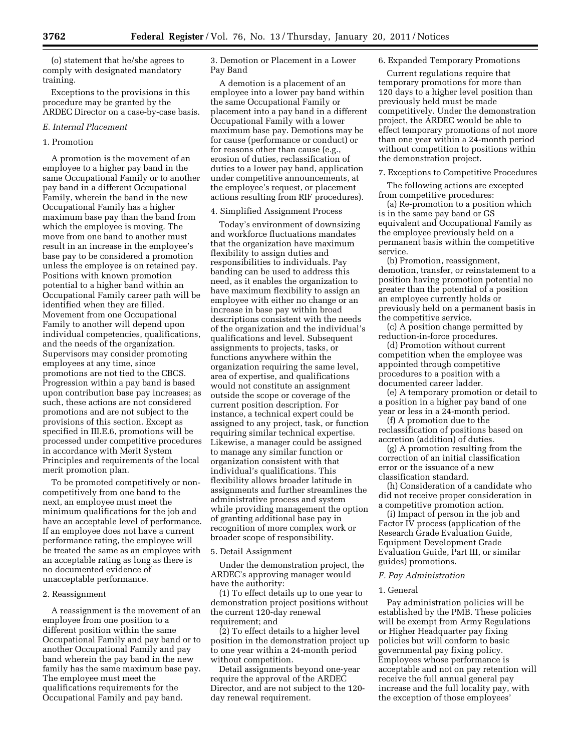(o) statement that he/she agrees to comply with designated mandatory training.

Exceptions to the provisions in this procedure may be granted by the ARDEC Director on a case-by-case basis.

#### *E. Internal Placement*

#### 1. Promotion

A promotion is the movement of an employee to a higher pay band in the same Occupational Family or to another pay band in a different Occupational Family, wherein the band in the new Occupational Family has a higher maximum base pay than the band from which the employee is moving. The move from one band to another must result in an increase in the employee's base pay to be considered a promotion unless the employee is on retained pay. Positions with known promotion potential to a higher band within an Occupational Family career path will be identified when they are filled. Movement from one Occupational Family to another will depend upon individual competencies, qualifications, and the needs of the organization. Supervisors may consider promoting employees at any time, since promotions are not tied to the CBCS. Progression within a pay band is based upon contribution base pay increases; as such, these actions are not considered promotions and are not subject to the provisions of this section. Except as specified in III.E.6, promotions will be processed under competitive procedures in accordance with Merit System Principles and requirements of the local merit promotion plan.

To be promoted competitively or noncompetitively from one band to the next, an employee must meet the minimum qualifications for the job and have an acceptable level of performance. If an employee does not have a current performance rating, the employee will be treated the same as an employee with an acceptable rating as long as there is no documented evidence of unacceptable performance.

#### 2. Reassignment

A reassignment is the movement of an employee from one position to a different position within the same Occupational Family and pay band or to another Occupational Family and pay band wherein the pay band in the new family has the same maximum base pay. The employee must meet the qualifications requirements for the Occupational Family and pay band.

3. Demotion or Placement in a Lower Pay Band

A demotion is a placement of an employee into a lower pay band within the same Occupational Family or placement into a pay band in a different Occupational Family with a lower maximum base pay. Demotions may be for cause (performance or conduct) or for reasons other than cause (e.g., erosion of duties, reclassification of duties to a lower pay band, application under competitive announcements, at the employee's request, or placement actions resulting from RIF procedures).

#### 4. Simplified Assignment Process

Today's environment of downsizing and workforce fluctuations mandates that the organization have maximum flexibility to assign duties and responsibilities to individuals. Pay banding can be used to address this need, as it enables the organization to have maximum flexibility to assign an employee with either no change or an increase in base pay within broad descriptions consistent with the needs of the organization and the individual's qualifications and level. Subsequent assignments to projects, tasks, or functions anywhere within the organization requiring the same level, area of expertise, and qualifications would not constitute an assignment outside the scope or coverage of the current position description. For instance, a technical expert could be assigned to any project, task, or function requiring similar technical expertise. Likewise, a manager could be assigned to manage any similar function or organization consistent with that individual's qualifications. This flexibility allows broader latitude in assignments and further streamlines the administrative process and system while providing management the option of granting additional base pay in recognition of more complex work or broader scope of responsibility.

#### 5. Detail Assignment

Under the demonstration project, the ARDEC's approving manager would have the authority:

(1) To effect details up to one year to demonstration project positions without the current 120-day renewal requirement; and

(2) To effect details to a higher level position in the demonstration project up to one year within a 24-month period without competition.

Detail assignments beyond one-year require the approval of the ARDEC Director, and are not subject to the 120 day renewal requirement.

#### 6. Expanded Temporary Promotions

Current regulations require that temporary promotions for more than 120 days to a higher level position than previously held must be made competitively. Under the demonstration project, the ARDEC would be able to effect temporary promotions of not more than one year within a 24-month period without competition to positions within the demonstration project.

#### 7. Exceptions to Competitive Procedures

The following actions are excepted from competitive procedures:

(a) Re-promotion to a position which is in the same pay band or GS equivalent and Occupational Family as the employee previously held on a permanent basis within the competitive service.

(b) Promotion, reassignment, demotion, transfer, or reinstatement to a position having promotion potential no greater than the potential of a position an employee currently holds or previously held on a permanent basis in the competitive service.

(c) A position change permitted by reduction-in-force procedures.

(d) Promotion without current competition when the employee was appointed through competitive procedures to a position with a documented career ladder.

(e) A temporary promotion or detail to a position in a higher pay band of one year or less in a 24-month period.

(f) A promotion due to the reclassification of positions based on accretion (addition) of duties.

(g) A promotion resulting from the correction of an initial classification error or the issuance of a new classification standard.

(h) Consideration of a candidate who did not receive proper consideration in a competitive promotion action.

(i) Impact of person in the job and Factor IV process (application of the Research Grade Evaluation Guide, Equipment Development Grade Evaluation Guide, Part III, or similar guides) promotions.

#### *F. Pay Administration*

#### 1. General

Pay administration policies will be established by the PMB. These policies will be exempt from Army Regulations or Higher Headquarter pay fixing policies but will conform to basic governmental pay fixing policy. Employees whose performance is acceptable and not on pay retention will receive the full annual general pay increase and the full locality pay, with the exception of those employees'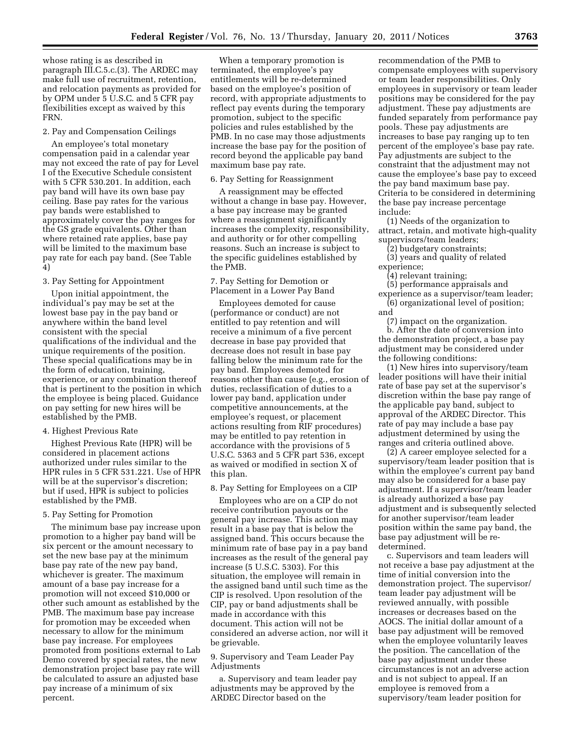whose rating is as described in paragraph III.C.5.c.(3). The ARDEC may make full use of recruitment, retention, and relocation payments as provided for by OPM under 5 U.S.C. and 5 CFR pay flexibilities except as waived by this FRN.

#### 2. Pay and Compensation Ceilings

An employee's total monetary compensation paid in a calendar year may not exceed the rate of pay for Level I of the Executive Schedule consistent with 5 CFR 530.201. In addition, each pay band will have its own base pay ceiling. Base pay rates for the various pay bands were established to approximately cover the pay ranges for the GS grade equivalents. Other than where retained rate applies, base pay will be limited to the maximum base pay rate for each pay band. (See Table 4)

#### 3. Pay Setting for Appointment

Upon initial appointment, the individual's pay may be set at the lowest base pay in the pay band or anywhere within the band level consistent with the special qualifications of the individual and the unique requirements of the position. These special qualifications may be in the form of education, training, experience, or any combination thereof that is pertinent to the position in which the employee is being placed. Guidance on pay setting for new hires will be established by the PMB.

#### 4. Highest Previous Rate

Highest Previous Rate (HPR) will be considered in placement actions authorized under rules similar to the HPR rules in 5 CFR 531.221. Use of HPR will be at the supervisor's discretion; but if used, HPR is subject to policies established by the PMB.

#### 5. Pay Setting for Promotion

The minimum base pay increase upon promotion to a higher pay band will be six percent or the amount necessary to set the new base pay at the minimum base pay rate of the new pay band, whichever is greater. The maximum amount of a base pay increase for a promotion will not exceed \$10,000 or other such amount as established by the PMB. The maximum base pay increase for promotion may be exceeded when necessary to allow for the minimum base pay increase. For employees promoted from positions external to Lab Demo covered by special rates, the new demonstration project base pay rate will be calculated to assure an adjusted base pay increase of a minimum of six percent.

When a temporary promotion is terminated, the employee's pay entitlements will be re-determined based on the employee's position of record, with appropriate adjustments to reflect pay events during the temporary promotion, subject to the specific policies and rules established by the PMB. In no case may those adjustments increase the base pay for the position of record beyond the applicable pay band maximum base pay rate.

#### 6. Pay Setting for Reassignment

A reassignment may be effected without a change in base pay. However, a base pay increase may be granted where a reassignment significantly increases the complexity, responsibility, and authority or for other compelling reasons. Such an increase is subject to the specific guidelines established by the PMB.

#### 7. Pay Setting for Demotion or Placement in a Lower Pay Band

Employees demoted for cause (performance or conduct) are not entitled to pay retention and will receive a minimum of a five percent decrease in base pay provided that decrease does not result in base pay falling below the minimum rate for the pay band. Employees demoted for reasons other than cause (e.g., erosion of duties, reclassification of duties to a lower pay band, application under competitive announcements, at the employee's request, or placement actions resulting from RIF procedures) may be entitled to pay retention in accordance with the provisions of 5 U.S.C. 5363 and 5 CFR part 536, except as waived or modified in section X of this plan.

#### 8. Pay Setting for Employees on a CIP

Employees who are on a CIP do not receive contribution payouts or the general pay increase. This action may result in a base pay that is below the assigned band. This occurs because the minimum rate of base pay in a pay band increases as the result of the general pay increase (5 U.S.C. 5303). For this situation, the employee will remain in the assigned band until such time as the CIP is resolved. Upon resolution of the CIP, pay or band adjustments shall be made in accordance with this document. This action will not be considered an adverse action, nor will it be grievable.

9. Supervisory and Team Leader Pay Adjustments

a. Supervisory and team leader pay adjustments may be approved by the ARDEC Director based on the

recommendation of the PMB to compensate employees with supervisory or team leader responsibilities. Only employees in supervisory or team leader positions may be considered for the pay adjustment. These pay adjustments are funded separately from performance pay pools. These pay adjustments are increases to base pay ranging up to ten percent of the employee's base pay rate. Pay adjustments are subject to the constraint that the adjustment may not cause the employee's base pay to exceed the pay band maximum base pay. Criteria to be considered in determining the base pay increase percentage include:

(1) Needs of the organization to attract, retain, and motivate high-quality supervisors/team leaders;

(2) budgetary constraints;

(3) years and quality of related experience;

(4) relevant training;

(5) performance appraisals and experience as a supervisor/team leader; (6) organizational level of position;

and

(7) impact on the organization. b. After the date of conversion into the demonstration project, a base pay adjustment may be considered under the following conditions:

(1) New hires into supervisory/team leader positions will have their initial rate of base pay set at the supervisor's discretion within the base pay range of the applicable pay band, subject to approval of the ARDEC Director. This rate of pay may include a base pay adjustment determined by using the ranges and criteria outlined above.

(2) A career employee selected for a supervisory/team leader position that is within the employee's current pay band may also be considered for a base pay adjustment. If a supervisor/team leader is already authorized a base pay adjustment and is subsequently selected for another supervisor/team leader position within the same pay band, the base pay adjustment will be redetermined.

c. Supervisors and team leaders will not receive a base pay adjustment at the time of initial conversion into the demonstration project. The supervisor/ team leader pay adjustment will be reviewed annually, with possible increases or decreases based on the AOCS. The initial dollar amount of a base pay adjustment will be removed when the employee voluntarily leaves the position. The cancellation of the base pay adjustment under these circumstances is not an adverse action and is not subject to appeal. If an employee is removed from a supervisory/team leader position for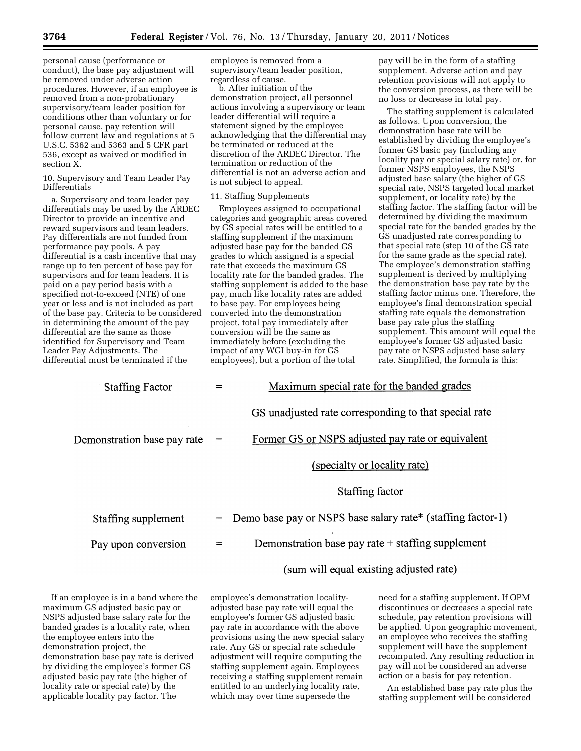personal cause (performance or conduct), the base pay adjustment will be removed under adverse action procedures. However, if an employee is removed from a non-probationary supervisory/team leader position for conditions other than voluntary or for personal cause, pay retention will follow current law and regulations at 5 U.S.C. 5362 and 5363 and 5 CFR part 536, except as waived or modified in section X.

10. Supervisory and Team Leader Pay Differentials

a. Supervisory and team leader pay differentials may be used by the ARDEC Director to provide an incentive and reward supervisors and team leaders. Pay differentials are not funded from performance pay pools. A pay differential is a cash incentive that may range up to ten percent of base pay for supervisors and for team leaders. It is paid on a pay period basis with a specified not-to-exceed (NTE) of one year or less and is not included as part of the base pay. Criteria to be considered in determining the amount of the pay differential are the same as those identified for Supervisory and Team Leader Pay Adjustments. The differential must be terminated if the

employee is removed from a supervisory/team leader position, regardless of cause.

b. After initiation of the demonstration project, all personnel actions involving a supervisory or team leader differential will require a statement signed by the employee acknowledging that the differential may be terminated or reduced at the discretion of the ARDEC Director. The termination or reduction of the differential is not an adverse action and is not subject to appeal.

#### 11. Staffing Supplements

Employees assigned to occupational categories and geographic areas covered by GS special rates will be entitled to a staffing supplement if the maximum adjusted base pay for the banded GS grades to which assigned is a special rate that exceeds the maximum GS locality rate for the banded grades. The staffing supplement is added to the base pay, much like locality rates are added to base pay. For employees being converted into the demonstration project, total pay immediately after conversion will be the same as immediately before (excluding the impact of any WGI buy-in for GS employees), but a portion of the total

pay will be in the form of a staffing supplement. Adverse action and pay retention provisions will not apply to the conversion process, as there will be no loss or decrease in total pay.

The staffing supplement is calculated as follows. Upon conversion, the demonstration base rate will be established by dividing the employee's former GS basic pay (including any locality pay or special salary rate) or, for former NSPS employees, the NSPS adjusted base salary (the higher of GS special rate, NSPS targeted local market supplement, or locality rate) by the staffing factor. The staffing factor will be determined by dividing the maximum special rate for the banded grades by the GS unadjusted rate corresponding to that special rate (step 10 of the GS rate for the same grade as the special rate). The employee's demonstration staffing supplement is derived by multiplying the demonstration base pay rate by the staffing factor minus one. Therefore, the employee's final demonstration special staffing rate equals the demonstration base pay rate plus the staffing supplement. This amount will equal the employee's former GS adjusted basic pay rate or NSPS adjusted base salary rate. Simplified, the formula is this:

| <b>Staffing Factor</b>      |     | Maximum special rate for the banded grades                  |
|-----------------------------|-----|-------------------------------------------------------------|
|                             |     | GS unadjusted rate corresponding to that special rate       |
| Demonstration base pay rate | $=$ | Former GS or NSPS adjusted pay rate or equivalent           |
|                             |     | (specialty or locality rate)                                |
|                             |     | Staffing factor                                             |
| Staffing supplement         | $=$ | Demo base pay or NSPS base salary rate* (staffing factor-1) |
| Pay upon conversion         | $=$ | Demonstration base pay rate + staffing supplement           |
|                             |     | (sum will equal existing adjusted rate)                     |

If an employee is in a band where the maximum GS adjusted basic pay or NSPS adjusted base salary rate for the banded grades is a locality rate, when the employee enters into the demonstration project, the demonstration base pay rate is derived by dividing the employee's former GS adjusted basic pay rate (the higher of locality rate or special rate) by the applicable locality pay factor. The

employee's demonstration localityadjusted base pay rate will equal the employee's former GS adjusted basic pay rate in accordance with the above provisions using the new special salary rate. Any GS or special rate schedule adjustment will require computing the staffing supplement again. Employees receiving a staffing supplement remain entitled to an underlying locality rate, which may over time supersede the

need for a staffing supplement. If OPM discontinues or decreases a special rate schedule, pay retention provisions will be applied. Upon geographic movement, an employee who receives the staffing supplement will have the supplement recomputed. Any resulting reduction in pay will not be considered an adverse action or a basis for pay retention.

An established base pay rate plus the staffing supplement will be considered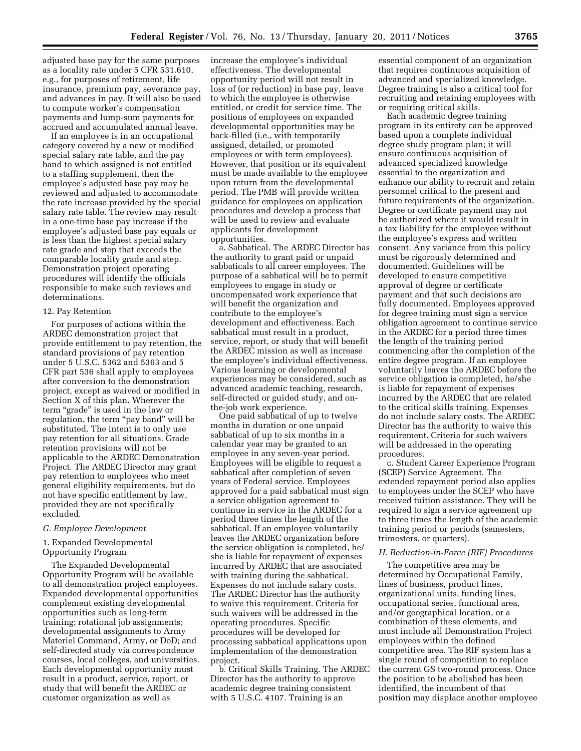adjusted base pay for the same purposes as a locality rate under 5 CFR 531.610, e.g., for purposes of retirement, life insurance, premium pay, severance pay, and advances in pay. It will also be used to compute worker's compensation payments and lump-sum payments for accrued and accumulated annual leave.

If an employee is in an occupational category covered by a new or modified special salary rate table, and the pay band to which assigned is not entitled to a staffing supplement, then the employee's adjusted base pay may be reviewed and adjusted to accommodate the rate increase provided by the special salary rate table. The review may result in a one-time base pay increase if the employee's adjusted base pay equals or is less than the highest special salary rate grade and step that exceeds the comparable locality grade and step. Demonstration project operating procedures will identify the officials responsible to make such reviews and determinations.

#### 12. Pay Retention

For purposes of actions within the ARDEC demonstration project that provide entitlement to pay retention, the standard provisions of pay retention under 5 U.S.C. 5362 and 5363 and 5 CFR part 536 shall apply to employees after conversion to the demonstration project, except as waived or modified in Section X of this plan. Wherever the term "grade" is used in the law or regulation, the term ''pay band'' will be substituted. The intent is to only use pay retention for all situations. Grade retention provisions will not be applicable to the ARDEC Demonstration Project. The ARDEC Director may grant pay retention to employees who meet general eligibility requirements, but do not have specific entitlement by law, provided they are not specifically excluded.

#### *G. Employee Development*

1. Expanded Developmental Opportunity Program

The Expanded Developmental Opportunity Program will be available to all demonstration project employees. Expanded developmental opportunities complement existing developmental opportunities such as long-term training; rotational job assignments; developmental assignments to Army Materiel Command, Army, or DoD; and self-directed study via correspondence courses, local colleges, and universities. Each developmental opportunity must result in a product, service, report, or study that will benefit the ARDEC or customer organization as well as

increase the employee's individual effectiveness. The developmental opportunity period will not result in loss of (or reduction) in base pay, leave to which the employee is otherwise entitled, or credit for service time. The positions of employees on expanded developmental opportunities may be back-filled (i.e., with temporarily assigned, detailed, or promoted employees or with term employees). However, that position or its equivalent must be made available to the employee upon return from the developmental period. The PMB will provide written guidance for employees on application procedures and develop a process that will be used to review and evaluate applicants for development opportunities.

a. Sabbatical. The ARDEC Director has the authority to grant paid or unpaid sabbaticals to all career employees. The purpose of a sabbatical will be to permit employees to engage in study or uncompensated work experience that will benefit the organization and contribute to the employee's development and effectiveness. Each sabbatical must result in a product, service, report, or study that will benefit the ARDEC mission as well as increase the employee's individual effectiveness. Various learning or developmental experiences may be considered, such as advanced academic teaching, research, self-directed or guided study, and onthe-job work experience.

One paid sabbatical of up to twelve months in duration or one unpaid sabbatical of up to six months in a calendar year may be granted to an employee in any seven-year period. Employees will be eligible to request a sabbatical after completion of seven years of Federal service. Employees approved for a paid sabbatical must sign a service obligation agreement to continue in service in the ARDEC for a period three times the length of the sabbatical. If an employee voluntarily leaves the ARDEC organization before the service obligation is completed, he/ she is liable for repayment of expenses incurred by ARDEC that are associated with training during the sabbatical. Expenses do not include salary costs. The ARDEC Director has the authority to waive this requirement. Criteria for such waivers will be addressed in the operating procedures. Specific procedures will be developed for processing sabbatical applications upon implementation of the demonstration project.

b. Critical Skills Training. The ARDEC Director has the authority to approve academic degree training consistent with 5 U.S.C. 4107. Training is an

essential component of an organization that requires continuous acquisition of advanced and specialized knowledge. Degree training is also a critical tool for recruiting and retaining employees with or requiring critical skills.

Each academic degree training program in its entirety can be approved based upon a complete individual degree study program plan; it will ensure continuous acquisition of advanced specialized knowledge essential to the organization and enhance our ability to recruit and retain personnel critical to the present and future requirements of the organization. Degree or certificate payment may not be authorized where it would result in a tax liability for the employee without the employee's express and written consent. Any variance from this policy must be rigorously determined and documented. Guidelines will be developed to ensure competitive approval of degree or certificate payment and that such decisions are fully documented. Employees approved for degree training must sign a service obligation agreement to continue service in the ARDEC for a period three times the length of the training period commencing after the completion of the entire degree program. If an employee voluntarily leaves the ARDEC before the service obligation is completed, he/she is liable for repayment of expenses incurred by the ARDEC that are related to the critical skills training. Expenses do not include salary costs. The ARDEC Director has the authority to waive this requirement. Criteria for such waivers will be addressed in the operating procedures.

c. Student Career Experience Program (SCEP) Service Agreement. The extended repayment period also applies to employees under the SCEP who have received tuition assistance. They will be required to sign a service agreement up to three times the length of the academic training period or periods (semesters, trimesters, or quarters).

#### *H. Reduction-in-Force (RIF) Procedures*

The competitive area may be determined by Occupational Family, lines of business, product lines, organizational units, funding lines, occupational series, functional area, and/or geographical location, or a combination of these elements, and must include all Demonstration Project employees within the defined competitive area. The RIF system has a single round of competition to replace the current GS two-round process. Once the position to be abolished has been identified, the incumbent of that position may displace another employee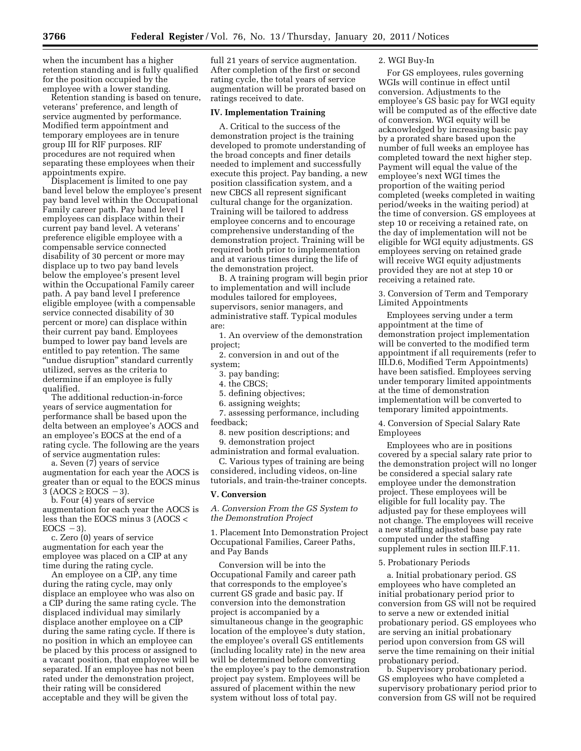when the incumbent has a higher retention standing and is fully qualified for the position occupied by the employee with a lower standing.

Retention standing is based on tenure, veterans' preference, and length of service augmented by performance. Modified term appointment and temporary employees are in tenure group III for RIF purposes. RIF procedures are not required when separating these employees when their appointments expire.

Displacement is limited to one pay band level below the employee's present pay band level within the Occupational Family career path. Pay band level I employees can displace within their current pay band level. A veterans' preference eligible employee with a compensable service connected disability of 30 percent or more may displace up to two pay band levels below the employee's present level within the Occupational Family career path. A pay band level I preference eligible employee (with a compensable service connected disability of 30 percent or more) can displace within their current pay band. Employees bumped to lower pay band levels are entitled to pay retention. The same ''undue disruption'' standard currently utilized, serves as the criteria to determine if an employee is fully qualified.

The additional reduction-in-force years of service augmentation for performance shall be based upon the delta between an employee's AOCS and an employee's EOCS at the end of a rating cycle. The following are the years of service augmentation rules:

a. Seven (7) years of service augmentation for each year the AOCS is greater than or equal to the EOCS minus  $3 (AOCS \ge EOCS - 3).$ 

b. Four (4) years of service augmentation for each year the AOCS is less than the EOCS minus 3 (AOCS <  $EOCS -3$ ).

c. Zero (0) years of service augmentation for each year the employee was placed on a CIP at any time during the rating cycle.

An employee on a CIP, any time during the rating cycle, may only displace an employee who was also on a CIP during the same rating cycle. The displaced individual may similarly displace another employee on a CIP during the same rating cycle. If there is no position in which an employee can be placed by this process or assigned to a vacant position, that employee will be separated. If an employee has not been rated under the demonstration project, their rating will be considered acceptable and they will be given the

full 21 years of service augmentation. After completion of the first or second rating cycle, the total years of service augmentation will be prorated based on ratings received to date.

#### **IV. Implementation Training**

A. Critical to the success of the demonstration project is the training developed to promote understanding of the broad concepts and finer details needed to implement and successfully execute this project. Pay banding, a new position classification system, and a new CBCS all represent significant cultural change for the organization. Training will be tailored to address employee concerns and to encourage comprehensive understanding of the demonstration project. Training will be required both prior to implementation and at various times during the life of the demonstration project.

B. A training program will begin prior to implementation and will include modules tailored for employees, supervisors, senior managers, and administrative staff. Typical modules are:

1. An overview of the demonstration project;

2. conversion in and out of the system;

- 3. pay banding;
- 4. the CBCS;
- 5. defining objectives;
- 6. assigning weights;

7. assessing performance, including feedback;

8. new position descriptions; and 9. demonstration project

administration and formal evaluation. C. Various types of training are being considered, including videos, on-line tutorials, and train-the-trainer concepts.

#### **V. Conversion**

*A. Conversion From the GS System to the Demonstration Project* 

1. Placement Into Demonstration Project Occupational Families, Career Paths, and Pay Bands

Conversion will be into the Occupational Family and career path that corresponds to the employee's current GS grade and basic pay. If conversion into the demonstration project is accompanied by a simultaneous change in the geographic location of the employee's duty station, the employee's overall GS entitlements (including locality rate) in the new area will be determined before converting the employee's pay to the demonstration project pay system. Employees will be assured of placement within the new system without loss of total pay.

#### 2. WGI Buy-In

For GS employees, rules governing WGIs will continue in effect until conversion. Adjustments to the employee's GS basic pay for WGI equity will be computed as of the effective date of conversion. WGI equity will be acknowledged by increasing basic pay by a prorated share based upon the number of full weeks an employee has completed toward the next higher step. Payment will equal the value of the employee's next WGI times the proportion of the waiting period completed (weeks completed in waiting period/weeks in the waiting period) at the time of conversion. GS employees at step 10 or receiving a retained rate, on the day of implementation will not be eligible for WGI equity adjustments. GS employees serving on retained grade will receive WGI equity adjustments provided they are not at step 10 or receiving a retained rate.

3. Conversion of Term and Temporary Limited Appointments

Employees serving under a term appointment at the time of demonstration project implementation will be converted to the modified term appointment if all requirements (refer to III.D.6, Modified Term Appointments) have been satisfied. Employees serving under temporary limited appointments at the time of demonstration implementation will be converted to temporary limited appointments.

4. Conversion of Special Salary Rate Employees

Employees who are in positions covered by a special salary rate prior to the demonstration project will no longer be considered a special salary rate employee under the demonstration project. These employees will be eligible for full locality pay. The adjusted pay for these employees will not change. The employees will receive a new staffing adjusted base pay rate computed under the staffing supplement rules in section III.F.11.

#### 5. Probationary Periods

a. Initial probationary period. GS employees who have completed an initial probationary period prior to conversion from GS will not be required to serve a new or extended initial probationary period. GS employees who are serving an initial probationary period upon conversion from GS will serve the time remaining on their initial probationary period.

b. Supervisory probationary period. GS employees who have completed a supervisory probationary period prior to conversion from GS will not be required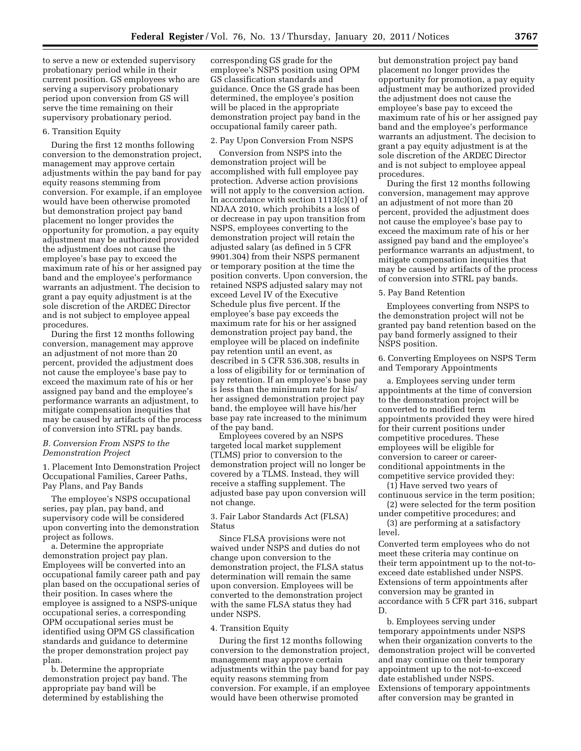to serve a new or extended supervisory probationary period while in their current position. GS employees who are serving a supervisory probationary period upon conversion from GS will serve the time remaining on their supervisory probationary period.

#### 6. Transition Equity

During the first 12 months following conversion to the demonstration project, management may approve certain adjustments within the pay band for pay equity reasons stemming from conversion. For example, if an employee would have been otherwise promoted but demonstration project pay band placement no longer provides the opportunity for promotion, a pay equity adjustment may be authorized provided the adjustment does not cause the employee's base pay to exceed the maximum rate of his or her assigned pay band and the employee's performance warrants an adjustment. The decision to grant a pay equity adjustment is at the sole discretion of the ARDEC Director and is not subject to employee appeal procedures.

During the first 12 months following conversion, management may approve an adjustment of not more than 20 percent, provided the adjustment does not cause the employee's base pay to exceed the maximum rate of his or her assigned pay band and the employee's performance warrants an adjustment, to mitigate compensation inequities that may be caused by artifacts of the process of conversion into STRL pay bands.

#### *B. Conversion From NSPS to the Demonstration Project*

1. Placement Into Demonstration Project Occupational Families, Career Paths, Pay Plans, and Pay Bands

The employee's NSPS occupational series, pay plan, pay band, and supervisory code will be considered upon converting into the demonstration project as follows.

a. Determine the appropriate demonstration project pay plan. Employees will be converted into an occupational family career path and pay plan based on the occupational series of their position. In cases where the employee is assigned to a NSPS-unique occupational series, a corresponding OPM occupational series must be identified using OPM GS classification standards and guidance to determine the proper demonstration project pay plan.

b. Determine the appropriate demonstration project pay band. The appropriate pay band will be determined by establishing the

corresponding GS grade for the employee's NSPS position using OPM GS classification standards and guidance. Once the GS grade has been determined, the employee's position will be placed in the appropriate demonstration project pay band in the occupational family career path.

#### 2. Pay Upon Conversion From NSPS

Conversion from NSPS into the demonstration project will be accomplished with full employee pay protection. Adverse action provisions will not apply to the conversion action. In accordance with section  $1113(c)(1)$  of NDAA 2010, which prohibits a loss of or decrease in pay upon transition from NSPS, employees converting to the demonstration project will retain the adjusted salary (as defined in 5 CFR 9901.304) from their NSPS permanent or temporary position at the time the position converts. Upon conversion, the retained NSPS adjusted salary may not exceed Level IV of the Executive Schedule plus five percent. If the employee's base pay exceeds the maximum rate for his or her assigned demonstration project pay band, the employee will be placed on indefinite pay retention until an event, as described in 5 CFR 536.308, results in a loss of eligibility for or termination of pay retention. If an employee's base pay is less than the minimum rate for his/ her assigned demonstration project pay band, the employee will have his/her base pay rate increased to the minimum of the pay band.

Employees covered by an NSPS targeted local market supplement (TLMS) prior to conversion to the demonstration project will no longer be covered by a TLMS. Instead, they will receive a staffing supplement. The adjusted base pay upon conversion will not change.

3. Fair Labor Standards Act (FLSA) Status

Since FLSA provisions were not waived under NSPS and duties do not change upon conversion to the demonstration project, the FLSA status determination will remain the same upon conversion. Employees will be converted to the demonstration project with the same FLSA status they had under NSPS.

#### 4. Transition Equity

During the first 12 months following conversion to the demonstration project, management may approve certain adjustments within the pay band for pay equity reasons stemming from conversion. For example, if an employee would have been otherwise promoted

but demonstration project pay band placement no longer provides the opportunity for promotion, a pay equity adjustment may be authorized provided the adjustment does not cause the employee's base pay to exceed the maximum rate of his or her assigned pay band and the employee's performance warrants an adjustment. The decision to grant a pay equity adjustment is at the sole discretion of the ARDEC Director and is not subject to employee appeal procedures.

During the first 12 months following conversion, management may approve an adjustment of not more than 20 percent, provided the adjustment does not cause the employee's base pay to exceed the maximum rate of his or her assigned pay band and the employee's performance warrants an adjustment, to mitigate compensation inequities that may be caused by artifacts of the process of conversion into STRL pay bands.

#### 5. Pay Band Retention

Employees converting from NSPS to the demonstration project will not be granted pay band retention based on the pay band formerly assigned to their NSPS position.

6. Converting Employees on NSPS Term and Temporary Appointments

a. Employees serving under term appointments at the time of conversion to the demonstration project will be converted to modified term appointments provided they were hired for their current positions under competitive procedures. These employees will be eligible for conversion to career or careerconditional appointments in the competitive service provided they:

(1) Have served two years of continuous service in the term position;

(2) were selected for the term position under competitive procedures; and

(3) are performing at a satisfactory level.

Converted term employees who do not meet these criteria may continue on their term appointment up to the not-toexceed date established under NSPS. Extensions of term appointments after conversion may be granted in accordance with 5 CFR part 316, subpart D.

b. Employees serving under temporary appointments under NSPS when their organization converts to the demonstration project will be converted and may continue on their temporary appointment up to the not-to-exceed date established under NSPS. Extensions of temporary appointments after conversion may be granted in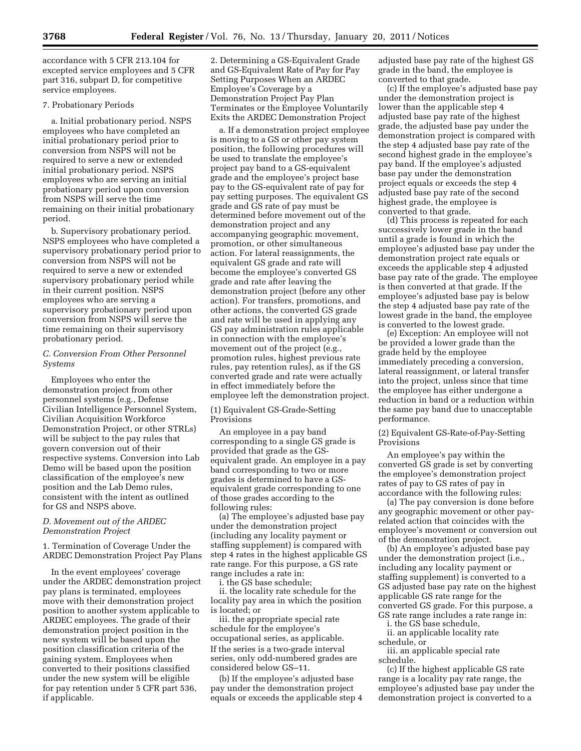accordance with 5 CFR 213.104 for excepted service employees and 5 CFR part 316, subpart D, for competitive service employees.

#### 7. Probationary Periods

a. Initial probationary period. NSPS employees who have completed an initial probationary period prior to conversion from NSPS will not be required to serve a new or extended initial probationary period. NSPS employees who are serving an initial probationary period upon conversion from NSPS will serve the time remaining on their initial probationary period.

b. Supervisory probationary period. NSPS employees who have completed a supervisory probationary period prior to conversion from NSPS will not be required to serve a new or extended supervisory probationary period while in their current position. NSPS employees who are serving a supervisory probationary period upon conversion from NSPS will serve the time remaining on their supervisory probationary period.

#### *C. Conversion From Other Personnel Systems*

Employees who enter the demonstration project from other personnel systems (e.g., Defense Civilian Intelligence Personnel System, Civilian Acquisition Workforce Demonstration Project, or other STRLs) will be subject to the pay rules that govern conversion out of their respective systems. Conversion into Lab Demo will be based upon the position classification of the employee's new position and the Lab Demo rules, consistent with the intent as outlined for GS and NSPS above.

#### *D. Movement out of the ARDEC Demonstration Project*

1. Termination of Coverage Under the ARDEC Demonstration Project Pay Plans

In the event employees' coverage under the ARDEC demonstration project pay plans is terminated, employees move with their demonstration project position to another system applicable to ARDEC employees. The grade of their demonstration project position in the new system will be based upon the position classification criteria of the gaining system. Employees when converted to their positions classified under the new system will be eligible for pay retention under 5 CFR part 536, if applicable.

2. Determining a GS-Equivalent Grade and GS-Equivalent Rate of Pay for Pay Setting Purposes When an ARDEC Employee's Coverage by a Demonstration Project Pay Plan Terminates or the Employee Voluntarily Exits the ARDEC Demonstration Project

a. If a demonstration project employee is moving to a GS or other pay system position, the following procedures will be used to translate the employee's project pay band to a GS-equivalent grade and the employee's project base pay to the GS-equivalent rate of pay for pay setting purposes. The equivalent GS grade and GS rate of pay must be determined before movement out of the demonstration project and any accompanying geographic movement, promotion, or other simultaneous action. For lateral reassignments, the equivalent GS grade and rate will become the employee's converted GS grade and rate after leaving the demonstration project (before any other action). For transfers, promotions, and other actions, the converted GS grade and rate will be used in applying any GS pay administration rules applicable in connection with the employee's movement out of the project (e.g., promotion rules, highest previous rate rules, pay retention rules), as if the GS converted grade and rate were actually in effect immediately before the employee left the demonstration project.

#### (1) Equivalent GS-Grade-Setting Provisions

An employee in a pay band corresponding to a single GS grade is provided that grade as the GSequivalent grade. An employee in a pay band corresponding to two or more grades is determined to have a GSequivalent grade corresponding to one of those grades according to the following rules:

(a) The employee's adjusted base pay under the demonstration project (including any locality payment or staffing supplement) is compared with step 4 rates in the highest applicable GS rate range. For this purpose, a GS rate range includes a rate in:

i. the GS base schedule;

ii. the locality rate schedule for the locality pay area in which the position is located; or

iii. the appropriate special rate schedule for the employee's occupational series, as applicable. If the series is a two-grade interval series, only odd-numbered grades are considered below GS–11.

(b) If the employee's adjusted base pay under the demonstration project equals or exceeds the applicable step 4 adjusted base pay rate of the highest GS grade in the band, the employee is converted to that grade.

(c) If the employee's adjusted base pay under the demonstration project is lower than the applicable step 4 adjusted base pay rate of the highest grade, the adjusted base pay under the demonstration project is compared with the step 4 adjusted base pay rate of the second highest grade in the employee's pay band. If the employee's adjusted base pay under the demonstration project equals or exceeds the step 4 adjusted base pay rate of the second highest grade, the employee is converted to that grade.

(d) This process is repeated for each successively lower grade in the band until a grade is found in which the employee's adjusted base pay under the demonstration project rate equals or exceeds the applicable step 4 adjusted base pay rate of the grade. The employee is then converted at that grade. If the employee's adjusted base pay is below the step 4 adjusted base pay rate of the lowest grade in the band, the employee is converted to the lowest grade.

(e) Exception: An employee will not be provided a lower grade than the grade held by the employee immediately preceding a conversion, lateral reassignment, or lateral transfer into the project, unless since that time the employee has either undergone a reduction in band or a reduction within the same pay band due to unacceptable performance.

(2) Equivalent GS-Rate-of-Pay-Setting Provisions

An employee's pay within the converted GS grade is set by converting the employee's demonstration project rates of pay to GS rates of pay in accordance with the following rules:

(a) The pay conversion is done before any geographic movement or other payrelated action that coincides with the employee's movement or conversion out of the demonstration project.

(b) An employee's adjusted base pay under the demonstration project (i.e., including any locality payment or staffing supplement) is converted to a GS adjusted base pay rate on the highest applicable GS rate range for the converted GS grade. For this purpose, a GS rate range includes a rate range in:

i. the GS base schedule,

ii. an applicable locality rate schedule, or

iii. an applicable special rate schedule.

(c) If the highest applicable GS rate range is a locality pay rate range, the employee's adjusted base pay under the demonstration project is converted to a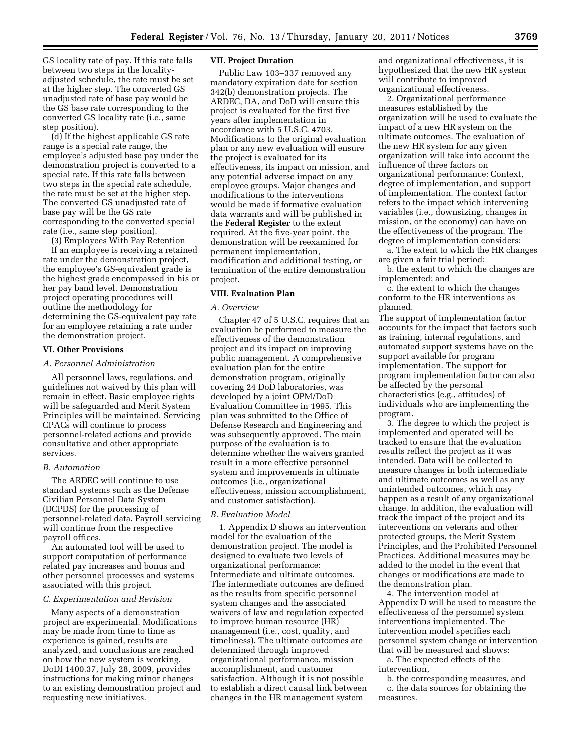GS locality rate of pay. If this rate falls between two steps in the localityadjusted schedule, the rate must be set at the higher step. The converted GS unadjusted rate of base pay would be the GS base rate corresponding to the converted GS locality rate (i.e., same step position).

(d) If the highest applicable GS rate range is a special rate range, the employee's adjusted base pay under the demonstration project is converted to a special rate. If this rate falls between two steps in the special rate schedule, the rate must be set at the higher step. The converted GS unadjusted rate of base pay will be the GS rate corresponding to the converted special rate (i.e., same step position).

(3) Employees With Pay Retention

If an employee is receiving a retained rate under the demonstration project, the employee's GS-equivalent grade is the highest grade encompassed in his or her pay band level. Demonstration project operating procedures will outline the methodology for determining the GS-equivalent pay rate for an employee retaining a rate under the demonstration project.

#### **VI. Other Provisions**

#### *A. Personnel Administration*

All personnel laws, regulations, and guidelines not waived by this plan will remain in effect. Basic employee rights will be safeguarded and Merit System Principles will be maintained. Servicing CPACs will continue to process personnel-related actions and provide consultative and other appropriate services.

#### *B. Automation*

The ARDEC will continue to use standard systems such as the Defense Civilian Personnel Data System (DCPDS) for the processing of personnel-related data. Payroll servicing will continue from the respective payroll offices.

An automated tool will be used to support computation of performance related pay increases and bonus and other personnel processes and systems associated with this project.

#### *C. Experimentation and Revision*

Many aspects of a demonstration project are experimental. Modifications may be made from time to time as experience is gained, results are analyzed, and conclusions are reached on how the new system is working. DoDI 1400.37, July 28, 2009, provides instructions for making minor changes to an existing demonstration project and requesting new initiatives.

#### **VII. Project Duration**

Public Law 103–337 removed any mandatory expiration date for section 342(b) demonstration projects. The ARDEC, DA, and DoD will ensure this project is evaluated for the first five years after implementation in accordance with 5 U.S.C. 4703. Modifications to the original evaluation plan or any new evaluation will ensure the project is evaluated for its effectiveness, its impact on mission, and any potential adverse impact on any employee groups. Major changes and modifications to the interventions would be made if formative evaluation data warrants and will be published in the **Federal Register** to the extent required. At the five-year point, the demonstration will be reexamined for permanent implementation, modification and additional testing, or termination of the entire demonstration project.

#### **VIII. Evaluation Plan**

#### *A. Overview*

Chapter 47 of 5 U.S.C. requires that an evaluation be performed to measure the effectiveness of the demonstration project and its impact on improving public management. A comprehensive evaluation plan for the entire demonstration program, originally covering 24 DoD laboratories, was developed by a joint OPM/DoD Evaluation Committee in 1995. This plan was submitted to the Office of Defense Research and Engineering and was subsequently approved. The main purpose of the evaluation is to determine whether the waivers granted result in a more effective personnel system and improvements in ultimate outcomes (i.e., organizational effectiveness, mission accomplishment, and customer satisfaction).

# *B. Evaluation Model*

1. Appendix D shows an intervention model for the evaluation of the demonstration project. The model is designed to evaluate two levels of organizational performance: Intermediate and ultimate outcomes. The intermediate outcomes are defined as the results from specific personnel system changes and the associated waivers of law and regulation expected to improve human resource (HR) management (i.e., cost, quality, and timeliness). The ultimate outcomes are determined through improved organizational performance, mission accomplishment, and customer satisfaction. Although it is not possible to establish a direct causal link between changes in the HR management system

and organizational effectiveness, it is hypothesized that the new HR system will contribute to improved organizational effectiveness.

2. Organizational performance measures established by the organization will be used to evaluate the impact of a new HR system on the ultimate outcomes. The evaluation of the new HR system for any given organization will take into account the influence of three factors on organizational performance: Context, degree of implementation, and support of implementation. The context factor refers to the impact which intervening variables (i.e., downsizing, changes in mission, or the economy) can have on the effectiveness of the program. The degree of implementation considers:

a. The extent to which the HR changes are given a fair trial period;

b. the extent to which the changes are implemented; and

c. the extent to which the changes conform to the HR interventions as planned.

The support of implementation factor accounts for the impact that factors such as training, internal regulations, and automated support systems have on the support available for program implementation. The support for program implementation factor can also be affected by the personal characteristics (e.g., attitudes) of individuals who are implementing the program.

3. The degree to which the project is implemented and operated will be tracked to ensure that the evaluation results reflect the project as it was intended. Data will be collected to measure changes in both intermediate and ultimate outcomes as well as any unintended outcomes, which may happen as a result of any organizational change. In addition, the evaluation will track the impact of the project and its interventions on veterans and other protected groups, the Merit System Principles, and the Prohibited Personnel Practices. Additional measures may be added to the model in the event that changes or modifications are made to the demonstration plan.

4. The intervention model at Appendix D will be used to measure the effectiveness of the personnel system interventions implemented. The intervention model specifies each personnel system change or intervention that will be measured and shows:

a. The expected effects of the intervention,

b. the corresponding measures, and c. the data sources for obtaining the measures.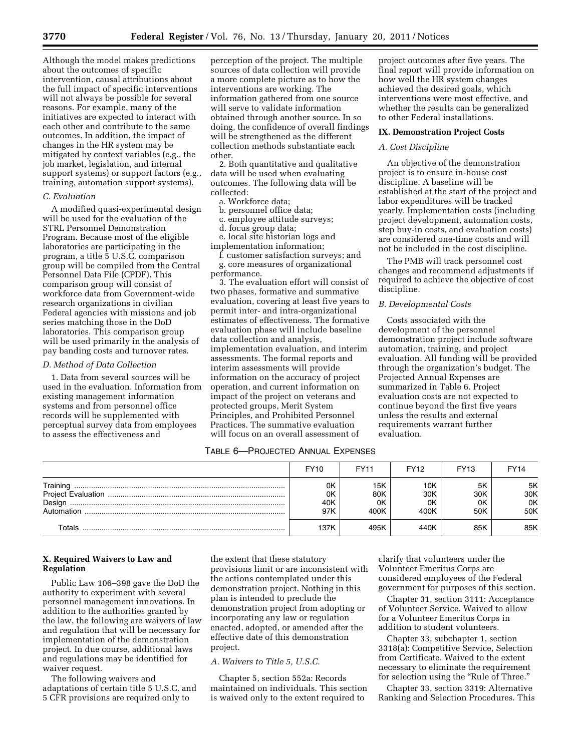Although the model makes predictions about the outcomes of specific intervention, causal attributions about the full impact of specific interventions will not always be possible for several reasons. For example, many of the initiatives are expected to interact with each other and contribute to the same outcomes. In addition, the impact of changes in the HR system may be mitigated by context variables (e.g., the job market, legislation, and internal support systems) or support factors (e.g., training, automation support systems).

#### *C. Evaluation*

A modified quasi-experimental design will be used for the evaluation of the STRL Personnel Demonstration Program. Because most of the eligible laboratories are participating in the program, a title 5 U.S.C. comparison group will be compiled from the Central Personnel Data File (CPDF). This comparison group will consist of workforce data from Government-wide research organizations in civilian Federal agencies with missions and job series matching those in the DoD laboratories. This comparison group will be used primarily in the analysis of pay banding costs and turnover rates.

#### *D. Method of Data Collection*

1. Data from several sources will be used in the evaluation. Information from existing management information systems and from personnel office records will be supplemented with perceptual survey data from employees to assess the effectiveness and

perception of the project. The multiple sources of data collection will provide a more complete picture as to how the interventions are working. The information gathered from one source will serve to validate information obtained through another source. In so doing, the confidence of overall findings will be strengthened as the different collection methods substantiate each other.

2. Both quantitative and qualitative data will be used when evaluating outcomes. The following data will be collected:

## a. Workforce data;

- b. personnel office data;
- c. employee attitude surveys;
- d. focus group data;

e. local site historian logs and

implementation information;

f. customer satisfaction surveys; and g. core measures of organizational performance.

3. The evaluation effort will consist of two phases, formative and summative evaluation, covering at least five years to permit inter- and intra-organizational estimates of effectiveness. The formative evaluation phase will include baseline data collection and analysis, implementation evaluation, and interim assessments. The formal reports and interim assessments will provide information on the accuracy of project operation, and current information on impact of the project on veterans and protected groups, Merit System Principles, and Prohibited Personnel Practices. The summative evaluation will focus on an overall assessment of

# TABLE 6—PROJECTED ANNUAL EXPENSES

project outcomes after five years. The final report will provide information on how well the HR system changes achieved the desired goals, which interventions were most effective, and whether the results can be generalized to other Federal installations.

#### **IX. Demonstration Project Costs**

#### *A. Cost Discipline*

An objective of the demonstration project is to ensure in-house cost discipline. A baseline will be established at the start of the project and labor expenditures will be tracked yearly. Implementation costs (including project development, automation costs, step buy-in costs, and evaluation costs) are considered one-time costs and will not be included in the cost discipline.

The PMB will track personnel cost changes and recommend adjustments if required to achieve the objective of cost discipline.

#### *B. Developmental Costs*

Costs associated with the development of the personnel demonstration project include software automation, training, and project evaluation. All funding will be provided through the organization's budget. The Projected Annual Expenses are summarized in Table 6. Project evaluation costs are not expected to continue beyond the first five years unless the results and external requirements warrant further evaluation.

|                                  | <b>FY10</b>            | FY11                     | <b>FY12</b>              | <b>FY13</b>            | FY14                   |
|----------------------------------|------------------------|--------------------------|--------------------------|------------------------|------------------------|
| Training<br>Design<br>Automation | 0K<br>0K<br>40K<br>97K | 15K<br>80K<br>0K<br>400K | 10K<br>30K<br>0K<br>400K | 5K<br>30K<br>0K<br>50K | 5K<br>30K<br>0K<br>50K |
| Totals                           | 137K                   | 495K                     | 440K                     | 85K                    | 85K                    |

#### **X. Required Waivers to Law and Regulation**

Public Law 106–398 gave the DoD the authority to experiment with several personnel management innovations. In addition to the authorities granted by the law, the following are waivers of law and regulation that will be necessary for implementation of the demonstration project. In due course, additional laws and regulations may be identified for waiver request.

The following waivers and adaptations of certain title 5 U.S.C. and 5 CFR provisions are required only to

the extent that these statutory provisions limit or are inconsistent with the actions contemplated under this demonstration project. Nothing in this plan is intended to preclude the demonstration project from adopting or incorporating any law or regulation enacted, adopted, or amended after the effective date of this demonstration project.

#### *A. Waivers to Title 5, U.S.C.*

Chapter 5, section 552a: Records maintained on individuals. This section is waived only to the extent required to

clarify that volunteers under the Volunteer Emeritus Corps are considered employees of the Federal government for purposes of this section.

Chapter 31, section 3111: Acceptance of Volunteer Service. Waived to allow for a Volunteer Emeritus Corps in addition to student volunteers.

Chapter 33, subchapter 1, section 3318(a): Competitive Service, Selection from Certificate. Waived to the extent necessary to eliminate the requirement for selection using the "Rule of Three."

Chapter 33, section 3319: Alternative Ranking and Selection Procedures. This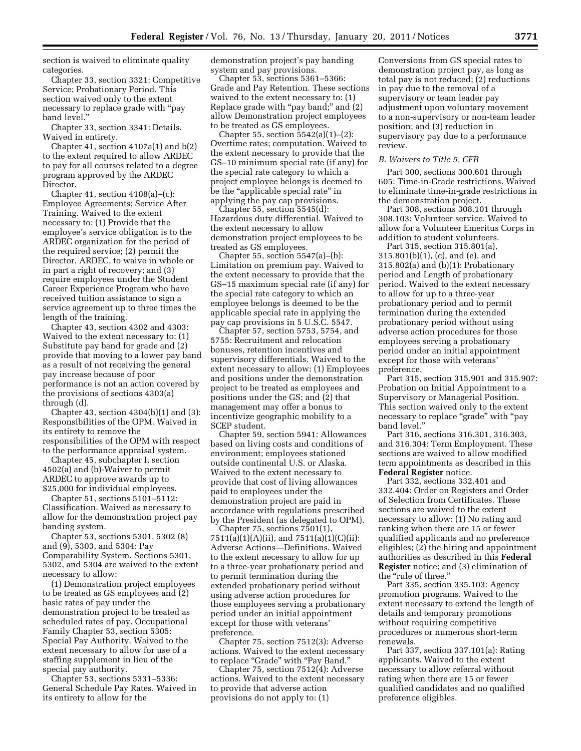section is waived to eliminate quality categories.

Chapter 33, section 3321: Competitive Service; Probationary Period. This section waived only to the extent necessary to replace grade with ''pay band level.''

Chapter 33, section 3341: Details. Waived in entirety.

Chapter 41, section  $4107a(1)$  and  $b(2)$ to the extent required to allow ARDEC to pay for all courses related to a degree program approved by the ARDEC Director.

Chapter 41, section  $4108(a)$ – $(c)$ : Employee Agreements; Service After Training. Waived to the extent necessary to: (1) Provide that the employee's service obligation is to the ARDEC organization for the period of the required service; (2) permit the Director, ARDEC, to waive in whole or in part a right of recovery; and (3) require employees under the Student Career Experience Program who have received tuition assistance to sign a service agreement up to three times the length of the training.

Chapter 43, section 4302 and 4303: Waived to the extent necessary to: (1) Substitute pay band for grade and (2) provide that moving to a lower pay band as a result of not receiving the general pay increase because of poor performance is not an action covered by the provisions of sections 4303(a) through (d).

Chapter 43, section  $4304(b)(1)$  and  $(3)$ : Responsibilities of the OPM. Waived in its entirety to remove the responsibilities of the OPM with respect to the performance appraisal system.

Chapter 45, subchapter I, section 4502(a) and (b)-Waiver to permit ARDEC to approve awards up to \$25,000 for individual employees.

Chapter 51, sections 5101–5112: Classification. Waived as necessary to allow for the demonstration project pay banding system.

Chapter 53, sections 5301, 5302 (8) and (9), 5303, and 5304: Pay Comparability System. Sections 5301, 5302, and 5304 are waived to the extent necessary to allow:

(1) Demonstration project employees to be treated as GS employees and (2) basic rates of pay under the demonstration project to be treated as scheduled rates of pay. Occupational Family Chapter 53, section 5305: Special Pay Authority. Waived to the extent necessary to allow for use of a staffing supplement in lieu of the special pay authority.

Chapter 53, sections 5331–5336: General Schedule Pay Rates. Waived in its entirety to allow for the

demonstration project's pay banding system and pay provisions.

Chapter 53, sections 5361–5366: Grade and Pay Retention. These sections waived to the extent necessary to: (1) Replace grade with "pay band;" and  $(2)$ allow Demonstration project employees to be treated as GS employees.

Chapter 55, section  $5542(a)(1)–(2)$ : Overtime rates; computation. Waived to the extent necessary to provide that the GS–10 minimum special rate (if any) for the special rate category to which a project employee belongs is deemed to be the "applicable special rate" in applying the pay cap provisions.

Chapter 55, section 5545(d): Hazardous duty differential. Waived to the extent necessary to allow demonstration project employees to be treated as GS employees.

Chapter 55, section  $5547(a)$ –(b): Limitation on premium pay. Waived to the extent necessary to provide that the GS–15 maximum special rate (if any) for the special rate category to which an employee belongs is deemed to be the applicable special rate in applying the pay cap provisions in 5 U.S.C. 5547.

Chapter 57, section 5753, 5754, and 5755: Recruitment and relocation bonuses, retention incentives and supervisory differentials. Waived to the extent necessary to allow: (1) Employees and positions under the demonstration project to be treated as employees and positions under the GS; and (2) that management may offer a bonus to incentivize geographic mobility to a SCEP student.

Chapter 59, section 5941: Allowances based on living costs and conditions of environment; employees stationed outside continental U.S. or Alaska. Waived to the extent necessary to provide that cost of living allowances paid to employees under the demonstration project are paid in accordance with regulations prescribed by the President (as delegated to OPM).

Chapter 75, sections 7501(1), 7511(a)(1)(A)(ii), and 7511(a)(1)(C)(ii): Adverse Actions—Definitions. Waived to the extent necessary to allow for up to a three-year probationary period and to permit termination during the extended probationary period without using adverse action procedures for those employees serving a probationary period under an initial appointment except for those with veterans' preference.

Chapter 75, section 7512(3): Adverse actions. Waived to the extent necessary to replace "Grade" with "Pay Band."

Chapter 75, section 7512(4): Adverse actions. Waived to the extent necessary to provide that adverse action provisions do not apply to: (1)

Conversions from GS special rates to demonstration project pay, as long as total pay is not reduced; (2) reductions in pay due to the removal of a supervisory or team leader pay adjustment upon voluntary movement to a non-supervisory or non-team leader position; and (3) reduction in supervisory pay due to a performance review.

#### *B. Waivers to Title 5, CFR*

Part 300, sections 300.601 through 605: Time-in-Grade restrictions. Waived to eliminate time-in-grade restrictions in the demonstration project.

Part 308, sections 308.101 through 308.103: Volunteer service. Waived to allow for a Volunteer Emeritus Corps in addition to student volunteers.

Part 315, section 315.801(a), 315.801(b)(1), (c), and (e), and 315.802(a) and (b)(1): Probationary period and Length of probationary period. Waived to the extent necessary to allow for up to a three-year probationary period and to permit termination during the extended probationary period without using adverse action procedures for those employees serving a probationary period under an initial appointment except for those with veterans' preference.

Part 315, section 315.901 and 315.907: Probation on Initial Appointment to a Supervisory or Managerial Position. This section waived only to the extent necessary to replace "grade" with "pay band level.''

Part 316, sections 316.301, 316.303, and 316.304: Term Employment. These sections are waived to allow modified term appointments as described in this **Federal Register** notice.

Part 332, sections 332.401 and 332.404: Order on Registers and Order of Selection from Certificates. These sections are waived to the extent necessary to allow: (1) No rating and ranking when there are 15 or fewer qualified applicants and no preference eligibles; (2) the hiring and appointment authorities as described in this **Federal Register** notice; and (3) elimination of the ''rule of three.''

Part 335, section 335.103: Agency promotion programs. Waived to the extent necessary to extend the length of details and temporary promotions without requiring competitive procedures or numerous short-term renewals.

Part 337, section 337.101(a): Rating applicants. Waived to the extent necessary to allow referral without rating when there are 15 or fewer qualified candidates and no qualified preference eligibles.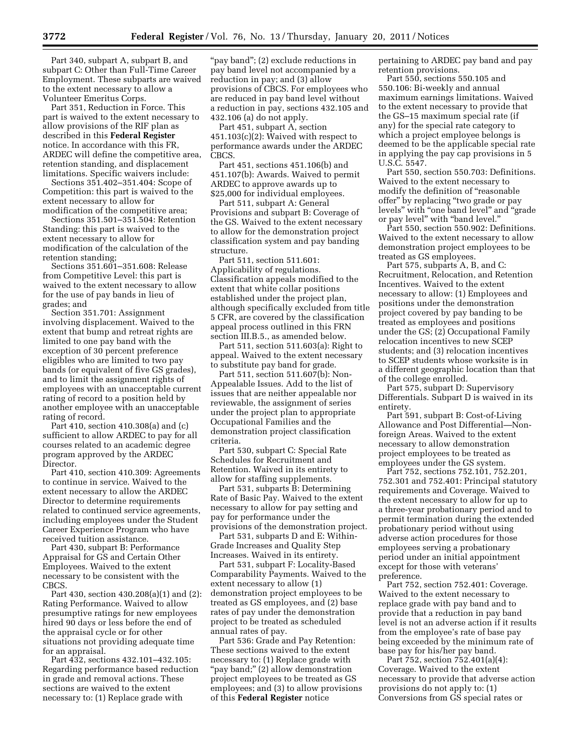Part 340, subpart A, subpart B, and subpart C: Other than Full-Time Career Employment. These subparts are waived to the extent necessary to allow a Volunteer Emeritus Corps.

Part 351, Reduction in Force. This part is waived to the extent necessary to allow provisions of the RIF plan as described in this **Federal Register**  notice. In accordance with this FR, ARDEC will define the competitive area, retention standing, and displacement limitations. Specific waivers include:

Sections 351.402–351.404: Scope of Competition: this part is waived to the extent necessary to allow for modification of the competitive area;

Sections 351.501–351.504: Retention Standing: this part is waived to the extent necessary to allow for modification of the calculation of the retention standing;

Sections 351.601–351.608: Release from Competitive Level: this part is waived to the extent necessary to allow for the use of pay bands in lieu of grades; and

Section 351.701: Assignment involving displacement. Waived to the extent that bump and retreat rights are limited to one pay band with the exception of 30 percent preference eligibles who are limited to two pay bands (or equivalent of five GS grades), and to limit the assignment rights of employees with an unacceptable current rating of record to a position held by another employee with an unacceptable rating of record.

Part 410, section 410.308(a) and (c) sufficient to allow ARDEC to pay for all courses related to an academic degree program approved by the ARDEC Director.

Part 410, section 410.309: Agreements to continue in service. Waived to the extent necessary to allow the ARDEC Director to determine requirements related to continued service agreements, including employees under the Student Career Experience Program who have received tuition assistance.

Part 430, subpart B: Performance Appraisal for GS and Certain Other Employees. Waived to the extent necessary to be consistent with the CBCS.

Part 430, section 430.208(a)(1) and (2): Rating Performance. Waived to allow presumptive ratings for new employees hired 90 days or less before the end of the appraisal cycle or for other situations not providing adequate time for an appraisal.

Part 432, sections 432.101–432.105: Regarding performance based reduction in grade and removal actions. These sections are waived to the extent necessary to: (1) Replace grade with

"pay band"; (2) exclude reductions in pay band level not accompanied by a reduction in pay; and (3) allow provisions of CBCS. For employees who are reduced in pay band level without a reduction in pay, sections 432.105 and 432.106 (a) do not apply.

Part 451, subpart A, section 451.103(c)(2): Waived with respect to performance awards under the ARDEC CBCS.

Part 451, sections 451.106(b) and 451.107(b): Awards. Waived to permit ARDEC to approve awards up to \$25,000 for individual employees.

Part 511, subpart A: General Provisions and subpart B: Coverage of the GS. Waived to the extent necessary to allow for the demonstration project classification system and pay banding structure.

Part 511, section 511.601: Applicability of regulations. Classification appeals modified to the extent that white collar positions established under the project plan, although specifically excluded from title 5 CFR, are covered by the classification appeal process outlined in this FRN section III.B.5., as amended below.

Part 511, section 511.603(a): Right to appeal. Waived to the extent necessary to substitute pay band for grade.

Part 511, section 511.607(b): Non-Appealable Issues. Add to the list of issues that are neither appealable nor reviewable, the assignment of series under the project plan to appropriate Occupational Families and the demonstration project classification criteria.

Part 530, subpart C: Special Rate Schedules for Recruitment and Retention. Waived in its entirety to allow for staffing supplements.

Part 531, subparts B: Determining Rate of Basic Pay. Waived to the extent necessary to allow for pay setting and pay for performance under the provisions of the demonstration project.

Part 531, subparts D and E: Within-Grade Increases and Quality Step Increases. Waived in its entirety.

Part 531, subpart F: Locality-Based Comparability Payments. Waived to the extent necessary to allow (1) demonstration project employees to be treated as GS employees, and (2) base rates of pay under the demonstration project to be treated as scheduled annual rates of pay.

Part 536: Grade and Pay Retention: These sections waived to the extent necessary to: (1) Replace grade with "pay band;" (2) allow demonstration project employees to be treated as GS employees; and (3) to allow provisions of this **Federal Register** notice

pertaining to ARDEC pay band and pay retention provisions.

Part 550, sections 550.105 and 550.106: Bi-weekly and annual maximum earnings limitations. Waived to the extent necessary to provide that the GS–15 maximum special rate (if any) for the special rate category to which a project employee belongs is deemed to be the applicable special rate in applying the pay cap provisions in 5 U.S.C. 5547.

Part 550, section 550.703: Definitions. Waived to the extent necessary to modify the definition of ''reasonable offer'' by replacing ''two grade or pay levels'' with ''one band level'' and ''grade or pay level'' with ''band level.''

Part 550, section 550.902: Definitions. Waived to the extent necessary to allow demonstration project employees to be treated as GS employees.

Part 575, subparts A, B, and C: Recruitment, Relocation, and Retention Incentives. Waived to the extent necessary to allow: (1) Employees and positions under the demonstration project covered by pay banding to be treated as employees and positions under the GS; (2) Occupational Family relocation incentives to new SCEP students; and (3) relocation incentives to SCEP students whose worksite is in a different geographic location than that of the college enrolled.

Part 575, subpart D: Supervisory Differentials. Subpart D is waived in its entirety.

Part 591, subpart B: Cost-of-Living Allowance and Post Differential—Nonforeign Areas. Waived to the extent necessary to allow demonstration project employees to be treated as employees under the GS system.

Part 752, sections 752.101, 752.201, 752.301 and 752.401: Principal statutory requirements and Coverage. Waived to the extent necessary to allow for up to a three-year probationary period and to permit termination during the extended probationary period without using adverse action procedures for those employees serving a probationary period under an initial appointment except for those with veterans' preference.

Part 752, section 752.401: Coverage. Waived to the extent necessary to replace grade with pay band and to provide that a reduction in pay band level is not an adverse action if it results from the employee's rate of base pay being exceeded by the minimum rate of base pay for his/her pay band.

Part 752, section 752.401(a)(4): Coverage. Waived to the extent necessary to provide that adverse action provisions do not apply to: (1) Conversions from GS special rates or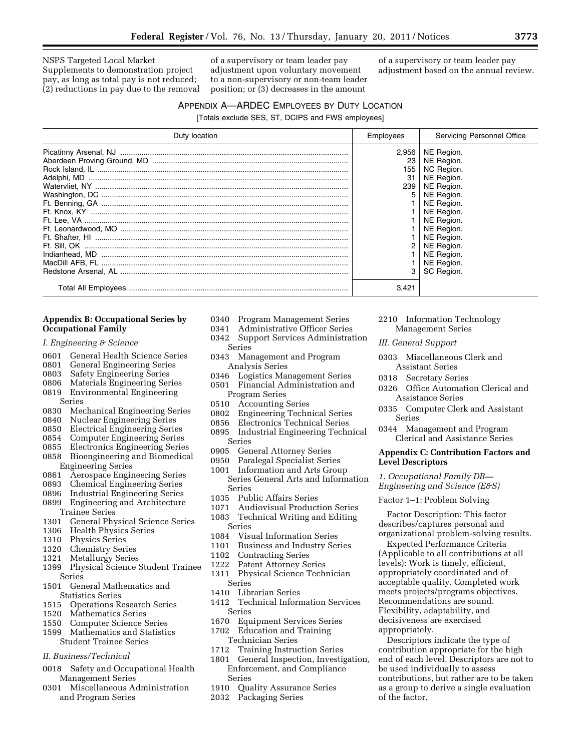NSPS Targeted Local Market Supplements to demonstration project pay, as long as total pay is not reduced; (2) reductions in pay due to the removal

of a supervisory or team leader pay adjustment upon voluntary movement to a non-supervisory or non-team leader position; or (3) decreases in the amount

of a supervisory or team leader pay adjustment based on the annual review.

# APPENDIX A—ARDEC EMPLOYEES BY DUTY LOCATION

[Totals exclude SES, ST, DCIPS and FWS employees]

| Duty location | Employees        | Servicing Personnel Office |
|---------------|------------------|----------------------------|
|               | 2,956            | NE Region.                 |
|               | 23               | NE Region.                 |
|               | 155              | NC Region.                 |
|               | 31               | NE Region.                 |
|               | 239 <sup>1</sup> | NE Region.                 |
|               | 5                | NE Region.                 |
|               |                  | NE Region.                 |
|               |                  | NE Region.                 |
|               |                  | NE Region.                 |
|               |                  | NE Region.                 |
|               |                  | NE Region.                 |
|               |                  | NE Region.                 |
|               |                  | NE Region.                 |
|               |                  | NE Region.                 |
|               | 3                | SC Region.                 |
|               | 3.421            |                            |

#### **Appendix B: Occupational Series by Occupational Family**

- *I. Engineering & Science*
- 0601 General Health Science Series<br>0801 General Engineering Series
- 0801 General Engineering Series<br>0803 Safety Engineering Series
- **Safety Engineering Series**
- 0806 Materials Engineering Series
- 0819 Environmental Engineering Series
- 0830 Mechanical Engineering Series
- 0840 Nuclear Engineering Series
- 
- 0850 Electrical Engineering Series
- 0854 Computer Engineering Series<br>0855 Electronics Engineering Serie 0855 Electronics Engineering Series
- 0858 Bioengineering and Biomedical Engineering Series<br>0861 Aerospace Engir
- 0861 Aerospace Engineering Series
- 0893 Chemical Engineering Series
- 0896 Industrial Engineering Series
- 0899 Engineering and Architecture Trainee Series<br>1301 - General Phy
- 1301 General Physical Science Series<br>1306 Health Physics Series
- Health Physics Series
- 1310 Physics Series
- 1320 Chemistry Series
- 1321 Metallurgy Series
- 1399 Physical Science Student Trainee Series
- 1501 General Mathematics and Statistics Series
- 1515 Operations Research Series<br>1520 Mathematics Series
- Mathematics Series
- 1550 Computer Science Series
- 1599 Mathematics and Statistics Student Trainee Series

#### *II. Business/Technical*

- 0018 Safety and Occupational Health Management Series
- 0301 Miscellaneous Administration and Program Series
- 0340 Program Management Series
- 0341 Administrative Officer Series
- 0342 Support Services Administration Series
- 0343 Management and Program Analysis Series
- 0346 Logistics Management Series
- 0501 Financial Administration and Program Series
- 0510 Accounting Series
- 0802 Engineering Technical Series
- 0856 Electronics Technical Series
- 0895 Industrial Engineering Technical Series<br>0905 Ger
- General Attorney Series
- 0950 Paralegal Specialist Series
- 1001 Information and Arts Group Series General Arts and Information Series
- 1035 Public Affairs Series
- 1071 Audiovisual Production Series
- 1083 Technical Writing and Editing Series
- 1084 Visual Information Series
- 1101 Business and Industry Series
- 1102 Contracting Series
- 1222 Patent Attorney Series
- 1311 Physical Science Technician Series
- 1410 Librarian Series
- 1412 Technical Information Services Series
- 1670 Equipment Services Series
- 1702 Education and Training Technician Series
- 1712 Training Instruction Series
- 1801 General Inspection, Investigation, Enforcement, and Compliance Series
- 1910 Quality Assurance Series<br>2032 Packaging Series
- Packaging Series
- 2210 Information Technology Management Series
- *III. General Support*
- 0303 Miscellaneous Clerk and Assistant Series
- 0318 Secretary Series
- 0326 Office Automation Clerical and Assistance Series
- 0335 Computer Clerk and Assistant Series
- 0344 Management and Program Clerical and Assistance Series

#### **Appendix C: Contribution Factors and Level Descriptors**

*1. Occupational Family DB— Engineering and Science (E&S)* 

#### Factor 1–1: Problem Solving

Factor Description: This factor describes/captures personal and organizational problem-solving results.

Expected Performance Criteria (Applicable to all contributions at all levels): Work is timely, efficient, appropriately coordinated and of acceptable quality. Completed work meets projects/programs objectives. Recommendations are sound. Flexibility, adaptability, and decisiveness are exercised appropriately.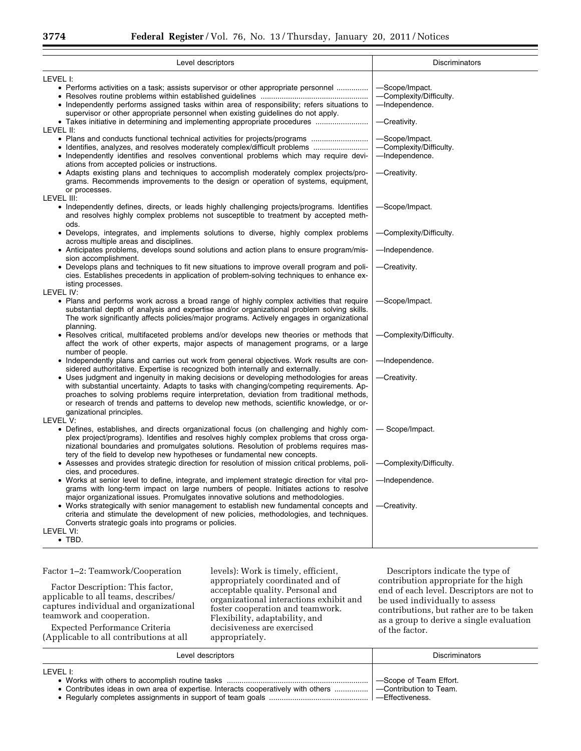| Level descriptors                                                                                                                                                                                                                                                                                                                                                                                                                                           | <b>Discriminators</b>                                                       |
|-------------------------------------------------------------------------------------------------------------------------------------------------------------------------------------------------------------------------------------------------------------------------------------------------------------------------------------------------------------------------------------------------------------------------------------------------------------|-----------------------------------------------------------------------------|
|                                                                                                                                                                                                                                                                                                                                                                                                                                                             |                                                                             |
| LEVEL I:<br>• Performs activities on a task; assists supervisor or other appropriate personnel<br>• Independently performs assigned tasks within area of responsibility; refers situations to<br>supervisor or other appropriate personnel when existing guidelines do not apply.<br>LEVEL II:                                                                                                                                                              | -Scope/Impact.<br>-Complexity/Difficulty.<br>-Independence.<br>-Creativity. |
| • Plans and conducts functional technical activities for projects/programs<br>• Independently identifies and resolves conventional problems which may require devi-<br>ations from accepted policies or instructions.<br>• Adapts existing plans and techniques to accomplish moderately complex projects/pro-<br>grams. Recommends improvements to the design or operation of systems, equipment,<br>or processes.                                         | -Scope/Impact.<br>-Complexity/Difficulty.<br>-Independence.<br>-Creativity. |
| LEVEL III:<br>• Independently defines, directs, or leads highly challenging projects/programs. Identifies<br>and resolves highly complex problems not susceptible to treatment by accepted meth-<br>ods.                                                                                                                                                                                                                                                    | -Scope/Impact.                                                              |
| • Develops, integrates, and implements solutions to diverse, highly complex problems<br>across multiple areas and disciplines.                                                                                                                                                                                                                                                                                                                              | -Complexity/Difficulty.                                                     |
| • Anticipates problems, develops sound solutions and action plans to ensure program/mis-                                                                                                                                                                                                                                                                                                                                                                    | -Independence.                                                              |
| sion accomplishment.<br>• Develops plans and techniques to fit new situations to improve overall program and poli-<br>cies. Establishes precedents in application of problem-solving techniques to enhance ex-<br>isting processes.                                                                                                                                                                                                                         | -Creativity.                                                                |
| LEVEL IV:<br>• Plans and performs work across a broad range of highly complex activities that require<br>substantial depth of analysis and expertise and/or organizational problem solving skills.<br>The work significantly affects policies/major programs. Actively engages in organizational                                                                                                                                                            | -Scope/Impact.                                                              |
| planning.<br>• Resolves critical, multifaceted problems and/or develops new theories or methods that<br>affect the work of other experts, major aspects of management programs, or a large<br>number of people.                                                                                                                                                                                                                                             | -Complexity/Difficulty.                                                     |
| • Independently plans and carries out work from general objectives. Work results are con-<br>sidered authoritative. Expertise is recognized both internally and externally.                                                                                                                                                                                                                                                                                 | -Independence.                                                              |
| • Uses judgment and ingenuity in making decisions or developing methodologies for areas<br>with substantial uncertainty. Adapts to tasks with changing/competing requirements. Ap-<br>proaches to solving problems require interpretation, deviation from traditional methods,<br>or research of trends and patterns to develop new methods, scientific knowledge, or or-<br>ganizational principles.                                                       | -Creativity.                                                                |
| LEVEL V:                                                                                                                                                                                                                                                                                                                                                                                                                                                    |                                                                             |
| • Defines, establishes, and directs organizational focus (on challenging and highly com-<br>plex project/programs). Identifies and resolves highly complex problems that cross orga-<br>nizational boundaries and promulgates solutions. Resolution of problems requires mas-<br>tery of the field to develop new hypotheses or fundamental new concepts.<br>• Assesses and provides strategic direction for resolution of mission critical problems, poli- | - Scope/Impact.<br>-Complexity/Difficulty.                                  |
| cies, and procedures.<br>• Works at senior level to define, integrate, and implement strategic direction for vital pro-<br>grams with long-term impact on large numbers of people. Initiates actions to resolve                                                                                                                                                                                                                                             | -Independence.                                                              |
| major organizational issues. Promulgates innovative solutions and methodologies.<br>• Works strategically with senior management to establish new fundamental concepts and<br>criteria and stimulate the development of new policies, methodologies, and techniques.<br>Converts strategic goals into programs or policies.                                                                                                                                 | -Creativity.                                                                |
| LEVEL VI:<br>$\bullet$ TBD.                                                                                                                                                                                                                                                                                                                                                                                                                                 |                                                                             |

Factor 1–2: Teamwork/Cooperation

Factor Description: This factor, applicable to all teams, describes/ captures individual and organizational teamwork and cooperation.

Expected Performance Criteria (Applicable to all contributions at all levels): Work is timely, efficient, appropriately coordinated and of acceptable quality. Personal and organizational interactions exhibit and foster cooperation and teamwork. Flexibility, adaptability, and decisiveness are exercised appropriately.

| Level descriptors                                                                                                        | <b>Discriminators</b>                              |
|--------------------------------------------------------------------------------------------------------------------------|----------------------------------------------------|
| I FVFL E<br>• Contributes ideas in own area of expertise. Interacts cooperatively with others    - Contribution to Team. | -Scope of Team Effort.<br><b>N</b> —Effectiveness. |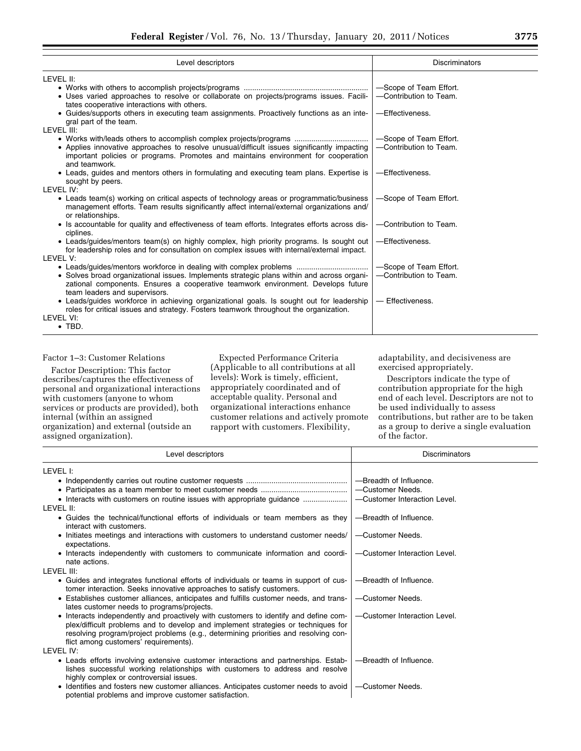| Level descriptors                                                                                                                                                                                               | <b>Discriminators</b>  |
|-----------------------------------------------------------------------------------------------------------------------------------------------------------------------------------------------------------------|------------------------|
| LEVEL II:                                                                                                                                                                                                       |                        |
|                                                                                                                                                                                                                 | -Scope of Team Effort. |
| · Uses varied approaches to resolve or collaborate on projects/programs issues. Facili-<br>tates cooperative interactions with others.                                                                          | -Contribution to Team. |
| • Guides/supports others in executing team assignments. Proactively functions as an inte-<br>gral part of the team.                                                                                             | -Effectiveness.        |
| <b>I FVFI III:</b>                                                                                                                                                                                              |                        |
|                                                                                                                                                                                                                 | -Scope of Team Effort. |
| • Applies innovative approaches to resolve unusual/difficult issues significantly impacting<br>important policies or programs. Promotes and maintains environment for cooperation<br>and teamwork.              | -Contribution to Team. |
| • Leads, guides and mentors others in formulating and executing team plans. Expertise is<br>sought by peers.                                                                                                    | -Effectiveness.        |
| LEVEL IV:                                                                                                                                                                                                       |                        |
| • Leads team(s) working on critical aspects of technology areas or programmatic/business<br>management efforts. Team results significantly affect internal/external organizations and/<br>or relationships.     | -Scope of Team Effort. |
| • Is accountable for quality and effectiveness of team efforts. Integrates efforts across dis-<br>ciplines.                                                                                                     | -Contribution to Team. |
| • Leads/guides/mentors team(s) on highly complex, high priority programs. Is sought out<br>for leadership roles and for consultation on complex issues with internal/external impact.<br>LEVEL V:               | -Effectiveness.        |
|                                                                                                                                                                                                                 | -Scope of Team Effort. |
| • Solves broad organizational issues. Implements strategic plans within and across organi-<br>zational components. Ensures a cooperative teamwork environment. Develops future<br>team leaders and supervisors. | -Contribution to Team. |
| • Leads/guides workforce in achieving organizational goals. Is sought out for leadership<br>roles for critical issues and strategy. Fosters teamwork throughout the organization.                               | - Effectiveness.       |
| LEVEL VI:                                                                                                                                                                                                       |                        |
| $\bullet$ TBD.                                                                                                                                                                                                  |                        |

#### Factor 1–3: Customer Relations

Factor Description: This factor describes/captures the effectiveness of personal and organizational interactions with customers (anyone to whom services or products are provided), both internal (within an assigned organization) and external (outside an assigned organization).

Expected Performance Criteria (Applicable to all contributions at all levels): Work is timely, efficient, appropriately coordinated and of acceptable quality. Personal and organizational interactions enhance customer relations and actively promote rapport with customers. Flexibility,

adaptability, and decisiveness are exercised appropriately.

| Level descriptors                                                                                                                                                                                                                                                                                         | Discriminators               |
|-----------------------------------------------------------------------------------------------------------------------------------------------------------------------------------------------------------------------------------------------------------------------------------------------------------|------------------------------|
| level I:                                                                                                                                                                                                                                                                                                  |                              |
|                                                                                                                                                                                                                                                                                                           | -Breadth of Influence.       |
|                                                                                                                                                                                                                                                                                                           | -Customer Needs.             |
| • Interacts with customers on routine issues with appropriate guidance                                                                                                                                                                                                                                    | -Customer Interaction Level. |
| level II:                                                                                                                                                                                                                                                                                                 |                              |
| • Guides the technical/functional efforts of individuals or team members as they<br>interact with customers.                                                                                                                                                                                              | -Breadth of Influence.       |
| • Initiates meetings and interactions with customers to understand customer needs/<br>expectations.                                                                                                                                                                                                       | -Customer Needs.             |
| • Interacts independently with customers to communicate information and coordi-<br>nate actions.                                                                                                                                                                                                          | -Customer Interaction Level. |
| level III:                                                                                                                                                                                                                                                                                                |                              |
| • Guides and integrates functional efforts of individuals or teams in support of cus-<br>tomer interaction. Seeks innovative approaches to satisfy customers.                                                                                                                                             | -Breadth of Influence.       |
| • Establishes customer alliances, anticipates and fulfills customer needs, and trans-<br>lates customer needs to programs/projects.                                                                                                                                                                       | -Customer Needs.             |
| • Interacts independently and proactively with customers to identify and define com-<br>plex/difficult problems and to develop and implement strategies or techniques for<br>resolving program/project problems (e.g., determining priorities and resolving con-<br>flict among customers' requirements). | -Customer Interaction Level. |
| LEVEL IV:                                                                                                                                                                                                                                                                                                 |                              |
| • Leads efforts involving extensive customer interactions and partnerships. Estab-<br>lishes successful working relationships with customers to address and resolve<br>highly complex or controversial issues.                                                                                            | -Breadth of Influence.       |
| • Identifies and fosters new customer alliances. Anticipates customer needs to avoid<br>potential problems and improve customer satisfaction.                                                                                                                                                             | -Customer Needs.             |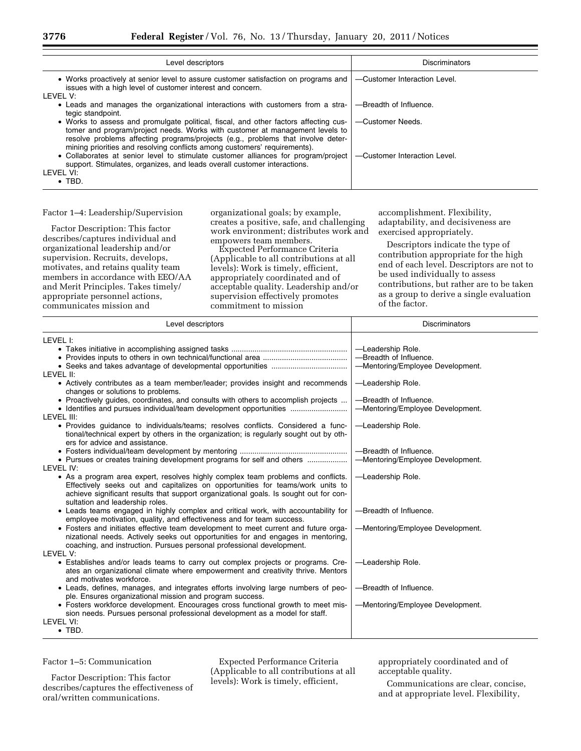| Level descriptors                                                                                                                                                                                                                                                                                                                     | <b>Discriminators</b>        |
|---------------------------------------------------------------------------------------------------------------------------------------------------------------------------------------------------------------------------------------------------------------------------------------------------------------------------------------|------------------------------|
| • Works proactively at senior level to assure customer satisfaction on programs and<br>issues with a high level of customer interest and concern.<br>LEVEL V:                                                                                                                                                                         | -Customer Interaction Level. |
| • Leads and manages the organizational interactions with customers from a stra-<br>tegic standpoint.                                                                                                                                                                                                                                  | -Breadth of Influence.       |
| • Works to assess and promulgate political, fiscal, and other factors affecting cus-<br>tomer and program/project needs. Works with customer at management levels to<br>resolve problems affecting programs/projects (e.g., problems that involve deter-<br>mining priorities and resolving conflicts among customers' requirements). | -Customer Needs.             |
| • Collaborates at senior level to stimulate customer alliances for program/project<br>support. Stimulates, organizes, and leads overall customer interactions.                                                                                                                                                                        | -Customer Interaction Level. |
| I FVFI VI:                                                                                                                                                                                                                                                                                                                            |                              |
| $\bullet$ TBD.                                                                                                                                                                                                                                                                                                                        |                              |

# Factor 1–4: Leadership/Supervision

Factor Description: This factor describes/captures individual and organizational leadership and/or supervision. Recruits, develops, motivates, and retains quality team members in accordance with EEO/AA and Merit Principles. Takes timely/ appropriate personnel actions, communicates mission and

organizational goals; by example, creates a positive, safe, and challenging work environment; distributes work and empowers team members.

Expected Performance Criteria (Applicable to all contributions at all levels): Work is timely, efficient, appropriately coordinated and of acceptable quality. Leadership and/or supervision effectively promotes commitment to mission

accomplishment. Flexibility, adaptability, and decisiveness are exercised appropriately.

Descriptors indicate the type of contribution appropriate for the high end of each level. Descriptors are not to be used individually to assess contributions, but rather are to be taken as a group to derive a single evaluation of the factor.

| Level descriptors                                                                                                                                                                                                                                                                                                                                                                                                                                                                                                                                                                                                                                                                                                 | <b>Discriminators</b>                                                           |
|-------------------------------------------------------------------------------------------------------------------------------------------------------------------------------------------------------------------------------------------------------------------------------------------------------------------------------------------------------------------------------------------------------------------------------------------------------------------------------------------------------------------------------------------------------------------------------------------------------------------------------------------------------------------------------------------------------------------|---------------------------------------------------------------------------------|
| LEVEL I:                                                                                                                                                                                                                                                                                                                                                                                                                                                                                                                                                                                                                                                                                                          | -Leadership Role.<br>-Breadth of Influence.<br>-Mentoring/Employee Development. |
| LEVEL II:<br>• Actively contributes as a team member/leader; provides insight and recommends<br>changes or solutions to problems.<br>• Proactively guides, coordinates, and consults with others to accomplish projects<br>LEVEL III:                                                                                                                                                                                                                                                                                                                                                                                                                                                                             | -Leadership Role.<br>-Breadth of Influence.<br>-Mentoring/Employee Development. |
| • Provides guidance to individuals/teams; resolves conflicts. Considered a func-<br>tional/technical expert by others in the organization; is regularly sought out by oth-<br>ers for advice and assistance.                                                                                                                                                                                                                                                                                                                                                                                                                                                                                                      | -Leadership Role.                                                               |
| • Pursues or creates training development programs for self and others<br>LEVEL IV:                                                                                                                                                                                                                                                                                                                                                                                                                                                                                                                                                                                                                               | -Breadth of Influence.<br>-Mentoring/Employee Development.                      |
| • As a program area expert, resolves highly complex team problems and conflicts.<br>Effectively seeks out and capitalizes on opportunities for teams/work units to<br>achieve significant results that support organizational goals. Is sought out for con-<br>sultation and leadership roles.<br>• Leads teams engaged in highly complex and critical work, with accountability for<br>employee motivation, quality, and effectiveness and for team success.<br>• Fosters and initiates effective team development to meet current and future orga-<br>nizational needs. Actively seeks out opportunities for and engages in mentoring,<br>coaching, and instruction. Pursues personal professional development. | -Leadership Role.<br>-Breadth of Influence.<br>-Mentoring/Employee Development. |
| LEVEL V:<br>• Establishes and/or leads teams to carry out complex projects or programs. Cre-<br>ates an organizational climate where empowerment and creativity thrive. Mentors<br>and motivates workforce.<br>• Leads, defines, manages, and integrates efforts involving large numbers of peo-<br>ple. Ensures organizational mission and program success.<br>• Fosters workforce development. Encourages cross functional growth to meet mis-<br>sion needs. Pursues personal professional development as a model for staff.<br>LEVEL VI:<br>$\bullet$ TBD.                                                                                                                                                    | -Leadership Role.<br>-Breadth of Influence.<br>-Mentoring/Employee Development. |

# Factor 1–5: Communication

Factor Description: This factor describes/captures the effectiveness of oral/written communications.

Expected Performance Criteria (Applicable to all contributions at all levels): Work is timely, efficient,

appropriately coordinated and of acceptable quality.

Communications are clear, concise, and at appropriate level. Flexibility,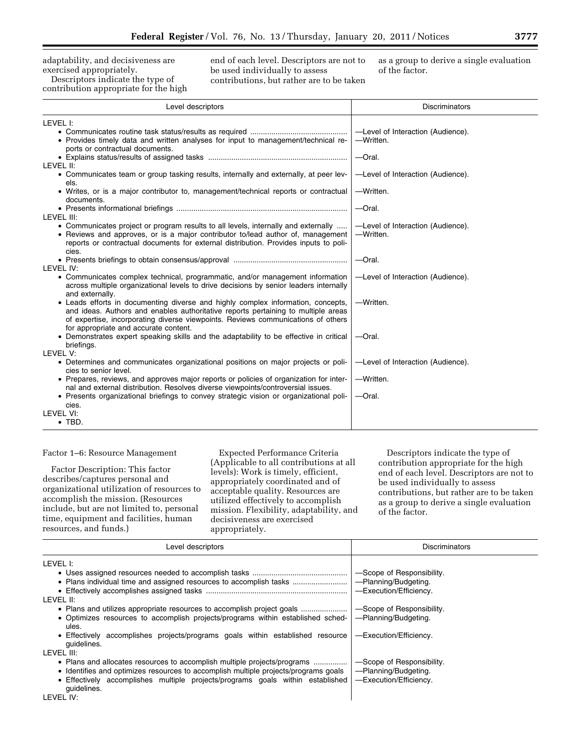adaptability, and decisiveness are exercised appropriately.

Descriptors indicate the type of contribution appropriate for the high end of each level. Descriptors are not to be used individually to assess contributions, but rather are to be taken as a group to derive a single evaluation of the factor.

| Level descriptors                                                                                                                                                                                                                                                                                  | <b>Discriminators</b>                          |
|----------------------------------------------------------------------------------------------------------------------------------------------------------------------------------------------------------------------------------------------------------------------------------------------------|------------------------------------------------|
| LEVEL I:                                                                                                                                                                                                                                                                                           |                                                |
| • Provides timely data and written analyses for input to management/technical re-<br>ports or contractual documents.                                                                                                                                                                               | -Level of Interaction (Audience).<br>-Written. |
|                                                                                                                                                                                                                                                                                                    | $-$ Oral.                                      |
| LEVEL II:<br>• Communicates team or group tasking results, internally and externally, at peer lev-<br>els.                                                                                                                                                                                         | -Level of Interaction (Audience).              |
| • Writes, or is a major contributor to, management/technical reports or contractual<br>documents.                                                                                                                                                                                                  | -Written.                                      |
| LEVEL III:                                                                                                                                                                                                                                                                                         | $-$ Oral.                                      |
| • Communicates project or program results to all levels, internally and externally<br>• Reviews and approves, or is a major contributor to/lead author of, management<br>reports or contractual documents for external distribution. Provides inputs to poli-<br>cies.                             | -Level of Interaction (Audience).<br>-Written. |
| LEVEL IV:                                                                                                                                                                                                                                                                                          | $-$ Oral.                                      |
| • Communicates complex technical, programmatic, and/or management information<br>across multiple organizational levels to drive decisions by senior leaders internally<br>and externally.                                                                                                          | -Level of Interaction (Audience).              |
| • Leads efforts in documenting diverse and highly complex information, concepts,<br>and ideas. Authors and enables authoritative reports pertaining to multiple areas<br>of expertise, incorporating diverse viewpoints. Reviews communications of others<br>for appropriate and accurate content. | -Written.                                      |
| • Demonstrates expert speaking skills and the adaptability to be effective in critical<br>briefings.                                                                                                                                                                                               | $-$ Oral.                                      |
| LEVEL V:                                                                                                                                                                                                                                                                                           |                                                |
| • Determines and communicates organizational positions on major projects or poli-<br>cies to senior level.                                                                                                                                                                                         | -Level of Interaction (Audience).              |
| • Prepares, reviews, and approves major reports or policies of organization for inter-<br>nal and external distribution. Resolves diverse viewpoints/controversial issues.                                                                                                                         | -Written.                                      |
| • Presents organizational briefings to convey strategic vision or organizational poli-<br>cies.                                                                                                                                                                                                    | $-$ Oral.                                      |
| LEVEL VI:<br>$\bullet$ TBD.                                                                                                                                                                                                                                                                        |                                                |

#### Factor 1–6: Resource Management

Factor Description: This factor describes/captures personal and organizational utilization of resources to accomplish the mission. (Resources include, but are not limited to, personal time, equipment and facilities, human resources, and funds.)

Expected Performance Criteria (Applicable to all contributions at all levels): Work is timely, efficient, appropriately coordinated and of acceptable quality. Resources are utilized effectively to accomplish mission. Flexibility, adaptability, and decisiveness are exercised appropriately.

| Level descriptors                                                                             | <b>Discriminators</b>     |
|-----------------------------------------------------------------------------------------------|---------------------------|
| LEVEL I:                                                                                      |                           |
|                                                                                               | -Scope of Responsibility. |
|                                                                                               | -Planning/Budgeting.      |
|                                                                                               | -Execution/Efficiency.    |
| LEVEL II:                                                                                     |                           |
|                                                                                               | -Scope of Responsibility. |
| • Optimizes resources to accomplish projects/programs within established sched-<br>ules.      | -Planning/Budgeting.      |
| • Effectively accomplishes projects/programs goals within established resource<br>quidelines. | -Execution/Efficiency.    |
| LEVEL III:                                                                                    |                           |
|                                                                                               | -Scope of Responsibility. |
| • Identifies and optimizes resources to accomplish multiple projects/programs goals           | -Planning/Budgeting.      |
| • Effectively accomplishes multiple projects/programs goals within established<br>quidelines. | -Execution/Efficiency.    |
| LEVEL IV:                                                                                     |                           |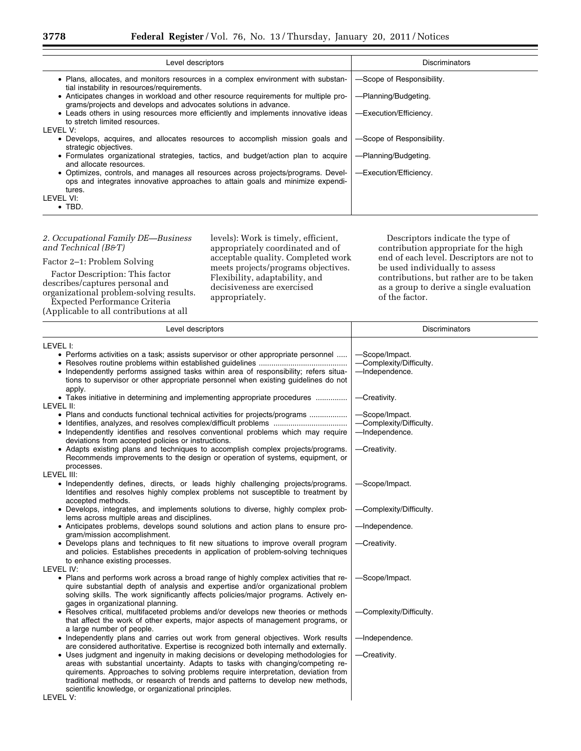| Level descriptors                                                                                                                                                                                                                                                                                                                                                                                                                                                                                                                                                                                                                                        | Discriminators                                                                                                                   |
|----------------------------------------------------------------------------------------------------------------------------------------------------------------------------------------------------------------------------------------------------------------------------------------------------------------------------------------------------------------------------------------------------------------------------------------------------------------------------------------------------------------------------------------------------------------------------------------------------------------------------------------------------------|----------------------------------------------------------------------------------------------------------------------------------|
| • Plans, allocates, and monitors resources in a complex environment with substan-<br>tial instability in resources/requirements.<br>• Anticipates changes in workload and other resource requirements for multiple pro-<br>grams/projects and develops and advocates solutions in advance.<br>• Leads others in using resources more efficiently and implements innovative ideas<br>to stretch limited resources.<br>LEVEL V:<br>• Develops, acquires, and allocates resources to accomplish mission goals and<br>strategic objectives.<br>• Formulates organizational strategies, tactics, and budget/action plan to acquire<br>and allocate resources. | -Scope of Responsibility.<br>-Planning/Budgeting.<br>-Execution/Efficiency.<br>-Scope of Responsibility.<br>-Planning/Budgeting. |
| • Optimizes, controls, and manages all resources across projects/programs. Devel-<br>ops and integrates innovative approaches to attain goals and minimize expendi-<br>tures.<br>LEVEL VI:<br>$\bullet$ TBD.                                                                                                                                                                                                                                                                                                                                                                                                                                             | -Execution/Efficiency.                                                                                                           |

# *2. Occupational Family DE—Business and Technical (B&T)*

Factor 2–1: Problem Solving

Factor Description: This factor describes/captures personal and organizational problem-solving results. Expected Performance Criteria

(Applicable to all contributions at all

levels): Work is timely, efficient, appropriately coordinated and of acceptable quality. Completed work meets projects/programs objectives. Flexibility, adaptability, and decisiveness are exercised appropriately.

| LEVEL I:<br>• Performs activities on a task; assists supervisor or other appropriate personnel<br>-Scope/Impact.<br>-Complexity/Difficulty.<br>-Independence.<br>• Independently performs assigned tasks within area of responsibility; refers situa-<br>tions to supervisor or other appropriate personnel when existing guidelines do not<br>apply.<br>• Takes initiative in determining and implementing appropriate procedures<br>-Creativity.<br>LEVEL II:<br>• Plans and conducts functional technical activities for projects/programs<br>-Scope/Impact.<br>-Complexity/Difficulty.<br>• Independently identifies and resolves conventional problems which may require<br>-Independence.<br>deviations from accepted policies or instructions.<br>• Adapts existing plans and techniques to accomplish complex projects/programs.<br>-Creativity.<br>Recommends improvements to the design or operation of systems, equipment, or<br>processes.<br>LEVEL III:<br>• Independently defines, directs, or leads highly challenging projects/programs.<br>-Scope/Impact.<br>Identifies and resolves highly complex problems not susceptible to treatment by<br>accepted methods.<br>• Develops, integrates, and implements solutions to diverse, highly complex prob-<br>-Complexity/Difficulty.<br>lems across multiple areas and disciplines.<br>• Anticipates problems, develops sound solutions and action plans to ensure pro-<br>-Independence.<br>gram/mission accomplishment.<br>• Develops plans and techniques to fit new situations to improve overall program<br>-Creativity.<br>and policies. Establishes precedents in application of problem-solving techniques<br>to enhance existing processes.<br>LEVEL IV:<br>• Plans and performs work across a broad range of highly complex activities that re-<br>-Scope/Impact.<br>quire substantial depth of analysis and expertise and/or organizational problem<br>solving skills. The work significantly affects policies/major programs. Actively en-<br>gages in organizational planning.<br>• Resolves critical, multifaceted problems and/or develops new theories or methods<br>-Complexity/Difficulty.<br>that affect the work of other experts, major aspects of management programs, or<br>a large number of people.<br>• Independently plans and carries out work from general objectives. Work results<br>-Independence.<br>are considered authoritative. Expertise is recognized both internally and externally.<br>• Uses judgment and ingenuity in making decisions or developing methodologies for<br>-Creativity.<br>areas with substantial uncertainty. Adapts to tasks with changing/competing re-<br>quirements. Approaches to solving problems require interpretation, deviation from<br>traditional methods, or research of trends and patterns to develop new methods, | Level descriptors | <b>Discriminators</b> |
|-----------------------------------------------------------------------------------------------------------------------------------------------------------------------------------------------------------------------------------------------------------------------------------------------------------------------------------------------------------------------------------------------------------------------------------------------------------------------------------------------------------------------------------------------------------------------------------------------------------------------------------------------------------------------------------------------------------------------------------------------------------------------------------------------------------------------------------------------------------------------------------------------------------------------------------------------------------------------------------------------------------------------------------------------------------------------------------------------------------------------------------------------------------------------------------------------------------------------------------------------------------------------------------------------------------------------------------------------------------------------------------------------------------------------------------------------------------------------------------------------------------------------------------------------------------------------------------------------------------------------------------------------------------------------------------------------------------------------------------------------------------------------------------------------------------------------------------------------------------------------------------------------------------------------------------------------------------------------------------------------------------------------------------------------------------------------------------------------------------------------------------------------------------------------------------------------------------------------------------------------------------------------------------------------------------------------------------------------------------------------------------------------------------------------------------------------------------------------------------------------------------------------------------------------------------------------------------------------------------------------------------------------------------------------------------------------------------------------------------------------------------------------------------------------------------------------------------------------------------|-------------------|-----------------------|
|                                                                                                                                                                                                                                                                                                                                                                                                                                                                                                                                                                                                                                                                                                                                                                                                                                                                                                                                                                                                                                                                                                                                                                                                                                                                                                                                                                                                                                                                                                                                                                                                                                                                                                                                                                                                                                                                                                                                                                                                                                                                                                                                                                                                                                                                                                                                                                                                                                                                                                                                                                                                                                                                                                                                                                                                                                                           |                   |                       |
|                                                                                                                                                                                                                                                                                                                                                                                                                                                                                                                                                                                                                                                                                                                                                                                                                                                                                                                                                                                                                                                                                                                                                                                                                                                                                                                                                                                                                                                                                                                                                                                                                                                                                                                                                                                                                                                                                                                                                                                                                                                                                                                                                                                                                                                                                                                                                                                                                                                                                                                                                                                                                                                                                                                                                                                                                                                           |                   |                       |
|                                                                                                                                                                                                                                                                                                                                                                                                                                                                                                                                                                                                                                                                                                                                                                                                                                                                                                                                                                                                                                                                                                                                                                                                                                                                                                                                                                                                                                                                                                                                                                                                                                                                                                                                                                                                                                                                                                                                                                                                                                                                                                                                                                                                                                                                                                                                                                                                                                                                                                                                                                                                                                                                                                                                                                                                                                                           |                   |                       |
|                                                                                                                                                                                                                                                                                                                                                                                                                                                                                                                                                                                                                                                                                                                                                                                                                                                                                                                                                                                                                                                                                                                                                                                                                                                                                                                                                                                                                                                                                                                                                                                                                                                                                                                                                                                                                                                                                                                                                                                                                                                                                                                                                                                                                                                                                                                                                                                                                                                                                                                                                                                                                                                                                                                                                                                                                                                           |                   |                       |
|                                                                                                                                                                                                                                                                                                                                                                                                                                                                                                                                                                                                                                                                                                                                                                                                                                                                                                                                                                                                                                                                                                                                                                                                                                                                                                                                                                                                                                                                                                                                                                                                                                                                                                                                                                                                                                                                                                                                                                                                                                                                                                                                                                                                                                                                                                                                                                                                                                                                                                                                                                                                                                                                                                                                                                                                                                                           |                   |                       |
|                                                                                                                                                                                                                                                                                                                                                                                                                                                                                                                                                                                                                                                                                                                                                                                                                                                                                                                                                                                                                                                                                                                                                                                                                                                                                                                                                                                                                                                                                                                                                                                                                                                                                                                                                                                                                                                                                                                                                                                                                                                                                                                                                                                                                                                                                                                                                                                                                                                                                                                                                                                                                                                                                                                                                                                                                                                           |                   |                       |
|                                                                                                                                                                                                                                                                                                                                                                                                                                                                                                                                                                                                                                                                                                                                                                                                                                                                                                                                                                                                                                                                                                                                                                                                                                                                                                                                                                                                                                                                                                                                                                                                                                                                                                                                                                                                                                                                                                                                                                                                                                                                                                                                                                                                                                                                                                                                                                                                                                                                                                                                                                                                                                                                                                                                                                                                                                                           |                   |                       |
|                                                                                                                                                                                                                                                                                                                                                                                                                                                                                                                                                                                                                                                                                                                                                                                                                                                                                                                                                                                                                                                                                                                                                                                                                                                                                                                                                                                                                                                                                                                                                                                                                                                                                                                                                                                                                                                                                                                                                                                                                                                                                                                                                                                                                                                                                                                                                                                                                                                                                                                                                                                                                                                                                                                                                                                                                                                           |                   |                       |
|                                                                                                                                                                                                                                                                                                                                                                                                                                                                                                                                                                                                                                                                                                                                                                                                                                                                                                                                                                                                                                                                                                                                                                                                                                                                                                                                                                                                                                                                                                                                                                                                                                                                                                                                                                                                                                                                                                                                                                                                                                                                                                                                                                                                                                                                                                                                                                                                                                                                                                                                                                                                                                                                                                                                                                                                                                                           |                   |                       |
|                                                                                                                                                                                                                                                                                                                                                                                                                                                                                                                                                                                                                                                                                                                                                                                                                                                                                                                                                                                                                                                                                                                                                                                                                                                                                                                                                                                                                                                                                                                                                                                                                                                                                                                                                                                                                                                                                                                                                                                                                                                                                                                                                                                                                                                                                                                                                                                                                                                                                                                                                                                                                                                                                                                                                                                                                                                           |                   |                       |
|                                                                                                                                                                                                                                                                                                                                                                                                                                                                                                                                                                                                                                                                                                                                                                                                                                                                                                                                                                                                                                                                                                                                                                                                                                                                                                                                                                                                                                                                                                                                                                                                                                                                                                                                                                                                                                                                                                                                                                                                                                                                                                                                                                                                                                                                                                                                                                                                                                                                                                                                                                                                                                                                                                                                                                                                                                                           |                   |                       |
|                                                                                                                                                                                                                                                                                                                                                                                                                                                                                                                                                                                                                                                                                                                                                                                                                                                                                                                                                                                                                                                                                                                                                                                                                                                                                                                                                                                                                                                                                                                                                                                                                                                                                                                                                                                                                                                                                                                                                                                                                                                                                                                                                                                                                                                                                                                                                                                                                                                                                                                                                                                                                                                                                                                                                                                                                                                           |                   |                       |
|                                                                                                                                                                                                                                                                                                                                                                                                                                                                                                                                                                                                                                                                                                                                                                                                                                                                                                                                                                                                                                                                                                                                                                                                                                                                                                                                                                                                                                                                                                                                                                                                                                                                                                                                                                                                                                                                                                                                                                                                                                                                                                                                                                                                                                                                                                                                                                                                                                                                                                                                                                                                                                                                                                                                                                                                                                                           |                   |                       |
|                                                                                                                                                                                                                                                                                                                                                                                                                                                                                                                                                                                                                                                                                                                                                                                                                                                                                                                                                                                                                                                                                                                                                                                                                                                                                                                                                                                                                                                                                                                                                                                                                                                                                                                                                                                                                                                                                                                                                                                                                                                                                                                                                                                                                                                                                                                                                                                                                                                                                                                                                                                                                                                                                                                                                                                                                                                           |                   |                       |
|                                                                                                                                                                                                                                                                                                                                                                                                                                                                                                                                                                                                                                                                                                                                                                                                                                                                                                                                                                                                                                                                                                                                                                                                                                                                                                                                                                                                                                                                                                                                                                                                                                                                                                                                                                                                                                                                                                                                                                                                                                                                                                                                                                                                                                                                                                                                                                                                                                                                                                                                                                                                                                                                                                                                                                                                                                                           |                   |                       |
|                                                                                                                                                                                                                                                                                                                                                                                                                                                                                                                                                                                                                                                                                                                                                                                                                                                                                                                                                                                                                                                                                                                                                                                                                                                                                                                                                                                                                                                                                                                                                                                                                                                                                                                                                                                                                                                                                                                                                                                                                                                                                                                                                                                                                                                                                                                                                                                                                                                                                                                                                                                                                                                                                                                                                                                                                                                           |                   |                       |
|                                                                                                                                                                                                                                                                                                                                                                                                                                                                                                                                                                                                                                                                                                                                                                                                                                                                                                                                                                                                                                                                                                                                                                                                                                                                                                                                                                                                                                                                                                                                                                                                                                                                                                                                                                                                                                                                                                                                                                                                                                                                                                                                                                                                                                                                                                                                                                                                                                                                                                                                                                                                                                                                                                                                                                                                                                                           |                   |                       |
|                                                                                                                                                                                                                                                                                                                                                                                                                                                                                                                                                                                                                                                                                                                                                                                                                                                                                                                                                                                                                                                                                                                                                                                                                                                                                                                                                                                                                                                                                                                                                                                                                                                                                                                                                                                                                                                                                                                                                                                                                                                                                                                                                                                                                                                                                                                                                                                                                                                                                                                                                                                                                                                                                                                                                                                                                                                           |                   |                       |
|                                                                                                                                                                                                                                                                                                                                                                                                                                                                                                                                                                                                                                                                                                                                                                                                                                                                                                                                                                                                                                                                                                                                                                                                                                                                                                                                                                                                                                                                                                                                                                                                                                                                                                                                                                                                                                                                                                                                                                                                                                                                                                                                                                                                                                                                                                                                                                                                                                                                                                                                                                                                                                                                                                                                                                                                                                                           |                   |                       |
|                                                                                                                                                                                                                                                                                                                                                                                                                                                                                                                                                                                                                                                                                                                                                                                                                                                                                                                                                                                                                                                                                                                                                                                                                                                                                                                                                                                                                                                                                                                                                                                                                                                                                                                                                                                                                                                                                                                                                                                                                                                                                                                                                                                                                                                                                                                                                                                                                                                                                                                                                                                                                                                                                                                                                                                                                                                           |                   |                       |
|                                                                                                                                                                                                                                                                                                                                                                                                                                                                                                                                                                                                                                                                                                                                                                                                                                                                                                                                                                                                                                                                                                                                                                                                                                                                                                                                                                                                                                                                                                                                                                                                                                                                                                                                                                                                                                                                                                                                                                                                                                                                                                                                                                                                                                                                                                                                                                                                                                                                                                                                                                                                                                                                                                                                                                                                                                                           |                   |                       |
|                                                                                                                                                                                                                                                                                                                                                                                                                                                                                                                                                                                                                                                                                                                                                                                                                                                                                                                                                                                                                                                                                                                                                                                                                                                                                                                                                                                                                                                                                                                                                                                                                                                                                                                                                                                                                                                                                                                                                                                                                                                                                                                                                                                                                                                                                                                                                                                                                                                                                                                                                                                                                                                                                                                                                                                                                                                           |                   |                       |
|                                                                                                                                                                                                                                                                                                                                                                                                                                                                                                                                                                                                                                                                                                                                                                                                                                                                                                                                                                                                                                                                                                                                                                                                                                                                                                                                                                                                                                                                                                                                                                                                                                                                                                                                                                                                                                                                                                                                                                                                                                                                                                                                                                                                                                                                                                                                                                                                                                                                                                                                                                                                                                                                                                                                                                                                                                                           |                   |                       |
|                                                                                                                                                                                                                                                                                                                                                                                                                                                                                                                                                                                                                                                                                                                                                                                                                                                                                                                                                                                                                                                                                                                                                                                                                                                                                                                                                                                                                                                                                                                                                                                                                                                                                                                                                                                                                                                                                                                                                                                                                                                                                                                                                                                                                                                                                                                                                                                                                                                                                                                                                                                                                                                                                                                                                                                                                                                           |                   |                       |
|                                                                                                                                                                                                                                                                                                                                                                                                                                                                                                                                                                                                                                                                                                                                                                                                                                                                                                                                                                                                                                                                                                                                                                                                                                                                                                                                                                                                                                                                                                                                                                                                                                                                                                                                                                                                                                                                                                                                                                                                                                                                                                                                                                                                                                                                                                                                                                                                                                                                                                                                                                                                                                                                                                                                                                                                                                                           |                   |                       |
|                                                                                                                                                                                                                                                                                                                                                                                                                                                                                                                                                                                                                                                                                                                                                                                                                                                                                                                                                                                                                                                                                                                                                                                                                                                                                                                                                                                                                                                                                                                                                                                                                                                                                                                                                                                                                                                                                                                                                                                                                                                                                                                                                                                                                                                                                                                                                                                                                                                                                                                                                                                                                                                                                                                                                                                                                                                           |                   |                       |
|                                                                                                                                                                                                                                                                                                                                                                                                                                                                                                                                                                                                                                                                                                                                                                                                                                                                                                                                                                                                                                                                                                                                                                                                                                                                                                                                                                                                                                                                                                                                                                                                                                                                                                                                                                                                                                                                                                                                                                                                                                                                                                                                                                                                                                                                                                                                                                                                                                                                                                                                                                                                                                                                                                                                                                                                                                                           |                   |                       |
|                                                                                                                                                                                                                                                                                                                                                                                                                                                                                                                                                                                                                                                                                                                                                                                                                                                                                                                                                                                                                                                                                                                                                                                                                                                                                                                                                                                                                                                                                                                                                                                                                                                                                                                                                                                                                                                                                                                                                                                                                                                                                                                                                                                                                                                                                                                                                                                                                                                                                                                                                                                                                                                                                                                                                                                                                                                           |                   |                       |
|                                                                                                                                                                                                                                                                                                                                                                                                                                                                                                                                                                                                                                                                                                                                                                                                                                                                                                                                                                                                                                                                                                                                                                                                                                                                                                                                                                                                                                                                                                                                                                                                                                                                                                                                                                                                                                                                                                                                                                                                                                                                                                                                                                                                                                                                                                                                                                                                                                                                                                                                                                                                                                                                                                                                                                                                                                                           |                   |                       |
|                                                                                                                                                                                                                                                                                                                                                                                                                                                                                                                                                                                                                                                                                                                                                                                                                                                                                                                                                                                                                                                                                                                                                                                                                                                                                                                                                                                                                                                                                                                                                                                                                                                                                                                                                                                                                                                                                                                                                                                                                                                                                                                                                                                                                                                                                                                                                                                                                                                                                                                                                                                                                                                                                                                                                                                                                                                           |                   |                       |
|                                                                                                                                                                                                                                                                                                                                                                                                                                                                                                                                                                                                                                                                                                                                                                                                                                                                                                                                                                                                                                                                                                                                                                                                                                                                                                                                                                                                                                                                                                                                                                                                                                                                                                                                                                                                                                                                                                                                                                                                                                                                                                                                                                                                                                                                                                                                                                                                                                                                                                                                                                                                                                                                                                                                                                                                                                                           |                   |                       |
|                                                                                                                                                                                                                                                                                                                                                                                                                                                                                                                                                                                                                                                                                                                                                                                                                                                                                                                                                                                                                                                                                                                                                                                                                                                                                                                                                                                                                                                                                                                                                                                                                                                                                                                                                                                                                                                                                                                                                                                                                                                                                                                                                                                                                                                                                                                                                                                                                                                                                                                                                                                                                                                                                                                                                                                                                                                           |                   |                       |
|                                                                                                                                                                                                                                                                                                                                                                                                                                                                                                                                                                                                                                                                                                                                                                                                                                                                                                                                                                                                                                                                                                                                                                                                                                                                                                                                                                                                                                                                                                                                                                                                                                                                                                                                                                                                                                                                                                                                                                                                                                                                                                                                                                                                                                                                                                                                                                                                                                                                                                                                                                                                                                                                                                                                                                                                                                                           |                   |                       |
|                                                                                                                                                                                                                                                                                                                                                                                                                                                                                                                                                                                                                                                                                                                                                                                                                                                                                                                                                                                                                                                                                                                                                                                                                                                                                                                                                                                                                                                                                                                                                                                                                                                                                                                                                                                                                                                                                                                                                                                                                                                                                                                                                                                                                                                                                                                                                                                                                                                                                                                                                                                                                                                                                                                                                                                                                                                           |                   |                       |
|                                                                                                                                                                                                                                                                                                                                                                                                                                                                                                                                                                                                                                                                                                                                                                                                                                                                                                                                                                                                                                                                                                                                                                                                                                                                                                                                                                                                                                                                                                                                                                                                                                                                                                                                                                                                                                                                                                                                                                                                                                                                                                                                                                                                                                                                                                                                                                                                                                                                                                                                                                                                                                                                                                                                                                                                                                                           |                   |                       |
|                                                                                                                                                                                                                                                                                                                                                                                                                                                                                                                                                                                                                                                                                                                                                                                                                                                                                                                                                                                                                                                                                                                                                                                                                                                                                                                                                                                                                                                                                                                                                                                                                                                                                                                                                                                                                                                                                                                                                                                                                                                                                                                                                                                                                                                                                                                                                                                                                                                                                                                                                                                                                                                                                                                                                                                                                                                           |                   |                       |
| scientific knowledge, or organizational principles.                                                                                                                                                                                                                                                                                                                                                                                                                                                                                                                                                                                                                                                                                                                                                                                                                                                                                                                                                                                                                                                                                                                                                                                                                                                                                                                                                                                                                                                                                                                                                                                                                                                                                                                                                                                                                                                                                                                                                                                                                                                                                                                                                                                                                                                                                                                                                                                                                                                                                                                                                                                                                                                                                                                                                                                                       |                   |                       |
| LEVEL V:                                                                                                                                                                                                                                                                                                                                                                                                                                                                                                                                                                                                                                                                                                                                                                                                                                                                                                                                                                                                                                                                                                                                                                                                                                                                                                                                                                                                                                                                                                                                                                                                                                                                                                                                                                                                                                                                                                                                                                                                                                                                                                                                                                                                                                                                                                                                                                                                                                                                                                                                                                                                                                                                                                                                                                                                                                                  |                   |                       |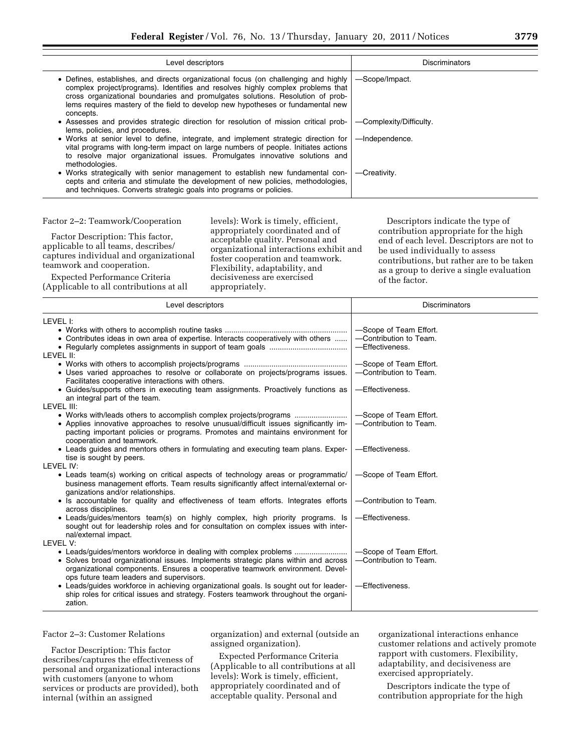| Level descriptors                                                                                                                                                                                                                                                                                                                                        | <b>Discriminators</b>   |
|----------------------------------------------------------------------------------------------------------------------------------------------------------------------------------------------------------------------------------------------------------------------------------------------------------------------------------------------------------|-------------------------|
| • Defines, establishes, and directs organizational focus (on challenging and highly<br>complex project/programs). Identifies and resolves highly complex problems that<br>cross organizational boundaries and promulgates solutions. Resolution of prob-<br>lems requires mastery of the field to develop new hypotheses or fundamental new<br>concepts. | -Scope/Impact.          |
| • Assesses and provides strategic direction for resolution of mission critical prob-<br>lems, policies, and procedures.                                                                                                                                                                                                                                  | -Complexity/Difficulty. |
| • Works at senior level to define, integrate, and implement strategic direction for<br>vital programs with long-term impact on large numbers of people. Initiates actions<br>to resolve major organizational issues. Promulgates innovative solutions and<br>methodologies.                                                                              | -Independence.          |
| • Works strategically with senior management to establish new fundamental con-<br>cepts and criteria and stimulate the development of new policies, methodologies,<br>and techniques. Converts strategic goals into programs or policies.                                                                                                                | -Creativity.            |

#### Factor 2–2: Teamwork/Cooperation

Expected Performance Criteria (Applicable to all contributions at all

Factor Description: This factor, applicable to all teams, describes/ captures individual and organizational teamwork and cooperation.

levels): Work is timely, efficient, appropriately coordinated and of acceptable quality. Personal and organizational interactions exhibit and foster cooperation and teamwork. Flexibility, adaptability, and decisiveness are exercised appropriately.

Descriptors indicate the type of contribution appropriate for the high end of each level. Descriptors are not to be used individually to assess contributions, but rather are to be taken as a group to derive a single evaluation of the factor.

| Level descriptors                                                                                                 | <b>Discriminators</b>  |
|-------------------------------------------------------------------------------------------------------------------|------------------------|
| LEVEL I:                                                                                                          |                        |
|                                                                                                                   | -Scope of Team Effort. |
| • Contributes ideas in own area of expertise. Interacts cooperatively with others                                 | -Contribution to Team. |
|                                                                                                                   | -Effectiveness.        |
| LEVEL II:                                                                                                         |                        |
|                                                                                                                   | -Scope of Team Effort. |
| • Uses varied approaches to resolve or collaborate on projects/programs issues.                                   | -Contribution to Team. |
| Facilitates cooperative interactions with others.                                                                 |                        |
| • Guides/supports others in executing team assignments. Proactively functions as<br>an integral part of the team. | -Effectiveness.        |
| LEVEL III:                                                                                                        |                        |
|                                                                                                                   | -Scope of Team Effort. |
| • Applies innovative approaches to resolve unusual/difficult issues significantly im-                             | -Contribution to Team. |
| pacting important policies or programs. Promotes and maintains environment for                                    |                        |
| cooperation and teamwork.                                                                                         |                        |
| • Leads guides and mentors others in formulating and executing team plans. Exper-                                 | -Effectiveness.        |
| tise is sought by peers.                                                                                          |                        |
| LEVEL IV:                                                                                                         |                        |
| • Leads team(s) working on critical aspects of technology areas or programmatic/                                  | -Scope of Team Effort. |
| business management efforts. Team results significantly affect internal/external or-                              |                        |
| ganizations and/or relationships.                                                                                 |                        |
| • Is accountable for quality and effectiveness of team efforts. Integrates efforts                                | -Contribution to Team. |
| across disciplines.                                                                                               |                        |
| • Leads/guides/mentors team(s) on highly complex, high priority programs. Is                                      | -Effectiveness.        |
| sought out for leadership roles and for consultation on complex issues with inter-                                |                        |
| nal/external impact.<br>LEVEL V:                                                                                  |                        |
|                                                                                                                   | -Scope of Team Effort. |
| • Solves broad organizational issues. Implements strategic plans within and across                                | -Contribution to Team. |
| organizational components. Ensures a cooperative teamwork environment. Devel-                                     |                        |
| ops future team leaders and supervisors.                                                                          |                        |
| • Leads/guides workforce in achieving organizational goals. Is sought out for leader-                             | -Effectiveness.        |
| ship roles for critical issues and strategy. Fosters teamwork throughout the organi-                              |                        |
| zation.                                                                                                           |                        |
|                                                                                                                   |                        |

Factor 2–3: Customer Relations

Factor Description: This factor describes/captures the effectiveness of personal and organizational interactions with customers (anyone to whom services or products are provided), both internal (within an assigned

organization) and external (outside an assigned organization).

Expected Performance Criteria (Applicable to all contributions at all levels): Work is timely, efficient, appropriately coordinated and of acceptable quality. Personal and

organizational interactions enhance customer relations and actively promote rapport with customers. Flexibility, adaptability, and decisiveness are exercised appropriately.

Descriptors indicate the type of contribution appropriate for the high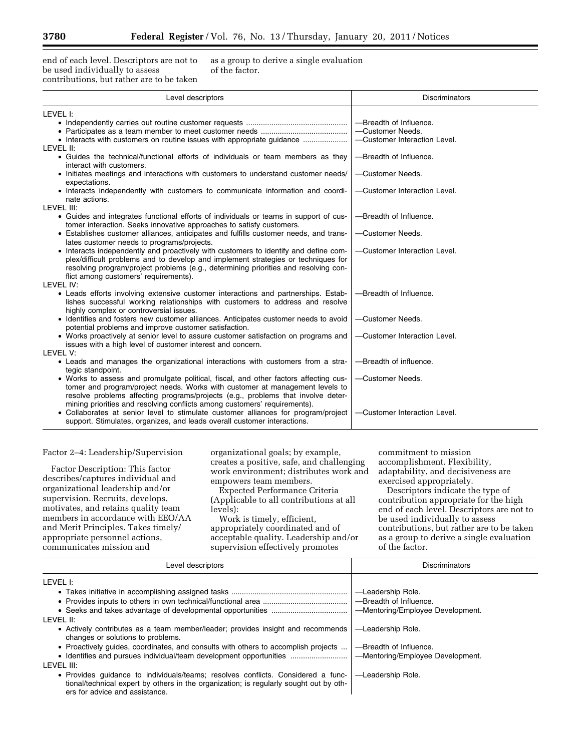end of each level. Descriptors are not to be used individually to assess contributions, but rather are to be taken as a group to derive a single evaluation of the factor.

| Level descriptors                                                                                                                                                                                                                                                                                                                                                                                                                                | <b>Discriminators</b>                                                      |
|--------------------------------------------------------------------------------------------------------------------------------------------------------------------------------------------------------------------------------------------------------------------------------------------------------------------------------------------------------------------------------------------------------------------------------------------------|----------------------------------------------------------------------------|
| LEVEL I:<br>LEVEL II:                                                                                                                                                                                                                                                                                                                                                                                                                            | -Breadth of Influence.<br>-Customer Needs.<br>-Customer Interaction Level. |
| • Guides the technical/functional efforts of individuals or team members as they<br>interact with customers.                                                                                                                                                                                                                                                                                                                                     | -Breadth of Influence.                                                     |
| • Initiates meetings and interactions with customers to understand customer needs/<br>expectations.<br>• Interacts independently with customers to communicate information and coordi-                                                                                                                                                                                                                                                           | -Customer Needs.<br>-Customer Interaction Level.                           |
| nate actions.<br>LEVEL III:                                                                                                                                                                                                                                                                                                                                                                                                                      |                                                                            |
| • Guides and integrates functional efforts of individuals or teams in support of cus-<br>tomer interaction. Seeks innovative approaches to satisfy customers.                                                                                                                                                                                                                                                                                    | -Breadth of Influence.                                                     |
| • Establishes customer alliances, anticipates and fulfills customer needs, and trans-<br>lates customer needs to programs/projects.<br>• Interacts independently and proactively with customers to identify and define com-<br>plex/difficult problems and to develop and implement strategies or techniques for<br>resolving program/project problems (e.g., determining priorities and resolving con-<br>flict among customers' requirements). | -Customer Needs.<br>-Customer Interaction Level.                           |
| LEVEL IV:<br>• Leads efforts involving extensive customer interactions and partnerships. Estab-                                                                                                                                                                                                                                                                                                                                                  | -Breadth of Influence.                                                     |
| lishes successful working relationships with customers to address and resolve<br>highly complex or controversial issues.                                                                                                                                                                                                                                                                                                                         |                                                                            |
| • Identifies and fosters new customer alliances. Anticipates customer needs to avoid<br>potential problems and improve customer satisfaction.                                                                                                                                                                                                                                                                                                    | -Customer Needs.                                                           |
| • Works proactively at senior level to assure customer satisfaction on programs and<br>issues with a high level of customer interest and concern.                                                                                                                                                                                                                                                                                                | -Customer Interaction Level.                                               |
| LEVEL V:<br>• Leads and manages the organizational interactions with customers from a stra-<br>tegic standpoint.                                                                                                                                                                                                                                                                                                                                 | -Breadth of influence.                                                     |
| • Works to assess and promulgate political, fiscal, and other factors affecting cus-<br>tomer and program/project needs. Works with customer at management levels to<br>resolve problems affecting programs/projects (e.g., problems that involve deter-<br>mining priorities and resolving conflicts among customers' requirements).                                                                                                            | -Customer Needs.                                                           |
| • Collaborates at senior level to stimulate customer alliances for program/project<br>support. Stimulates, organizes, and leads overall customer interactions.                                                                                                                                                                                                                                                                                   | -Customer Interaction Level.                                               |

Factor 2–4: Leadership/Supervision

Factor Description: This factor describes/captures individual and organizational leadership and/or supervision. Recruits, develops, motivates, and retains quality team members in accordance with EEO/AA and Merit Principles. Takes timely/ appropriate personnel actions, communicates mission and

organizational goals; by example, creates a positive, safe, and challenging work environment; distributes work and empowers team members.

Expected Performance Criteria (Applicable to all contributions at all levels):

Work is timely, efficient, appropriately coordinated and of acceptable quality. Leadership and/or supervision effectively promotes

commitment to mission accomplishment. Flexibility, adaptability, and decisiveness are exercised appropriately.

| Level descriptors                                                                                                                                                                                            | <b>Discriminators</b>            |
|--------------------------------------------------------------------------------------------------------------------------------------------------------------------------------------------------------------|----------------------------------|
| LEVEL I:                                                                                                                                                                                                     |                                  |
|                                                                                                                                                                                                              | -Leadership Role.                |
|                                                                                                                                                                                                              | -Breadth of Influence.           |
|                                                                                                                                                                                                              | -Mentoring/Employee Development. |
| LEVEL II:                                                                                                                                                                                                    |                                  |
| • Actively contributes as a team member/leader; provides insight and recommends<br>changes or solutions to problems.                                                                                         | -Leadership Role.                |
| • Proactively guides, coordinates, and consults with others to accomplish projects                                                                                                                           | -Breadth of Influence.           |
|                                                                                                                                                                                                              | -Mentoring/Employee Development. |
| <b>IFVEL III:</b>                                                                                                                                                                                            |                                  |
| • Provides guidance to individuals/teams; resolves conflicts. Considered a func-<br>tional/technical expert by others in the organization; is regularly sought out by oth-<br>ers for advice and assistance. | -Leadership Role.                |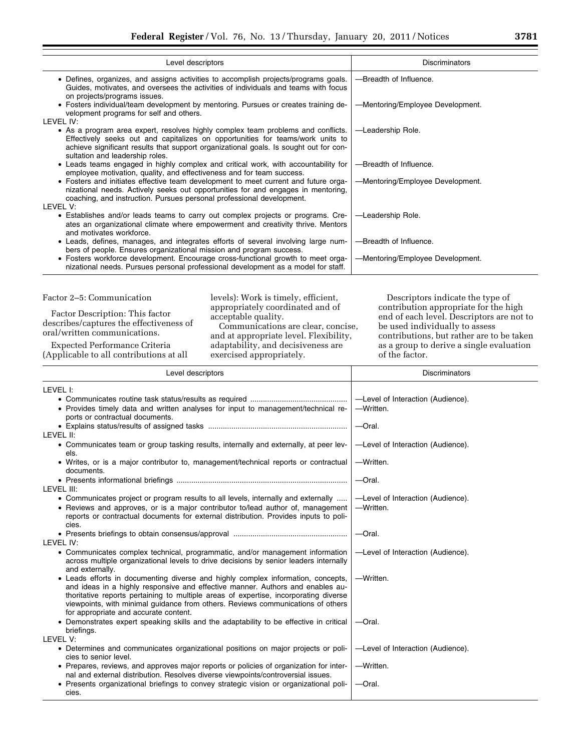| Level descriptors                                                                                                                                                                                    |                                                                                                                                                                                                                                                           | Discriminators                                                                                                                                                                                        |
|------------------------------------------------------------------------------------------------------------------------------------------------------------------------------------------------------|-----------------------------------------------------------------------------------------------------------------------------------------------------------------------------------------------------------------------------------------------------------|-------------------------------------------------------------------------------------------------------------------------------------------------------------------------------------------------------|
| • Defines, organizes, and assigns activities to accomplish projects/programs goals.<br>on projects/programs issues.                                                                                  | Guides, motivates, and oversees the activities of individuals and teams with focus                                                                                                                                                                        | -Breadth of Influence.                                                                                                                                                                                |
| • Fosters individual/team development by mentoring. Pursues or creates training de-<br>velopment programs for self and others.                                                                       |                                                                                                                                                                                                                                                           | -Mentoring/Employee Development.                                                                                                                                                                      |
| LEVEL IV:<br>• As a program area expert, resolves highly complex team problems and conflicts.<br>sultation and leadership roles.                                                                     | Effectively seeks out and capitalizes on opportunities for teams/work units to<br>achieve significant results that support organizational goals. Is sought out for con-                                                                                   | -Leadership Role.                                                                                                                                                                                     |
| • Leads teams engaged in highly complex and critical work, with accountability for<br>employee motivation, quality, and effectiveness and for team success.                                          |                                                                                                                                                                                                                                                           | -Breadth of Influence.                                                                                                                                                                                |
| • Fosters and initiates effective team development to meet current and future orga-<br>coaching, and instruction. Pursues personal professional development.<br>LEVEL V:                             | nizational needs. Actively seeks out opportunities for and engages in mentoring,                                                                                                                                                                          | -Mentoring/Employee Development.                                                                                                                                                                      |
| • Establishes and/or leads teams to carry out complex projects or programs. Cre-<br>and motivates workforce.                                                                                         | ates an organizational climate where empowerment and creativity thrive. Mentors                                                                                                                                                                           | -Leadership Role.                                                                                                                                                                                     |
| • Leads, defines, manages, and integrates efforts of several involving large num-<br>bers of people. Ensures organizational mission and program success.                                             |                                                                                                                                                                                                                                                           | -Breadth of Influence.                                                                                                                                                                                |
| • Fosters workforce development. Encourage cross-functional growth to meet orga-                                                                                                                     | nizational needs. Pursues personal professional development as a model for staff.                                                                                                                                                                         | -Mentoring/Employee Development.                                                                                                                                                                      |
|                                                                                                                                                                                                      |                                                                                                                                                                                                                                                           |                                                                                                                                                                                                       |
| Factor 2-5: Communication<br>Factor Description: This factor<br>describes/captures the effectiveness of<br>oral/written communications.                                                              | levels): Work is timely, efficient,<br>appropriately coordinated and of<br>acceptable quality.<br>Communications are clear, concise,<br>and at appropriate level. Flexibility,                                                                            | Descriptors indicate the type of<br>contribution appropriate for the high<br>end of each level. Descriptors are not to<br>be used individually to assess<br>contributions, but rather are to be taken |
| Expected Performance Criteria                                                                                                                                                                        | adaptability, and decisiveness are                                                                                                                                                                                                                        | as a group to derive a single evaluation                                                                                                                                                              |
| (Applicable to all contributions at all                                                                                                                                                              | exercised appropriately.                                                                                                                                                                                                                                  | of the factor.                                                                                                                                                                                        |
| Level descriptors                                                                                                                                                                                    |                                                                                                                                                                                                                                                           | Discriminators                                                                                                                                                                                        |
|                                                                                                                                                                                                      |                                                                                                                                                                                                                                                           |                                                                                                                                                                                                       |
| LEVEL I:                                                                                                                                                                                             |                                                                                                                                                                                                                                                           |                                                                                                                                                                                                       |
| • Provides timely data and written analyses for input to management/technical re-<br>ports or contractual documents.                                                                                 |                                                                                                                                                                                                                                                           | -Level of Interaction (Audience).<br>-Written.                                                                                                                                                        |
|                                                                                                                                                                                                      |                                                                                                                                                                                                                                                           | —Oral.                                                                                                                                                                                                |
| LEVEL II:<br>• Communicates team or group tasking results, internally and externally, at peer lev-                                                                                                   |                                                                                                                                                                                                                                                           | -Level of Interaction (Audience).                                                                                                                                                                     |
| els.<br>• Writes, or is a major contributor to, management/technical reports or contractual<br>documents.                                                                                            |                                                                                                                                                                                                                                                           | -Written.                                                                                                                                                                                             |
|                                                                                                                                                                                                      |                                                                                                                                                                                                                                                           | -Oral.                                                                                                                                                                                                |
| LEVEL III:<br>• Communicates project or program results to all levels, internally and externally<br>• Reviews and approves, or is a major contributor to/lead author of, management                  | reports or contractual documents for external distribution. Provides inputs to poli-                                                                                                                                                                      | -Level of Interaction (Audience).<br>-Written.                                                                                                                                                        |
| cies.                                                                                                                                                                                                |                                                                                                                                                                                                                                                           | -Oral.                                                                                                                                                                                                |
| LEVEL IV:<br>• Communicates complex technical, programmatic, and/or management information                                                                                                           | across multiple organizational levels to drive decisions by senior leaders internally                                                                                                                                                                     | -Level of Interaction (Audience).                                                                                                                                                                     |
| and externally.<br>• Leads efforts in documenting diverse and highly complex information, concepts,<br>for appropriate and accurate content.                                                         | and ideas in a highly responsive and effective manner. Authors and enables au-<br>thoritative reports pertaining to multiple areas of expertise, incorporating diverse<br>viewpoints, with minimal guidance from others. Reviews communications of others | -Written.                                                                                                                                                                                             |
| • Demonstrates expert speaking skills and the adaptability to be effective in critical<br>briefings.                                                                                                 |                                                                                                                                                                                                                                                           | -Oral.                                                                                                                                                                                                |
| LEVEL V:                                                                                                                                                                                             |                                                                                                                                                                                                                                                           |                                                                                                                                                                                                       |
| • Determines and communicates organizational positions on major projects or poli-<br>cies to senior level.<br>• Prepares, reviews, and approves major reports or policies of organization for inter- |                                                                                                                                                                                                                                                           | -Level of Interaction (Audience).<br>-Written.                                                                                                                                                        |

• Presents organizational briefings to convey strategic vision or organizational policies. —Oral.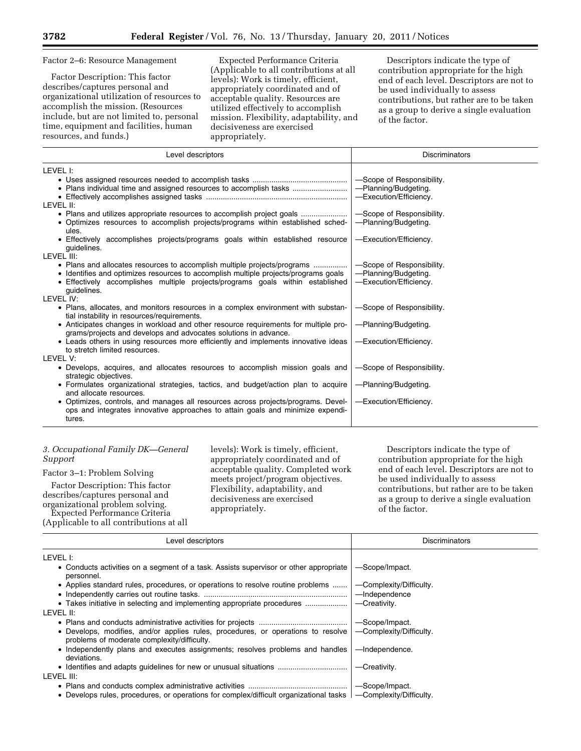#### Factor 2–6: Resource Management

Factor Description: This factor describes/captures personal and organizational utilization of resources to accomplish the mission. (Resources include, but are not limited to, personal time, equipment and facilities, human resources, and funds.)

Expected Performance Criteria (Applicable to all contributions at all levels): Work is timely, efficient, appropriately coordinated and of acceptable quality. Resources are utilized effectively to accomplish mission. Flexibility, adaptability, and decisiveness are exercised appropriately.

Descriptors indicate the type of contribution appropriate for the high end of each level. Descriptors are not to be used individually to assess contributions, but rather are to be taken as a group to derive a single evaluation of the factor.

| Level descriptors                                                                                                                                                                                                                                                | <b>Discriminators</b>                                                       |
|------------------------------------------------------------------------------------------------------------------------------------------------------------------------------------------------------------------------------------------------------------------|-----------------------------------------------------------------------------|
| LEVEL I:                                                                                                                                                                                                                                                         |                                                                             |
|                                                                                                                                                                                                                                                                  | -Scope of Responsibility.<br>-Planning/Budgeting.<br>-Execution/Efficiency. |
| LEVEL II:                                                                                                                                                                                                                                                        |                                                                             |
| • Plans and utilizes appropriate resources to accomplish project goals<br>• Optimizes resources to accomplish projects/programs within established sched-<br>ules.                                                                                               | -Scope of Responsibility.<br>-Planning/Budgeting.                           |
| • Effectively accomplishes projects/programs goals within established resource<br>quidelines.                                                                                                                                                                    | -Execution/Efficiency.                                                      |
| LEVEL III:                                                                                                                                                                                                                                                       |                                                                             |
| • Plans and allocates resources to accomplish multiple projects/programs<br>• Identifies and optimizes resources to accomplish multiple projects/programs goals<br>• Effectively accomplishes multiple projects/programs goals within established<br>quidelines. | -Scope of Responsibility.<br>-Planning/Budgeting.<br>-Execution/Efficiency. |
| LEVEL IV:                                                                                                                                                                                                                                                        |                                                                             |
| • Plans, allocates, and monitors resources in a complex environment with substan-<br>tial instability in resources/requirements.                                                                                                                                 | -Scope of Responsibility.                                                   |
| • Anticipates changes in workload and other resource requirements for multiple pro-<br>grams/projects and develops and advocates solutions in advance.                                                                                                           | -Planning/Budgeting.                                                        |
| • Leads others in using resources more efficiently and implements innovative ideas<br>to stretch limited resources.                                                                                                                                              | -Execution/Efficiency.                                                      |
| <b>IFVEL V:</b>                                                                                                                                                                                                                                                  |                                                                             |
| • Develops, acquires, and allocates resources to accomplish mission goals and<br>strategic objectives.                                                                                                                                                           | -Scope of Responsibility.                                                   |
| • Formulates organizational strategies, tactics, and budget/action plan to acquire<br>and allocate resources.                                                                                                                                                    | -Planning/Budgeting.                                                        |
| • Optimizes, controls, and manages all resources across projects/programs. Devel-<br>ops and integrates innovative approaches to attain goals and minimize expendi-<br>tures.                                                                                    | -Execution/Efficiency.                                                      |

# *3. Occupational Family DK—General Support*

Factor 3–1: Problem Solving

Factor Description: This factor describes/captures personal and organizational problem solving.

Expected Performance Criteria (Applicable to all contributions at all

levels): Work is timely, efficient, appropriately coordinated and of acceptable quality. Completed work meets project/program objectives. Flexibility, adaptability, and decisiveness are exercised appropriately.

| Level descriptors                                                                                                               | <b>Discriminators</b>   |
|---------------------------------------------------------------------------------------------------------------------------------|-------------------------|
| LEVEL I:                                                                                                                        |                         |
| • Conducts activities on a segment of a task. Assists supervisor or other appropriate<br>personnel.                             | -Scope/Impact.          |
| • Applies standard rules, procedures, or operations to resolve routine problems                                                 | -Complexity/Difficulty. |
|                                                                                                                                 | -Independence           |
| • Takes initiative in selecting and implementing appropriate procedures                                                         | -Creativity.            |
| level II:                                                                                                                       |                         |
|                                                                                                                                 | -Scope/Impact.          |
| • Develops, modifies, and/or applies rules, procedures, or operations to resolve<br>problems of moderate complexity/difficulty. | -Complexity/Difficulty. |
| • Independently plans and executes assignments; resolves problems and handles<br>deviations.                                    | -Independence.          |
|                                                                                                                                 | -Creativity.            |
| level III:                                                                                                                      |                         |
|                                                                                                                                 | -Scope/Impact.          |
| • Develops rules, procedures, or operations for complex/difficult organizational tasks                                          | -Complexity/Difficulty. |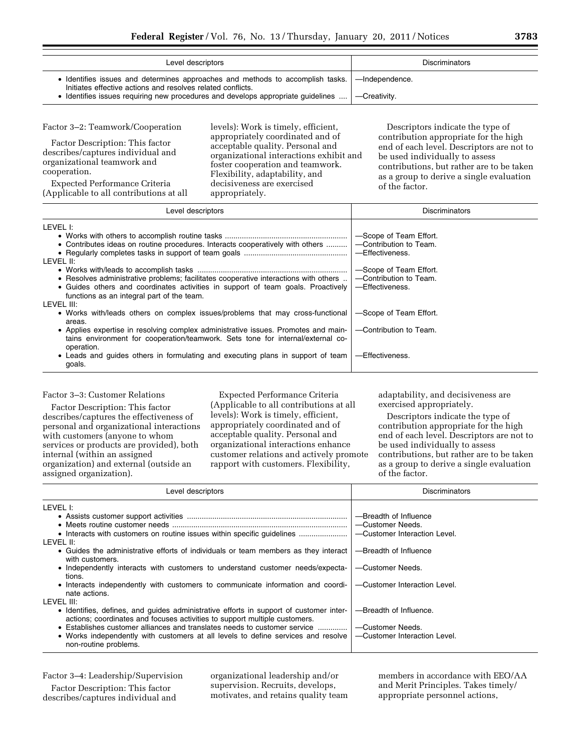| Level descriptors                                                                                                                                            | <b>Discriminators</b> |
|--------------------------------------------------------------------------------------------------------------------------------------------------------------|-----------------------|
| Identifies issues and determines approaches and methods to accomplish tasks.   —Independence.<br>Initiates effective actions and resolves related conflicts. |                       |
| Identifies issues requiring new procedures and develops appropriate quidelines $\ldots$ $\vert$ --Creativity.                                                |                       |

Factor 3–2: Teamwork/Cooperation

Factor Description: This factor describes/captures individual and organizational teamwork and cooperation.

Expected Performance Criteria (Applicable to all contributions at all levels): Work is timely, efficient, appropriately coordinated and of acceptable quality. Personal and organizational interactions exhibit and foster cooperation and teamwork. Flexibility, adaptability, and decisiveness are exercised appropriately.

Descriptors indicate the type of contribution appropriate for the high end of each level. Descriptors are not to be used individually to assess contributions, but rather are to be taken as a group to derive a single evaluation of the factor.

| Level descriptors                                                                                                                                                                                                                    | <b>Discriminators</b>                                                                         |
|--------------------------------------------------------------------------------------------------------------------------------------------------------------------------------------------------------------------------------------|-----------------------------------------------------------------------------------------------|
| LEVEL I:<br>• Contributes ideas on routine procedures. Interacts cooperatively with others<br>LEVEL II:                                                                                                                              | -Scope of Team Effort.<br>-Contribution to Team.<br>-Effectiveness.<br>-Scope of Team Effort. |
| • Resolves administrative problems; facilitates cooperative interactions with others<br>• Guides others and coordinates activities in support of team goals. Proactively<br>functions as an integral part of the team.<br>LEVEL III: | -Contribution to Team.<br>-Effectiveness.                                                     |
| • Works with/leads others on complex issues/problems that may cross-functional<br>areas.                                                                                                                                             | -Scope of Team Effort.                                                                        |
| • Applies expertise in resolving complex administrative issues. Promotes and main-<br>tains environment for cooperation/teamwork. Sets tone for internal/external co-<br>operation.                                                  | -Contribution to Team.                                                                        |
| • Leads and guides others in formulating and executing plans in support of team<br>goals.                                                                                                                                            | -Effectiveness.                                                                               |

# Factor 3–3: Customer Relations

Factor Description: This factor describes/captures the effectiveness of personal and organizational interactions with customers (anyone to whom services or products are provided), both internal (within an assigned organization) and external (outside an assigned organization).

Expected Performance Criteria (Applicable to all contributions at all levels): Work is timely, efficient, appropriately coordinated and of acceptable quality. Personal and organizational interactions enhance customer relations and actively promote rapport with customers. Flexibility,

adaptability, and decisiveness are exercised appropriately.

Descriptors indicate the type of contribution appropriate for the high end of each level. Descriptors are not to be used individually to assess contributions, but rather are to be taken as a group to derive a single evaluation of the factor.

| Level descriptors                                                                                                                                                                                                                                                                                                                                                             | <b>Discriminators</b>                                                                                                                                  |
|-------------------------------------------------------------------------------------------------------------------------------------------------------------------------------------------------------------------------------------------------------------------------------------------------------------------------------------------------------------------------------|--------------------------------------------------------------------------------------------------------------------------------------------------------|
| LEVEL I:<br>LEVEL II:<br>• Guides the administrative efforts of individuals or team members as they interact<br>with customers.<br>• Independently interacts with customers to understand customer needs/expecta-<br>tions.<br>• Interacts independently with customers to communicate information and coordi-<br>nate actions.                                               | -Breadth of Influence<br>-Customer Needs.<br>-Customer Interaction Level.<br>-Breadth of Influence<br>-Customer Needs.<br>-Customer Interaction Level. |
| LEVEL III:<br>• Identifies, defines, and guides administrative efforts in support of customer inter-<br>actions; coordinates and focuses activities to support multiple customers.<br>• Establishes customer alliances and translates needs to customer service<br>• Works independently with customers at all levels to define services and resolve<br>non-routine problems. | -Breadth of Influence.<br>-Customer Needs.<br>-Customer Interaction Level.                                                                             |

Factor 3–4: Leadership/Supervision

Factor Description: This factor describes/captures individual and organizational leadership and/or supervision. Recruits, develops, motivates, and retains quality team members in accordance with EEO/AA and Merit Principles. Takes timely/ appropriate personnel actions,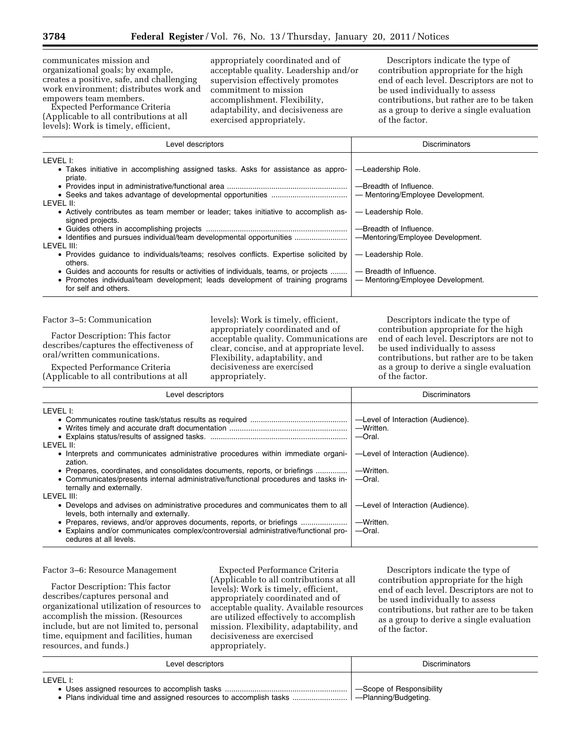communicates mission and organizational goals; by example, creates a positive, safe, and challenging work environment; distributes work and empowers team members.

Expected Performance Criteria (Applicable to all contributions at all levels): Work is timely, efficient,

appropriately coordinated and of acceptable quality. Leadership and/or supervision effectively promotes commitment to mission accomplishment. Flexibility, adaptability, and decisiveness are exercised appropriately.

Descriptors indicate the type of contribution appropriate for the high end of each level. Descriptors are not to be used individually to assess contributions, but rather are to be taken as a group to derive a single evaluation of the factor.

| Level descriptors                                                                                       | <b>Discriminators</b>             |
|---------------------------------------------------------------------------------------------------------|-----------------------------------|
| LEVEL I:                                                                                                |                                   |
| • Takes initiative in accomplishing assigned tasks. Asks for assistance as appro-<br>priate.            | -Leadership Role.                 |
|                                                                                                         | -Breadth of Influence.            |
|                                                                                                         | - Mentoring/Employee Development. |
| LEVEL II:                                                                                               |                                   |
| • Actively contributes as team member or leader; takes initiative to accomplish as-<br>signed projects. | — Leadership Role.                |
|                                                                                                         | -Breadth of Influence.            |
|                                                                                                         | -Mentoring/Employee Development.  |
| LEVEL III:                                                                                              |                                   |
| • Provides quidance to individuals/teams; resolves conflicts. Expertise solicited by<br>others.         | - Leadership Role.                |
| • Guides and accounts for results or activities of individuals, teams, or projects                      | $-$ Breadth of Influence.         |
| • Promotes individual/team development; leads development of training programs<br>for self and others.  | - Mentoring/Employee Development. |

Factor 3–5: Communication

Factor Description: This factor describes/captures the effectiveness of oral/written communications.

Expected Performance Criteria (Applicable to all contributions at all levels): Work is timely, efficient, appropriately coordinated and of acceptable quality. Communications are clear, concise, and at appropriate level. Flexibility, adaptability, and decisiveness are exercised appropriately.

Descriptors indicate the type of contribution appropriate for the high end of each level. Descriptors are not to be used individually to assess contributions, but rather are to be taken as a group to derive a single evaluation of the factor.

| Level descriptors                                                                                                                                                                             | <b>Discriminators</b>                                    |
|-----------------------------------------------------------------------------------------------------------------------------------------------------------------------------------------------|----------------------------------------------------------|
| LEVEL I:                                                                                                                                                                                      |                                                          |
|                                                                                                                                                                                               | -Level of Interaction (Audience).<br>-Written.<br>-Oral. |
| LEVEL II:                                                                                                                                                                                     |                                                          |
| • Interprets and communicates administrative procedures within immediate organi-<br>zation.                                                                                                   | -Level of Interaction (Audience).                        |
| • Prepares, coordinates, and consolidates documents, reports, or briefings<br>• Communicates/presents internal administrative/functional procedures and tasks in-<br>ternally and externally. | -Written.<br>$-$ Oral.                                   |
| LEVEL III:                                                                                                                                                                                    |                                                          |
| • Develops and advises on administrative procedures and communicates them to all<br>levels, both internally and externally.                                                                   | -Level of Interaction (Audience).                        |
| • Explains and/or communicates complex/controversial administrative/functional pro-<br>cedures at all levels.                                                                                 | -Written.<br>$-$ Oral.                                   |

#### Factor 3–6: Resource Management

Factor Description: This factor describes/captures personal and organizational utilization of resources to accomplish the mission. (Resources include, but are not limited to, personal time, equipment and facilities, human resources, and funds.)

Expected Performance Criteria (Applicable to all contributions at all levels): Work is timely, efficient, appropriately coordinated and of acceptable quality. Available resources are utilized effectively to accomplish mission. Flexibility, adaptability, and decisiveness are exercised appropriately.

| Level descriptors | <b>Discriminators</b>                            |
|-------------------|--------------------------------------------------|
| LEVEL I:          | -Scope of Responsibility<br>-Planning/Budgeting. |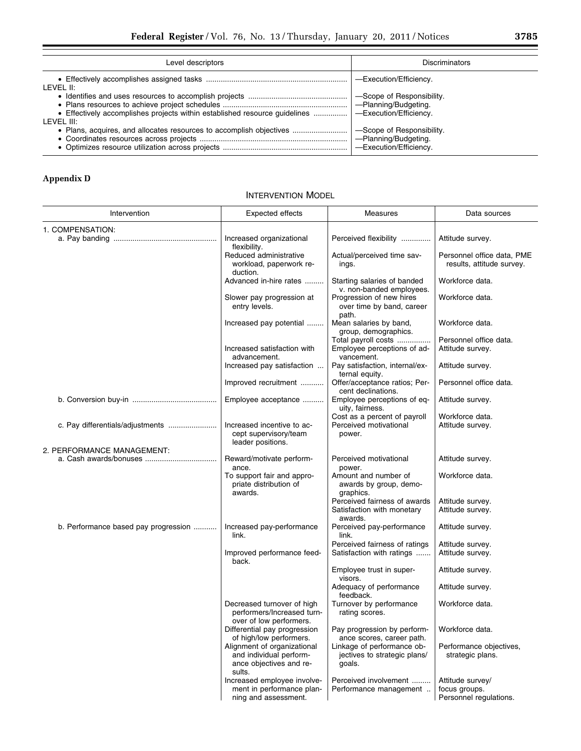| Level descriptors                                                                                     | <b>Discriminators</b>                                                       |
|-------------------------------------------------------------------------------------------------------|-----------------------------------------------------------------------------|
| LEVEL II:                                                                                             | -Execution/Efficiency.                                                      |
| • Effectively accomplishes projects within established resource quidelines    — Execution/Efficiency. | -Scope of Responsibility.                                                   |
| LEVEL III:                                                                                            | -Scope of Responsibility.<br>-Planning/Budgeting.<br>-Execution/Efficiency. |

# **Appendix D**

# INTERVENTION MODEL

| Intervention                         | Expected effects                                                                            | Measures                                                              | Data sources                                            |
|--------------------------------------|---------------------------------------------------------------------------------------------|-----------------------------------------------------------------------|---------------------------------------------------------|
| 1. COMPENSATION:                     |                                                                                             |                                                                       |                                                         |
|                                      | Increased organizational<br>flexibility.                                                    | Perceived flexibility                                                 | Attitude survey.                                        |
|                                      | Reduced administrative<br>workload, paperwork re-<br>duction.                               | Actual/perceived time sav-<br>ings.                                   | Personnel office data, PME<br>results, attitude survey. |
|                                      | Advanced in-hire rates                                                                      | Starting salaries of banded<br>v. non-banded employees.               | Workforce data.                                         |
|                                      | Slower pay progression at<br>entry levels.                                                  | Progression of new hires<br>over time by band, career<br>path.        | Workforce data.                                         |
|                                      | Increased pay potential                                                                     | Mean salaries by band,<br>group, demographics.                        | Workforce data.                                         |
|                                      |                                                                                             | Total payroll costs                                                   | Personnel office data.                                  |
|                                      | Increased satisfaction with<br>advancement.                                                 | Employee perceptions of ad-<br>vancement.                             | Attitude survey.                                        |
|                                      | Increased pay satisfaction                                                                  | Pay satisfaction, internal/ex-<br>ternal equity.                      | Attitude survey.                                        |
|                                      | Improved recruitment                                                                        | Offer/acceptance ratios; Per-<br>cent declinations.                   | Personnel office data.                                  |
|                                      | Employee acceptance                                                                         | Employee perceptions of eq-<br>uity, fairness.                        | Attitude survey.                                        |
| c. Pay differentials/adjustments     | Increased incentive to ac-<br>cept supervisory/team<br>leader positions.                    | Cost as a percent of payroll<br>Perceived motivational<br>power.      | Workforce data.<br>Attitude survey.                     |
| 2. PERFORMANCE MANAGEMENT:           |                                                                                             |                                                                       |                                                         |
|                                      | Reward/motivate perform-<br>ance.                                                           | Perceived motivational<br>power.                                      | Attitude survey.                                        |
|                                      | To support fair and appro-<br>priate distribution of<br>awards.                             | Amount and number of<br>awards by group, demo-<br>graphics.           | Workforce data.                                         |
|                                      |                                                                                             | Perceived fairness of awards<br>Satisfaction with monetary<br>awards. | Attitude survey.<br>Attitude survey.                    |
| b. Performance based pay progression | Increased pay-performance<br>link.                                                          | Perceived pay-performance<br>link.                                    | Attitude survey.                                        |
|                                      | Improved performance feed-<br>back.                                                         | Perceived fairness of ratings<br>Satisfaction with ratings            | Attitude survey.<br>Attitude survey.                    |
|                                      |                                                                                             | Employee trust in super-<br>visors.                                   | Attitude survey.                                        |
|                                      |                                                                                             | Adequacy of performance<br>feedback.                                  | Attitude survey.                                        |
|                                      | Decreased turnover of high<br>performers/Increased turn-<br>over of low performers.         | Turnover by performance<br>rating scores.                             | Workforce data.                                         |
|                                      | Differential pay progression<br>of high/low performers.                                     | Pay progression by perform-<br>ance scores, career path.              | Workforce data.                                         |
|                                      | Alignment of organizational<br>and individual perform-<br>ance objectives and re-<br>sults. | Linkage of performance ob-<br>jectives to strategic plans/<br>goals.  | Performance objectives,<br>strategic plans.             |
|                                      | Increased employee involve-<br>ment in performance plan-                                    | Perceived involvement<br>Performance management                       | Attitude survey/<br>focus groups.                       |
|                                      | ning and assessment.                                                                        |                                                                       | Personnel regulations.                                  |

÷.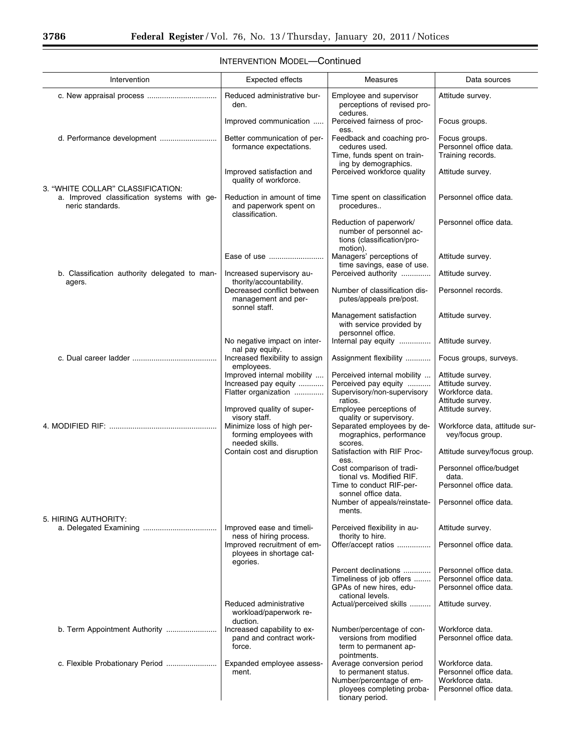$\equiv$ 

۰

| Intervention                                                                                         | Expected effects                                                                              | Measures                                                                                     | Data sources                                                 |
|------------------------------------------------------------------------------------------------------|-----------------------------------------------------------------------------------------------|----------------------------------------------------------------------------------------------|--------------------------------------------------------------|
|                                                                                                      | Reduced administrative bur-<br>den.                                                           | Employee and supervisor<br>perceptions of revised pro-<br>cedures.                           | Attitude survey.                                             |
|                                                                                                      | Improved communication                                                                        | Perceived fairness of proc-<br>ess.                                                          | Focus groups.                                                |
|                                                                                                      | Better communication of per-<br>formance expectations.                                        | Feedback and coaching pro-<br>cedures used.<br>Time, funds spent on train-                   | Focus groups.<br>Personnel office data.<br>Training records. |
|                                                                                                      | Improved satisfaction and<br>quality of workforce.                                            | ing by demographics.<br>Perceived workforce quality                                          | Attitude survey.                                             |
| 3. "WHITE COLLAR" CLASSIFICATION:<br>a. Improved classification systems with ge-<br>neric standards. | Reduction in amount of time<br>and paperwork spent on<br>classification.                      | Time spent on classification<br>procedures                                                   | Personnel office data.                                       |
|                                                                                                      |                                                                                               | Reduction of paperwork/<br>number of personnel ac-<br>tions (classification/pro-<br>motion). | Personnel office data.                                       |
|                                                                                                      | Ease of use                                                                                   | Managers' perceptions of                                                                     | Attitude survey.                                             |
| b. Classification authority delegated to man-                                                        | Increased supervisory au-                                                                     | time savings, ease of use.<br>Perceived authority                                            | Attitude survey.                                             |
| agers.                                                                                               | thority/accountability.<br>Decreased conflict between<br>management and per-<br>sonnel staff. | Number of classification dis-<br>putes/appeals pre/post.                                     | Personnel records.                                           |
|                                                                                                      |                                                                                               | Management satisfaction<br>with service provided by<br>personnel office.                     | Attitude survey.                                             |
|                                                                                                      | No negative impact on inter-<br>nal pay equity.                                               | Internal pay equity                                                                          | Attitude survey.                                             |
|                                                                                                      | Increased flexibility to assign                                                               | Assignment flexibility                                                                       | Focus groups, surveys.                                       |
|                                                                                                      | employees.<br>Improved internal mobility                                                      | Perceived internal mobility                                                                  | Attitude survey.                                             |
|                                                                                                      | Increased pay equity<br>Flatter organization                                                  | Perceived pay equity<br>Supervisory/non-supervisory                                          | Attitude survey.<br>Workforce data.                          |
|                                                                                                      | Improved quality of super-                                                                    | ratios.<br>Employee perceptions of                                                           | Attitude survey.<br>Attitude survey.                         |
|                                                                                                      | visory staff.<br>Minimize loss of high per-                                                   | quality or supervisory.<br>Separated employees by de-                                        | Workforce data, attitude sur-                                |
|                                                                                                      | forming employees with<br>needed skills.                                                      | mographics, performance<br>scores.                                                           | vey/focus group.                                             |
|                                                                                                      | Contain cost and disruption                                                                   | Satisfaction with RIF Proc-<br>ess.                                                          | Attitude survey/focus group.                                 |
|                                                                                                      |                                                                                               | Cost comparison of tradi-<br>tional vs. Modified RIF.                                        | Personnel office/budget<br>data.                             |
|                                                                                                      |                                                                                               | Time to conduct RIF-per-<br>sonnel office data.                                              | Personnel office data.                                       |
| 5. HIRING AUTHORITY:                                                                                 |                                                                                               | Number of appeals/reinstate-<br>ments.                                                       | Personnel office data.                                       |
|                                                                                                      | Improved ease and timeli-<br>ness of hiring process.                                          | Perceived flexibility in au-<br>thority to hire.                                             | Attitude survey.                                             |
|                                                                                                      | Improved recruitment of em-<br>ployees in shortage cat-<br>egories.                           | Offer/accept ratios                                                                          | Personnel office data.                                       |
|                                                                                                      |                                                                                               | Percent declinations<br>Timeliness of job offers                                             | Personnel office data.<br>Personnel office data.             |
|                                                                                                      |                                                                                               | GPAs of new hires, edu-                                                                      | Personnel office data.                                       |
|                                                                                                      | Reduced administrative<br>workload/paperwork re-<br>duction.                                  | cational levels.<br>Actual/perceived skills                                                  | Attitude survey.                                             |
| b. Term Appointment Authority                                                                        | Increased capability to ex-<br>pand and contract work-<br>force.                              | Number/percentage of con-<br>versions from modified<br>term to permanent ap-<br>pointments.  | Workforce data.<br>Personnel office data.                    |
|                                                                                                      | Expanded employee assess-<br>ment.                                                            | Average conversion period<br>to permanent status.                                            | Workforce data.<br>Personnel office data.                    |
|                                                                                                      |                                                                                               | Number/percentage of em-<br>ployees completing proba-<br>tionary period.                     | Workforce data.<br>Personnel office data.                    |

# INTERVENTION MODEL—Continued